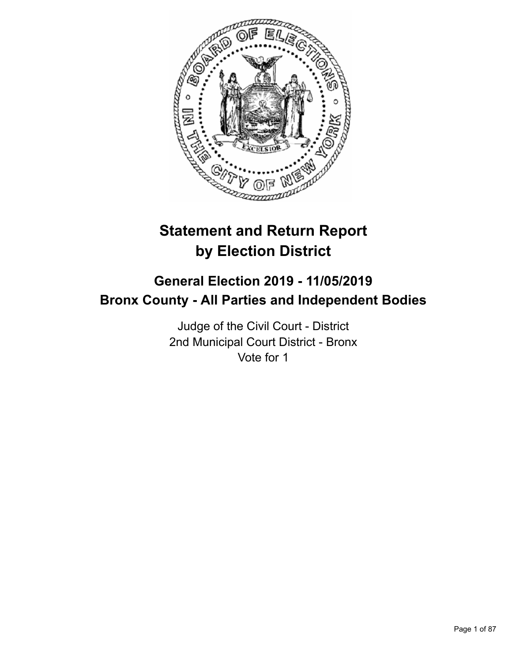

# **Statement and Return Report by Election District**

# **General Election 2019 - 11/05/2019 Bronx County - All Parties and Independent Bodies**

Judge of the Civil Court - District 2nd Municipal Court District - Bronx Vote for 1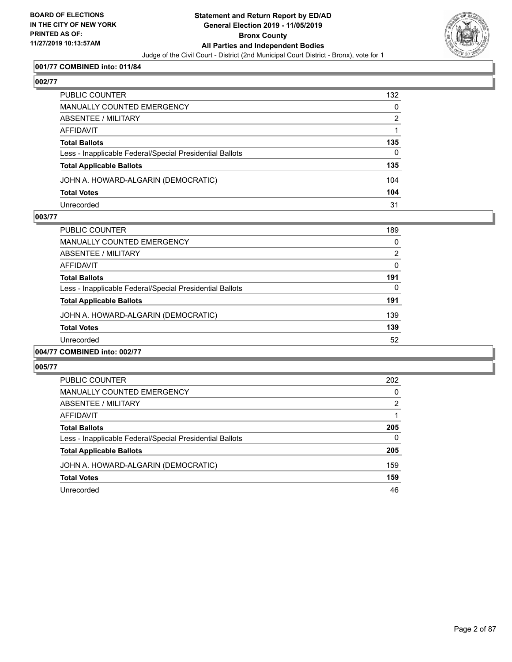

#### **001/77 COMBINED into: 011/84**

## **002/77**

| PUBLIC COUNTER                                           | 132      |
|----------------------------------------------------------|----------|
| MANUALLY COUNTED EMERGENCY                               | $\Omega$ |
| ABSENTEE / MILITARY                                      | 2        |
| AFFIDAVIT                                                |          |
| Total Ballots                                            | 135      |
| Less - Inapplicable Federal/Special Presidential Ballots | $\Omega$ |
| <b>Total Applicable Ballots</b>                          | 135      |
| JOHN A. HOWARD-ALGARIN (DEMOCRATIC)                      | 104      |
| <b>Total Votes</b>                                       | 104      |
| Unrecorded                                               | 31       |

#### **003/77**

| <b>PUBLIC COUNTER</b>                                    | 189            |
|----------------------------------------------------------|----------------|
| <b>MANUALLY COUNTED EMERGENCY</b>                        | $\Omega$       |
| ABSENTEE / MILITARY                                      | $\overline{2}$ |
| AFFIDAVIT                                                | $\Omega$       |
| <b>Total Ballots</b>                                     | 191            |
| Less - Inapplicable Federal/Special Presidential Ballots | $\Omega$       |
| <b>Total Applicable Ballots</b>                          | 191            |
| JOHN A. HOWARD-ALGARIN (DEMOCRATIC)                      | 139            |
| <b>Total Votes</b>                                       | 139            |
| Unrecorded                                               | 52             |
| 004/77 COMBINED into: 002/77                             |                |

| PUBLIC COUNTER                                           | 202 |
|----------------------------------------------------------|-----|
| <b>MANUALLY COUNTED EMERGENCY</b>                        | 0   |
| ABSENTEE / MILITARY                                      | 2   |
| AFFIDAVIT                                                |     |
| <b>Total Ballots</b>                                     | 205 |
| Less - Inapplicable Federal/Special Presidential Ballots | 0   |
| <b>Total Applicable Ballots</b>                          | 205 |
| JOHN A. HOWARD-ALGARIN (DEMOCRATIC)                      | 159 |
| <b>Total Votes</b>                                       | 159 |
| Unrecorded                                               | 46  |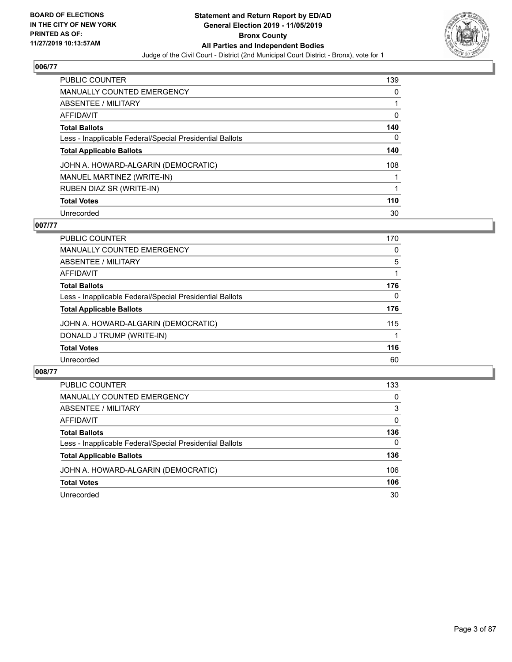

| <b>PUBLIC COUNTER</b>                                    | 139 |
|----------------------------------------------------------|-----|
| <b>MANUALLY COUNTED EMERGENCY</b>                        | 0   |
| ABSENTEE / MILITARY                                      |     |
| AFFIDAVIT                                                | 0   |
| <b>Total Ballots</b>                                     | 140 |
| Less - Inapplicable Federal/Special Presidential Ballots | 0   |
| <b>Total Applicable Ballots</b>                          | 140 |
| JOHN A. HOWARD-ALGARIN (DEMOCRATIC)                      | 108 |
| MANUEL MARTINEZ (WRITE-IN)                               |     |
| RUBEN DIAZ SR (WRITE-IN)                                 |     |
| <b>Total Votes</b>                                       | 110 |
| Unrecorded                                               | 30  |

#### **007/77**

| <b>PUBLIC COUNTER</b>                                    | 170 |
|----------------------------------------------------------|-----|
| <b>MANUALLY COUNTED EMERGENCY</b>                        | 0   |
| ABSENTEE / MILITARY                                      | 5   |
| AFFIDAVIT                                                |     |
| <b>Total Ballots</b>                                     | 176 |
| Less - Inapplicable Federal/Special Presidential Ballots | 0   |
| <b>Total Applicable Ballots</b>                          | 176 |
| JOHN A. HOWARD-ALGARIN (DEMOCRATIC)                      | 115 |
| DONALD J TRUMP (WRITE-IN)                                |     |
| <b>Total Votes</b>                                       | 116 |
| Unrecorded                                               | 60  |

| PUBLIC COUNTER                                           | 133      |
|----------------------------------------------------------|----------|
| MANUALLY COUNTED EMERGENCY                               | $\Omega$ |
| ABSENTEE / MILITARY                                      | 3        |
| AFFIDAVIT                                                | $\Omega$ |
| <b>Total Ballots</b>                                     | 136      |
| Less - Inapplicable Federal/Special Presidential Ballots | $\Omega$ |
| <b>Total Applicable Ballots</b>                          | 136      |
| JOHN A. HOWARD-ALGARIN (DEMOCRATIC)                      | 106      |
| <b>Total Votes</b>                                       | 106      |
| Unrecorded                                               | 30       |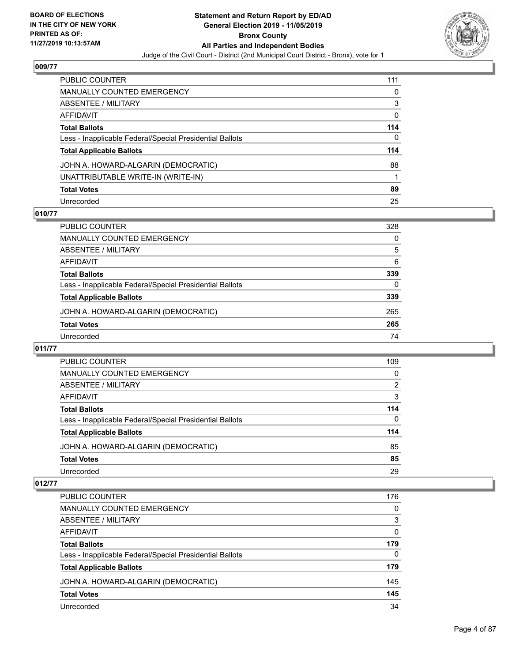

| PUBLIC COUNTER                                           | 111 |
|----------------------------------------------------------|-----|
| <b>MANUALLY COUNTED EMERGENCY</b>                        | 0   |
| ABSENTEE / MILITARY                                      | 3   |
| AFFIDAVIT                                                | 0   |
| <b>Total Ballots</b>                                     | 114 |
| Less - Inapplicable Federal/Special Presidential Ballots | 0   |
| <b>Total Applicable Ballots</b>                          | 114 |
| JOHN A. HOWARD-ALGARIN (DEMOCRATIC)                      | 88  |
| UNATTRIBUTABLE WRITE-IN (WRITE-IN)                       |     |
| <b>Total Votes</b>                                       | 89  |
| Unrecorded                                               | 25  |

#### **010/77**

| <b>PUBLIC COUNTER</b>                                    | 328      |
|----------------------------------------------------------|----------|
| <b>MANUALLY COUNTED EMERGENCY</b>                        | $\Omega$ |
| ABSENTEE / MILITARY                                      | 5        |
| AFFIDAVIT                                                | 6        |
| <b>Total Ballots</b>                                     | 339      |
| Less - Inapplicable Federal/Special Presidential Ballots | $\Omega$ |
| <b>Total Applicable Ballots</b>                          | 339      |
| JOHN A. HOWARD-ALGARIN (DEMOCRATIC)                      | 265      |
| <b>Total Votes</b>                                       | 265      |
| Unrecorded                                               | 74       |

#### **011/77**

| <b>PUBLIC COUNTER</b>                                    | 109           |
|----------------------------------------------------------|---------------|
| <b>MANUALLY COUNTED EMERGENCY</b>                        | $\Omega$      |
| ABSENTEE / MILITARY                                      | $\mathcal{P}$ |
| AFFIDAVIT                                                | 3             |
| <b>Total Ballots</b>                                     | 114           |
| Less - Inapplicable Federal/Special Presidential Ballots | $\Omega$      |
| <b>Total Applicable Ballots</b>                          | 114           |
| JOHN A. HOWARD-ALGARIN (DEMOCRATIC)                      | 85            |
| <b>Total Votes</b>                                       | 85            |
| Unrecorded                                               | 29            |

| PUBLIC COUNTER                                           | 176      |
|----------------------------------------------------------|----------|
| <b>MANUALLY COUNTED EMERGENCY</b>                        | 0        |
| ABSENTEE / MILITARY                                      | 3        |
| AFFIDAVIT                                                | $\Omega$ |
| <b>Total Ballots</b>                                     | 179      |
| Less - Inapplicable Federal/Special Presidential Ballots | 0        |
| <b>Total Applicable Ballots</b>                          | 179      |
| JOHN A. HOWARD-ALGARIN (DEMOCRATIC)                      | 145      |
| <b>Total Votes</b>                                       | 145      |
| Unrecorded                                               | 34       |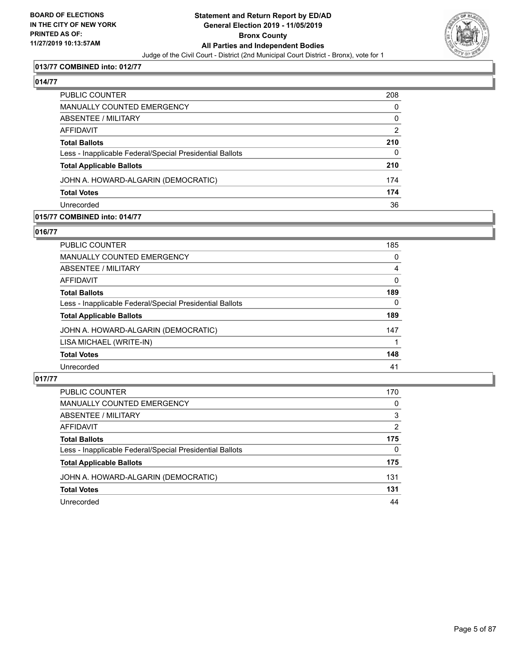

#### **013/77 COMBINED into: 012/77**

#### **014/77**

| PUBLIC COUNTER                                           | 208      |
|----------------------------------------------------------|----------|
| <b>MANUALLY COUNTED EMERGENCY</b>                        | 0        |
| ABSENTEE / MILITARY                                      | 0        |
| AFFIDAVIT                                                | 2        |
| <b>Total Ballots</b>                                     | 210      |
| Less - Inapplicable Federal/Special Presidential Ballots | $\Omega$ |
| <b>Total Applicable Ballots</b>                          | 210      |
| JOHN A. HOWARD-ALGARIN (DEMOCRATIC)                      | 174      |
| <b>Total Votes</b>                                       | 174      |
| Unrecorded                                               | 36       |

#### **015/77 COMBINED into: 014/77**

#### **016/77**

| PUBLIC COUNTER                                           | 185 |
|----------------------------------------------------------|-----|
| MANUALLY COUNTED EMERGENCY                               | 0   |
| ABSENTEE / MILITARY                                      | 4   |
| AFFIDAVIT                                                | 0   |
| <b>Total Ballots</b>                                     | 189 |
| Less - Inapplicable Federal/Special Presidential Ballots | 0   |
| <b>Total Applicable Ballots</b>                          | 189 |
| JOHN A. HOWARD-ALGARIN (DEMOCRATIC)                      | 147 |
| LISA MICHAEL (WRITE-IN)                                  |     |
| <b>Total Votes</b>                                       | 148 |
| Unrecorded                                               | 41  |

| PUBLIC COUNTER                                           | 170 |
|----------------------------------------------------------|-----|
| MANUALLY COUNTED EMERGENCY                               | 0   |
| <b>ABSENTEE / MILITARY</b>                               | 3   |
| AFFIDAVIT                                                | 2   |
| <b>Total Ballots</b>                                     | 175 |
| Less - Inapplicable Federal/Special Presidential Ballots | 0   |
| <b>Total Applicable Ballots</b>                          | 175 |
| JOHN A. HOWARD-ALGARIN (DEMOCRATIC)                      | 131 |
| <b>Total Votes</b>                                       | 131 |
| Unrecorded                                               | 44  |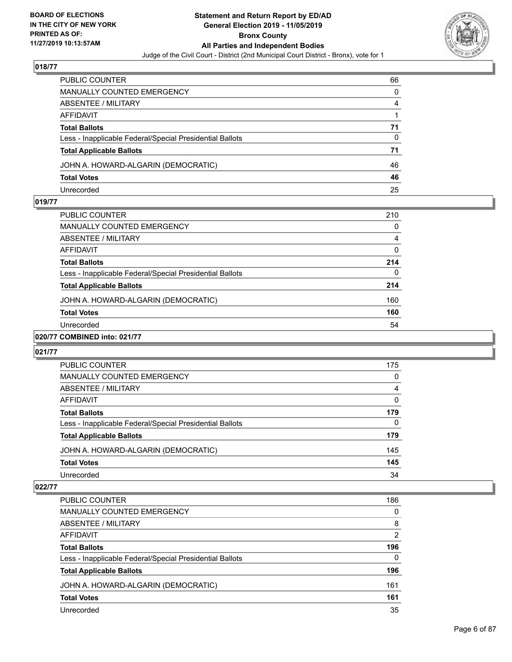

| PUBLIC COUNTER                                           | 66 |
|----------------------------------------------------------|----|
| MANUALLY COUNTED EMERGENCY                               | 0  |
| ABSENTEE / MILITARY                                      | 4  |
| AFFIDAVIT                                                |    |
| <b>Total Ballots</b>                                     | 71 |
| Less - Inapplicable Federal/Special Presidential Ballots | 0  |
| <b>Total Applicable Ballots</b>                          | 71 |
| JOHN A. HOWARD-ALGARIN (DEMOCRATIC)                      | 46 |
| <b>Total Votes</b>                                       | 46 |
| Unrecorded                                               | 25 |

#### **019/77**

| <b>Total Ballots</b>                                     | 214 |
|----------------------------------------------------------|-----|
| Less - Inapplicable Federal/Special Presidential Ballots | 0   |
| <b>Total Applicable Ballots</b>                          | 214 |
| JOHN A. HOWARD-ALGARIN (DEMOCRATIC)                      | 160 |
| <b>Total Votes</b>                                       | 160 |
| Unrecorded                                               | 54  |

## **021/77**

| PUBLIC COUNTER                                           | 175      |
|----------------------------------------------------------|----------|
| <b>MANUALLY COUNTED EMERGENCY</b>                        | $\Omega$ |
| ABSENTEE / MILITARY                                      | 4        |
| AFFIDAVIT                                                | $\Omega$ |
| <b>Total Ballots</b>                                     | 179      |
| Less - Inapplicable Federal/Special Presidential Ballots | 0        |
| <b>Total Applicable Ballots</b>                          | 179      |
| JOHN A. HOWARD-ALGARIN (DEMOCRATIC)                      | 145      |
| <b>Total Votes</b>                                       | 145      |
| Unrecorded                                               | 34       |

| PUBLIC COUNTER                                           | 186      |
|----------------------------------------------------------|----------|
| <b>MANUALLY COUNTED EMERGENCY</b>                        | 0        |
| ABSENTEE / MILITARY                                      | 8        |
| AFFIDAVIT                                                | 2        |
| <b>Total Ballots</b>                                     | 196      |
| Less - Inapplicable Federal/Special Presidential Ballots | $\Omega$ |
| <b>Total Applicable Ballots</b>                          | 196      |
| JOHN A. HOWARD-ALGARIN (DEMOCRATIC)                      | 161      |
| <b>Total Votes</b>                                       | 161      |
| Unrecorded                                               | 35       |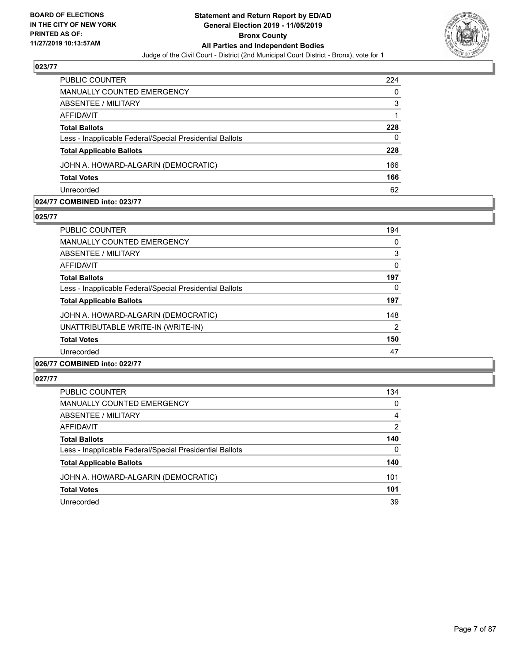

| <b>PUBLIC COUNTER</b>                                    | 224 |
|----------------------------------------------------------|-----|
| <b>MANUALLY COUNTED EMERGENCY</b>                        | 0   |
| ABSENTEE / MILITARY                                      | 3   |
| AFFIDAVIT                                                |     |
| <b>Total Ballots</b>                                     | 228 |
| Less - Inapplicable Federal/Special Presidential Ballots | 0   |
| <b>Total Applicable Ballots</b>                          | 228 |
| JOHN A. HOWARD-ALGARIN (DEMOCRATIC)                      | 166 |
| <b>Total Votes</b>                                       | 166 |
| Unrecorded                                               | 62  |

#### **024/77 COMBINED into: 023/77**

#### **025/77**

| PUBLIC COUNTER                                           | 194 |
|----------------------------------------------------------|-----|
| <b>MANUALLY COUNTED EMERGENCY</b>                        | 0   |
| ABSENTEE / MILITARY                                      | 3   |
| AFFIDAVIT                                                | 0   |
| <b>Total Ballots</b>                                     | 197 |
| Less - Inapplicable Federal/Special Presidential Ballots | 0   |
| <b>Total Applicable Ballots</b>                          | 197 |
| JOHN A. HOWARD-ALGARIN (DEMOCRATIC)                      | 148 |
| UNATTRIBUTABLE WRITE-IN (WRITE-IN)                       | 2   |
| <b>Total Votes</b>                                       | 150 |
| Unrecorded                                               | 47  |
|                                                          |     |

## **026/77 COMBINED into: 022/77**

| <b>PUBLIC COUNTER</b>                                    | 134      |
|----------------------------------------------------------|----------|
| MANUALLY COUNTED EMERGENCY                               | $\Omega$ |
| ABSENTEE / MILITARY                                      | 4        |
| AFFIDAVIT                                                | 2        |
| <b>Total Ballots</b>                                     | 140      |
| Less - Inapplicable Federal/Special Presidential Ballots | 0        |
| <b>Total Applicable Ballots</b>                          | 140      |
| JOHN A. HOWARD-ALGARIN (DEMOCRATIC)                      | 101      |
| <b>Total Votes</b>                                       | 101      |
| Unrecorded                                               | 39       |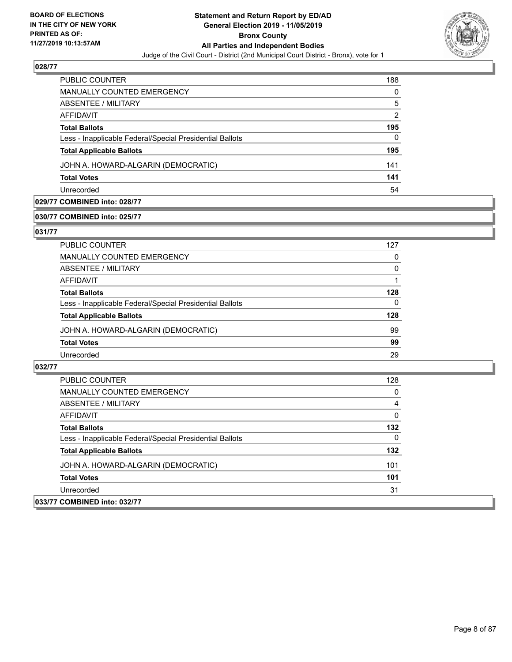

| PUBLIC COUNTER                                           | 188 |
|----------------------------------------------------------|-----|
| <b>MANUALLY COUNTED EMERGENCY</b>                        | 0   |
| ABSENTEE / MILITARY                                      | 5   |
| AFFIDAVIT                                                | 2   |
| <b>Total Ballots</b>                                     | 195 |
| Less - Inapplicable Federal/Special Presidential Ballots | 0   |
| <b>Total Applicable Ballots</b>                          | 195 |
| JOHN A. HOWARD-ALGARIN (DEMOCRATIC)                      | 141 |
| <b>Total Votes</b>                                       | 141 |
| Unrecorded                                               | 54  |

## **029/77 COMBINED into: 028/77**

#### **030/77 COMBINED into: 025/77**

#### **031/77**

| PUBLIC COUNTER                                           | 127 |
|----------------------------------------------------------|-----|
| <b>MANUALLY COUNTED EMERGENCY</b>                        | 0   |
| <b>ABSENTEE / MILITARY</b>                               | 0   |
| AFFIDAVIT                                                |     |
| <b>Total Ballots</b>                                     | 128 |
| Less - Inapplicable Federal/Special Presidential Ballots | 0   |
| <b>Total Applicable Ballots</b>                          | 128 |
| JOHN A. HOWARD-ALGARIN (DEMOCRATIC)                      | 99  |
| <b>Total Votes</b>                                       | 99  |
| Unrecorded                                               | 29  |
|                                                          |     |

| PUBLIC COUNTER                                           | 128      |
|----------------------------------------------------------|----------|
| <b>MANUALLY COUNTED EMERGENCY</b>                        | 0        |
| ABSENTEE / MILITARY                                      | 4        |
| <b>AFFIDAVIT</b>                                         | $\Omega$ |
| <b>Total Ballots</b>                                     | 132      |
| Less - Inapplicable Federal/Special Presidential Ballots | $\Omega$ |
| <b>Total Applicable Ballots</b>                          | 132      |
| JOHN A. HOWARD-ALGARIN (DEMOCRATIC)                      | 101      |
| <b>Total Votes</b>                                       | 101      |
| Unrecorded                                               | 31       |
| 033/77 COMBINED into: 032/77                             |          |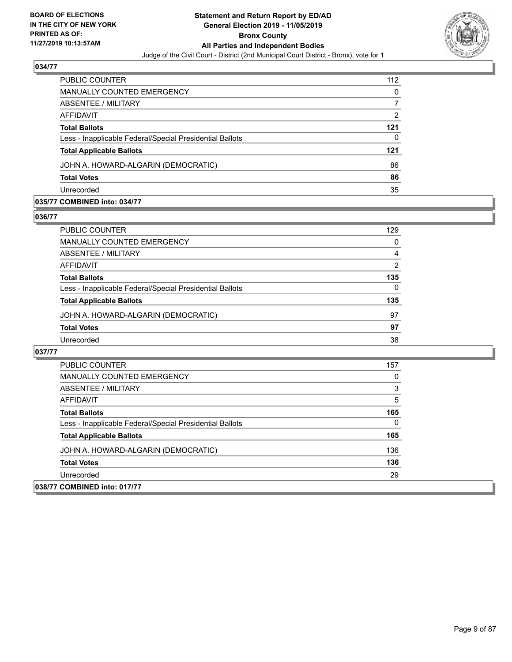

| <b>PUBLIC COUNTER</b>                                    | 112 |
|----------------------------------------------------------|-----|
| MANUALLY COUNTED EMERGENCY                               | 0   |
| ABSENTEE / MILITARY                                      |     |
| AFFIDAVIT                                                | 2   |
| <b>Total Ballots</b>                                     | 121 |
| Less - Inapplicable Federal/Special Presidential Ballots | 0   |
| <b>Total Applicable Ballots</b>                          | 121 |
| JOHN A. HOWARD-ALGARIN (DEMOCRATIC)                      | 86  |
| <b>Total Votes</b>                                       | 86  |
| Unrecorded                                               | 35  |

#### **035/77 COMBINED into: 034/77**

#### **036/77**

| PUBLIC COUNTER                                           | 129 |
|----------------------------------------------------------|-----|
| MANUALLY COUNTED EMERGENCY                               | 0   |
| ABSENTEE / MILITARY                                      | 4   |
| AFFIDAVIT                                                | 2   |
| <b>Total Ballots</b>                                     | 135 |
| Less - Inapplicable Federal/Special Presidential Ballots | 0   |
| <b>Total Applicable Ballots</b>                          | 135 |
| JOHN A. HOWARD-ALGARIN (DEMOCRATIC)                      | 97  |
| <b>Total Votes</b>                                       | 97  |
| Unrecorded                                               | 38  |
|                                                          |     |

| <b>PUBLIC COUNTER</b>                                    | 157          |
|----------------------------------------------------------|--------------|
| <b>MANUALLY COUNTED EMERGENCY</b>                        | $\Omega$     |
| ABSENTEE / MILITARY                                      | 3            |
| AFFIDAVIT                                                | 5            |
| <b>Total Ballots</b>                                     | 165          |
| Less - Inapplicable Federal/Special Presidential Ballots | $\mathbf{0}$ |
| <b>Total Applicable Ballots</b>                          | 165          |
| JOHN A. HOWARD-ALGARIN (DEMOCRATIC)                      | 136          |
| <b>Total Votes</b>                                       | 136          |
| Unrecorded                                               | 29           |
| 038/77 COMBINED into: 017/77                             |              |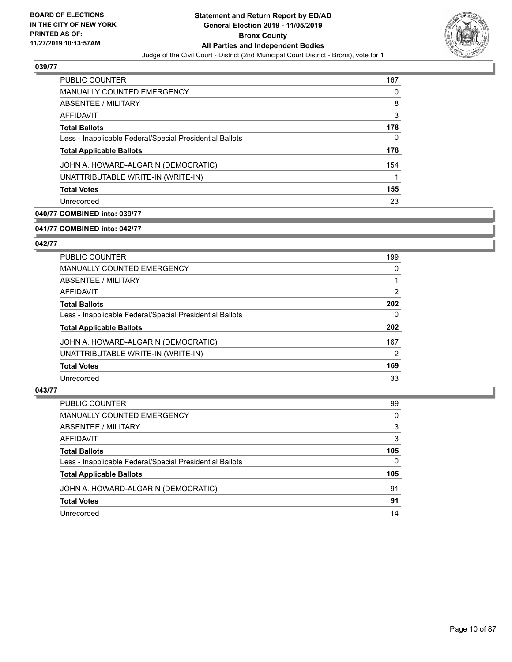

| PUBLIC COUNTER                                           | 167 |
|----------------------------------------------------------|-----|
| <b>MANUALLY COUNTED EMERGENCY</b>                        | 0   |
| ABSENTEE / MILITARY                                      | 8   |
| AFFIDAVIT                                                | 3   |
| <b>Total Ballots</b>                                     | 178 |
| Less - Inapplicable Federal/Special Presidential Ballots | 0   |
| <b>Total Applicable Ballots</b>                          | 178 |
| JOHN A. HOWARD-ALGARIN (DEMOCRATIC)                      | 154 |
| UNATTRIBUTABLE WRITE-IN (WRITE-IN)                       |     |
| <b>Total Votes</b>                                       | 155 |
| Unrecorded                                               | 23  |

## **040/77 COMBINED into: 039/77**

#### **041/77 COMBINED into: 042/77**

## **042/77**

| <b>PUBLIC COUNTER</b>                                    | 199 |
|----------------------------------------------------------|-----|
| <b>MANUALLY COUNTED EMERGENCY</b>                        | 0   |
| ABSENTEE / MILITARY                                      |     |
| <b>AFFIDAVIT</b>                                         | 2   |
| <b>Total Ballots</b>                                     | 202 |
| Less - Inapplicable Federal/Special Presidential Ballots | 0   |
| <b>Total Applicable Ballots</b>                          | 202 |
| JOHN A. HOWARD-ALGARIN (DEMOCRATIC)                      | 167 |
| UNATTRIBUTABLE WRITE-IN (WRITE-IN)                       | 2   |
| <b>Total Votes</b>                                       | 169 |
| Unrecorded                                               | 33  |

| PUBLIC COUNTER                                           | 99           |
|----------------------------------------------------------|--------------|
| <b>MANUALLY COUNTED EMERGENCY</b>                        | $\mathbf{0}$ |
| <b>ABSENTEE / MILITARY</b>                               | 3            |
| AFFIDAVIT                                                | 3            |
| <b>Total Ballots</b>                                     | 105          |
| Less - Inapplicable Federal/Special Presidential Ballots | $\mathbf{0}$ |
| <b>Total Applicable Ballots</b>                          | 105          |
| JOHN A. HOWARD-ALGARIN (DEMOCRATIC)                      | 91           |
| <b>Total Votes</b>                                       | 91           |
| Unrecorded                                               | 14           |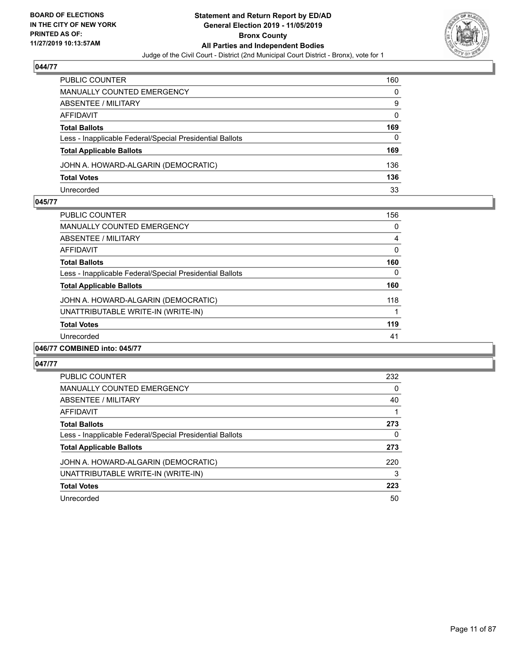

| PUBLIC COUNTER                                           | 160      |
|----------------------------------------------------------|----------|
| <b>MANUALLY COUNTED EMERGENCY</b>                        | 0        |
| ABSENTEE / MILITARY                                      | 9        |
| AFFIDAVIT                                                | $\Omega$ |
| Total Ballots                                            | 169      |
| Less - Inapplicable Federal/Special Presidential Ballots | 0        |
| <b>Total Applicable Ballots</b>                          | 169      |
| JOHN A. HOWARD-ALGARIN (DEMOCRATIC)                      | 136      |
| <b>Total Votes</b>                                       | 136      |
| Unrecorded                                               | 33       |

#### **045/77**

| <b>PUBLIC COUNTER</b>                                    | 156 |
|----------------------------------------------------------|-----|
| MANUALLY COUNTED EMERGENCY                               | 0   |
| <b>ABSENTEE / MILITARY</b>                               | 4   |
| <b>AFFIDAVIT</b>                                         | 0   |
| <b>Total Ballots</b>                                     | 160 |
| Less - Inapplicable Federal/Special Presidential Ballots | 0   |
| <b>Total Applicable Ballots</b>                          | 160 |
| JOHN A. HOWARD-ALGARIN (DEMOCRATIC)                      | 118 |
| UNATTRIBUTABLE WRITE-IN (WRITE-IN)                       | 1   |
| <b>Total Votes</b>                                       | 119 |
| Unrecorded                                               | 41  |
| 046/77 COMBINED into: 045/77                             |     |

| <b>PUBLIC COUNTER</b>                                    | 232 |
|----------------------------------------------------------|-----|
| MANUALLY COUNTED EMERGENCY                               | 0   |
| ABSENTEE / MILITARY                                      | 40  |
| AFFIDAVIT                                                |     |
| <b>Total Ballots</b>                                     | 273 |
| Less - Inapplicable Federal/Special Presidential Ballots | 0   |
| <b>Total Applicable Ballots</b>                          | 273 |
| JOHN A. HOWARD-ALGARIN (DEMOCRATIC)                      | 220 |
| UNATTRIBUTABLE WRITE-IN (WRITE-IN)                       | 3   |
| <b>Total Votes</b>                                       | 223 |
| Unrecorded                                               | 50  |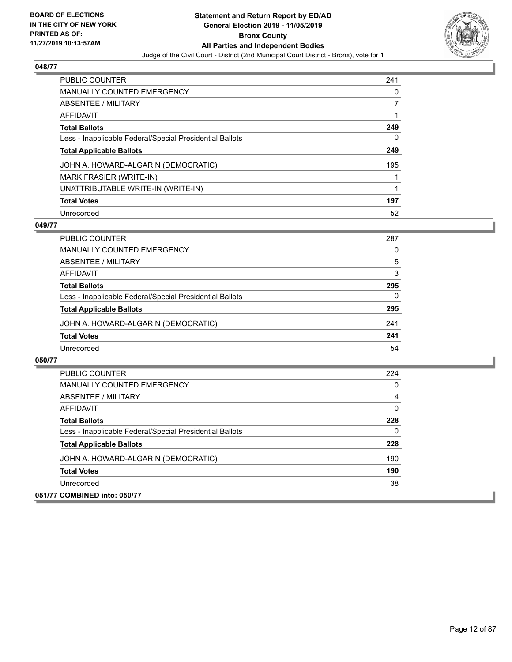

| PUBLIC COUNTER                                           | 241 |
|----------------------------------------------------------|-----|
| <b>MANUALLY COUNTED EMERGENCY</b>                        | 0   |
| ABSENTEE / MILITARY                                      |     |
| AFFIDAVIT                                                |     |
| <b>Total Ballots</b>                                     | 249 |
| Less - Inapplicable Federal/Special Presidential Ballots | 0   |
| <b>Total Applicable Ballots</b>                          | 249 |
| JOHN A. HOWARD-ALGARIN (DEMOCRATIC)                      | 195 |
| MARK FRASIER (WRITE-IN)                                  |     |
| UNATTRIBUTABLE WRITE-IN (WRITE-IN)                       |     |
| <b>Total Votes</b>                                       | 197 |
| Unrecorded                                               | 52  |

## **049/77**

| <b>PUBLIC COUNTER</b>                                    | 287      |
|----------------------------------------------------------|----------|
| MANUALLY COUNTED EMERGENCY                               | 0        |
| <b>ABSENTEE / MILITARY</b>                               | 5        |
| AFFIDAVIT                                                | 3        |
| <b>Total Ballots</b>                                     | 295      |
| Less - Inapplicable Federal/Special Presidential Ballots | $\Omega$ |
| <b>Total Applicable Ballots</b>                          | 295      |
| JOHN A. HOWARD-ALGARIN (DEMOCRATIC)                      | 241      |
| <b>Total Votes</b>                                       | 241      |
| Unrecorded                                               | 54       |

| PUBLIC COUNTER                                           | 224      |
|----------------------------------------------------------|----------|
| MANUALLY COUNTED EMERGENCY                               | 0        |
| ABSENTEE / MILITARY                                      | 4        |
| AFFIDAVIT                                                | $\Omega$ |
| <b>Total Ballots</b>                                     | 228      |
| Less - Inapplicable Federal/Special Presidential Ballots | 0        |
| <b>Total Applicable Ballots</b>                          | 228      |
| JOHN A. HOWARD-ALGARIN (DEMOCRATIC)                      | 190      |
| <b>Total Votes</b>                                       | 190      |
| Unrecorded                                               | 38       |
| 051/77 COMBINED into: 050/77                             |          |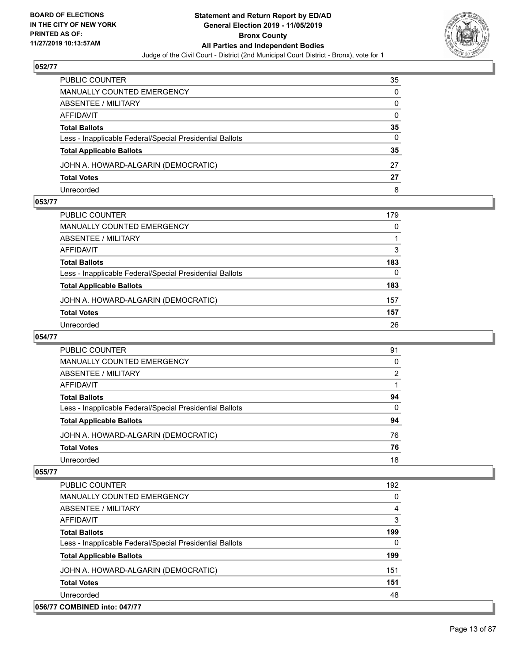

| PUBLIC COUNTER                                           | 35       |
|----------------------------------------------------------|----------|
| MANUALLY COUNTED EMERGENCY                               | $\Omega$ |
| ABSENTEE / MILITARY                                      | $\Omega$ |
| AFFIDAVIT                                                | $\Omega$ |
| Total Ballots                                            | 35       |
| Less - Inapplicable Federal/Special Presidential Ballots | 0        |
| <b>Total Applicable Ballots</b>                          | 35       |
| JOHN A. HOWARD-ALGARIN (DEMOCRATIC)                      | 27       |
| <b>Total Votes</b>                                       | 27       |
| Unrecorded                                               | 8        |

#### **053/77**

| PUBLIC COUNTER                                           | 179 |
|----------------------------------------------------------|-----|
| MANUALLY COUNTED EMERGENCY                               | 0   |
| ABSENTEE / MILITARY                                      | 1   |
| AFFIDAVIT                                                | 3   |
| <b>Total Ballots</b>                                     | 183 |
| Less - Inapplicable Federal/Special Presidential Ballots | 0   |
| <b>Total Applicable Ballots</b>                          | 183 |
| JOHN A. HOWARD-ALGARIN (DEMOCRATIC)                      | 157 |
| <b>Total Votes</b>                                       | 157 |
| Unrecorded                                               | 26  |
|                                                          |     |

#### **054/77**

| PUBLIC COUNTER                                           | 91 |
|----------------------------------------------------------|----|
| MANUALLY COUNTED EMERGENCY                               | 0  |
| ABSENTEE / MILITARY                                      | 2  |
| AFFIDAVIT                                                |    |
| <b>Total Ballots</b>                                     | 94 |
| Less - Inapplicable Federal/Special Presidential Ballots | 0  |
| <b>Total Applicable Ballots</b>                          | 94 |
| JOHN A. HOWARD-ALGARIN (DEMOCRATIC)                      | 76 |
| <b>Total Votes</b>                                       | 76 |
| Unrecorded                                               | 18 |

| <b>PUBLIC COUNTER</b>                                    | 192      |
|----------------------------------------------------------|----------|
| <b>MANUALLY COUNTED EMERGENCY</b>                        | $\Omega$ |
| ABSENTEE / MILITARY                                      | 4        |
| <b>AFFIDAVIT</b>                                         | 3        |
| <b>Total Ballots</b>                                     | 199      |
| Less - Inapplicable Federal/Special Presidential Ballots | $\Omega$ |
| <b>Total Applicable Ballots</b>                          | 199      |
| JOHN A. HOWARD-ALGARIN (DEMOCRATIC)                      | 151      |
| <b>Total Votes</b>                                       | 151      |
| Unrecorded                                               | 48       |
| 056/77 COMBINED into: 047/77                             |          |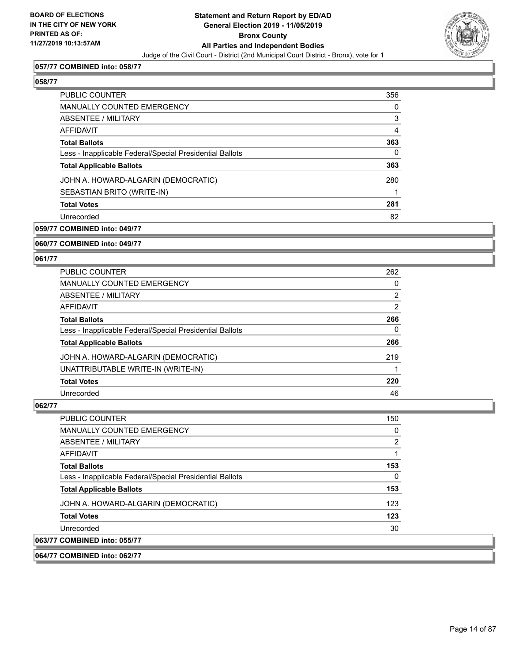

#### **057/77 COMBINED into: 058/77**

#### **058/77**

| PUBLIC COUNTER                                           | 356 |
|----------------------------------------------------------|-----|
| <b>MANUALLY COUNTED EMERGENCY</b>                        | 0   |
| ABSENTEE / MILITARY                                      | 3   |
| AFFIDAVIT                                                | 4   |
| <b>Total Ballots</b>                                     | 363 |
| Less - Inapplicable Federal/Special Presidential Ballots | 0   |
| <b>Total Applicable Ballots</b>                          | 363 |
| JOHN A. HOWARD-ALGARIN (DEMOCRATIC)                      | 280 |
| SEBASTIAN BRITO (WRITE-IN)                               |     |
| <b>Total Votes</b>                                       | 281 |
| Unrecorded                                               | 82  |
| 0.011011000.4077                                         |     |

## **059/77 COMBINED into: 049/77**

#### **060/77 COMBINED into: 049/77**

## **061/77**

| <b>PUBLIC COUNTER</b>                                    | 262 |
|----------------------------------------------------------|-----|
| <b>MANUALLY COUNTED EMERGENCY</b>                        | 0   |
| ABSENTEE / MILITARY                                      | 2   |
| AFFIDAVIT                                                | 2   |
| <b>Total Ballots</b>                                     | 266 |
| Less - Inapplicable Federal/Special Presidential Ballots | 0   |
| <b>Total Applicable Ballots</b>                          | 266 |
| JOHN A. HOWARD-ALGARIN (DEMOCRATIC)                      | 219 |
| UNATTRIBUTABLE WRITE-IN (WRITE-IN)                       |     |
| <b>Total Votes</b>                                       | 220 |
| Unrecorded                                               | 46  |

#### **062/77**

| PUBLIC COUNTER                                           | 150 |
|----------------------------------------------------------|-----|
| MANUALLY COUNTED EMERGENCY                               | 0   |
| ABSENTEE / MILITARY                                      | 2   |
| AFFIDAVIT                                                |     |
| <b>Total Ballots</b>                                     | 153 |
| Less - Inapplicable Federal/Special Presidential Ballots | 0   |
| <b>Total Applicable Ballots</b>                          | 153 |
| JOHN A. HOWARD-ALGARIN (DEMOCRATIC)                      | 123 |
| <b>Total Votes</b>                                       | 123 |
| Unrecorded                                               | 30  |
| 063/77 COMBINED into: 055/77                             |     |

#### **064/77 COMBINED into: 062/77**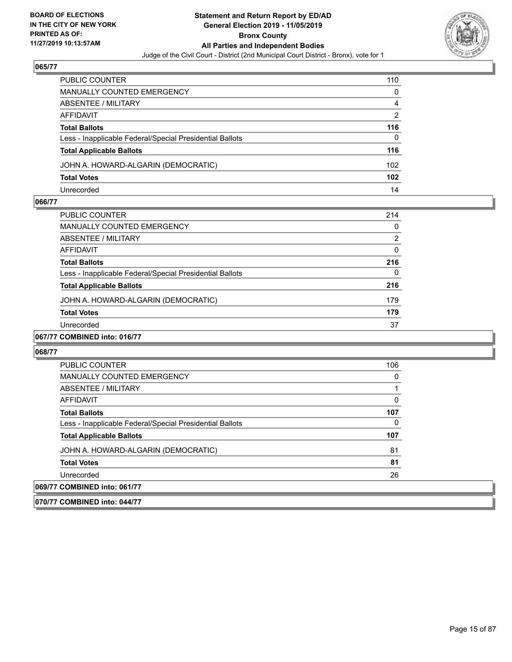

| PUBLIC COUNTER                                           | 110 |
|----------------------------------------------------------|-----|
| <b>MANUALLY COUNTED EMERGENCY</b>                        | 0   |
| ABSENTEE / MILITARY                                      | 4   |
| AFFIDAVIT                                                | 2   |
| <b>Total Ballots</b>                                     | 116 |
| Less - Inapplicable Federal/Special Presidential Ballots | 0   |
| <b>Total Applicable Ballots</b>                          | 116 |
| JOHN A. HOWARD-ALGARIN (DEMOCRATIC)                      | 102 |
| <b>Total Votes</b>                                       | 102 |
| Unrecorded                                               | 14  |

#### **066/77**

| PUBLIC COUNTER                                           | 214 |
|----------------------------------------------------------|-----|
| <b>MANUALLY COUNTED EMERGENCY</b>                        | O   |
| ABSENTEE / MILITARY                                      | 2   |
| AFFIDAVIT                                                | 0   |
| <b>Total Ballots</b>                                     | 216 |
| Less - Inapplicable Federal/Special Presidential Ballots | 0   |
| <b>Total Applicable Ballots</b>                          | 216 |
| JOHN A. HOWARD-ALGARIN (DEMOCRATIC)                      | 179 |
| <b>Total Votes</b>                                       | 179 |
| Unrecorded                                               | 37  |
|                                                          |     |

#### **067/77 COMBINED into: 016/77**

#### **068/77**

| <b>PUBLIC COUNTER</b>                                    | 106 |
|----------------------------------------------------------|-----|
| <b>MANUALLY COUNTED EMERGENCY</b>                        | 0   |
| ABSENTEE / MILITARY                                      |     |
| AFFIDAVIT                                                | 0   |
| <b>Total Ballots</b>                                     | 107 |
| Less - Inapplicable Federal/Special Presidential Ballots | 0   |
| <b>Total Applicable Ballots</b>                          | 107 |
| JOHN A. HOWARD-ALGARIN (DEMOCRATIC)                      | 81  |
| <b>Total Votes</b>                                       | 81  |
| Unrecorded                                               | 26  |
| 069/77 COMBINED into: 061/77                             |     |
|                                                          |     |

## **070/77 COMBINED into: 044/77**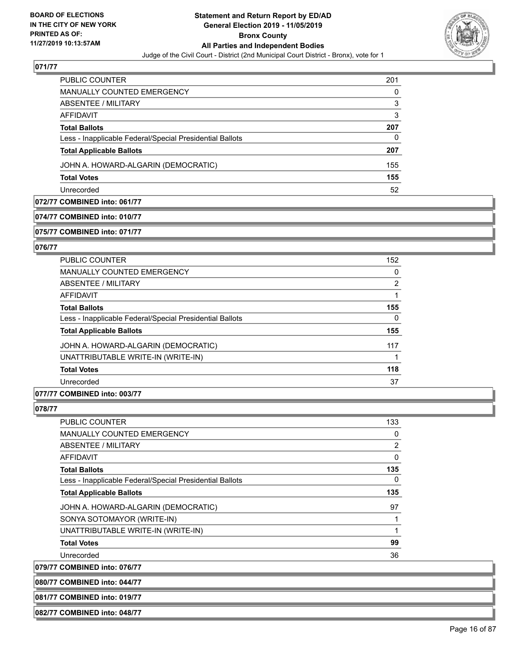

| <b>PUBLIC COUNTER</b>                                    | 201 |
|----------------------------------------------------------|-----|
| MANUALLY COUNTED EMERGENCY                               | 0   |
| ABSENTEE / MILITARY                                      | 3   |
| AFFIDAVIT                                                | 3   |
| <b>Total Ballots</b>                                     | 207 |
| Less - Inapplicable Federal/Special Presidential Ballots | 0   |
| <b>Total Applicable Ballots</b>                          | 207 |
| JOHN A. HOWARD-ALGARIN (DEMOCRATIC)                      | 155 |
| <b>Total Votes</b>                                       | 155 |
| Unrecorded                                               | 52  |

### **072/77 COMBINED into: 061/77**

#### **074/77 COMBINED into: 010/77**

#### **075/77 COMBINED into: 071/77**

#### **076/77**

| <b>PUBLIC COUNTER</b>                                    | 152 |
|----------------------------------------------------------|-----|
| <b>MANUALLY COUNTED EMERGENCY</b>                        | 0   |
| ABSENTEE / MILITARY                                      | 2   |
| <b>AFFIDAVIT</b>                                         | 1   |
| <b>Total Ballots</b>                                     | 155 |
| Less - Inapplicable Federal/Special Presidential Ballots | 0   |
| <b>Total Applicable Ballots</b>                          | 155 |
| JOHN A. HOWARD-ALGARIN (DEMOCRATIC)                      | 117 |
| UNATTRIBUTABLE WRITE-IN (WRITE-IN)                       | 1   |
| <b>Total Votes</b>                                       | 118 |
| Unrecorded                                               | 37  |
|                                                          |     |

## **077/77 COMBINED into: 003/77**

#### **078/77**

| <b>PUBLIC COUNTER</b>                                    | 133 |
|----------------------------------------------------------|-----|
| <b>MANUALLY COUNTED EMERGENCY</b>                        |     |
| ABSENTEE / MILITARY                                      | 2   |
| AFFIDAVIT                                                |     |
| <b>Total Ballots</b>                                     | 135 |
| Less - Inapplicable Federal/Special Presidential Ballots | 0   |
| <b>Total Applicable Ballots</b>                          | 135 |
| JOHN A. HOWARD-ALGARIN (DEMOCRATIC)                      | 97  |
| SONYA SOTOMAYOR (WRITE-IN)                               |     |
| UNATTRIBUTABLE WRITE-IN (WRITE-IN)                       |     |
| <b>Total Votes</b>                                       | 99  |
| Unrecorded                                               | 36  |

**079/77 COMBINED into: 076/77**

**080/77 COMBINED into: 044/77**

**081/77 COMBINED into: 019/77**

**082/77 COMBINED into: 048/77**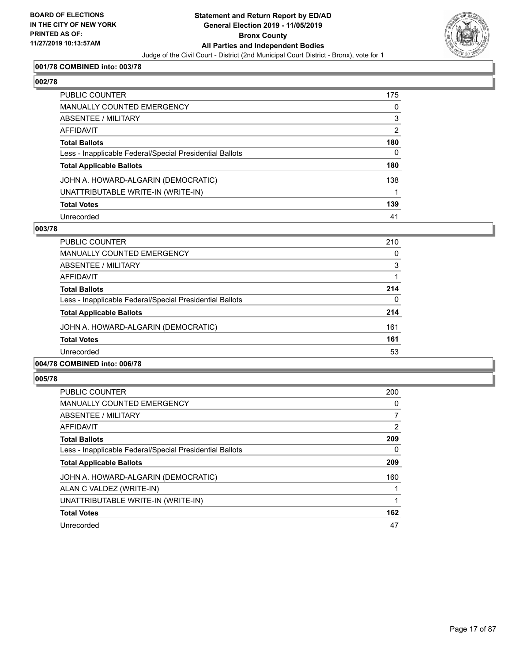

#### **001/78 COMBINED into: 003/78**

## **002/78**

| PUBLIC COUNTER                                           | 175      |
|----------------------------------------------------------|----------|
| <b>MANUALLY COUNTED EMERGENCY</b>                        | $\Omega$ |
| <b>ABSENTEE / MILITARY</b>                               | 3        |
| <b>AFFIDAVIT</b>                                         | 2        |
| <b>Total Ballots</b>                                     | 180      |
| Less - Inapplicable Federal/Special Presidential Ballots | $\Omega$ |
| <b>Total Applicable Ballots</b>                          | 180      |
| JOHN A. HOWARD-ALGARIN (DEMOCRATIC)                      | 138      |
| UNATTRIBUTABLE WRITE-IN (WRITE-IN)                       |          |
| <b>Total Votes</b>                                       | 139      |
| Unrecorded                                               | 41       |

#### **003/78**

| <b>PUBLIC COUNTER</b>                                    | 210 |
|----------------------------------------------------------|-----|
| <b>MANUALLY COUNTED EMERGENCY</b>                        | 0   |
| ABSENTEE / MILITARY                                      | 3   |
| AFFIDAVIT                                                |     |
| <b>Total Ballots</b>                                     | 214 |
| Less - Inapplicable Federal/Special Presidential Ballots | 0   |
| <b>Total Applicable Ballots</b>                          | 214 |
| JOHN A. HOWARD-ALGARIN (DEMOCRATIC)                      | 161 |
| <b>Total Votes</b>                                       | 161 |
| Unrecorded                                               | 53  |
| A                                                        |     |

## **004/78 COMBINED into: 006/78**

| <b>PUBLIC COUNTER</b>                                    | 200 |
|----------------------------------------------------------|-----|
| <b>MANUALLY COUNTED EMERGENCY</b>                        | 0   |
| ABSENTEE / MILITARY                                      |     |
| AFFIDAVIT                                                | 2   |
| <b>Total Ballots</b>                                     | 209 |
| Less - Inapplicable Federal/Special Presidential Ballots | 0   |
| <b>Total Applicable Ballots</b>                          | 209 |
| JOHN A. HOWARD-ALGARIN (DEMOCRATIC)                      | 160 |
| ALAN C VALDEZ (WRITE-IN)                                 |     |
| UNATTRIBUTABLE WRITE-IN (WRITE-IN)                       |     |
| <b>Total Votes</b>                                       | 162 |
| Unrecorded                                               | 47  |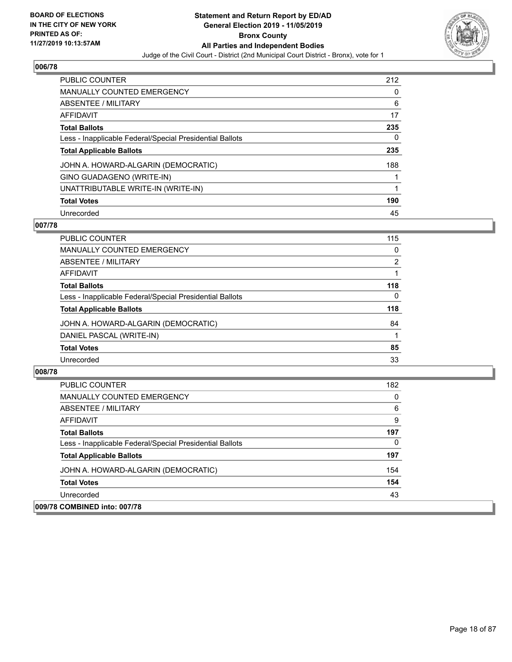

| <b>PUBLIC COUNTER</b>                                    | 212 |
|----------------------------------------------------------|-----|
| <b>MANUALLY COUNTED EMERGENCY</b>                        | 0   |
| ABSENTEE / MILITARY                                      | 6   |
| AFFIDAVIT                                                | 17  |
| <b>Total Ballots</b>                                     | 235 |
| Less - Inapplicable Federal/Special Presidential Ballots | 0   |
| <b>Total Applicable Ballots</b>                          | 235 |
| JOHN A. HOWARD-ALGARIN (DEMOCRATIC)                      | 188 |
| GINO GUADAGENO (WRITE-IN)                                |     |
| UNATTRIBUTABLE WRITE-IN (WRITE-IN)                       |     |
| <b>Total Votes</b>                                       | 190 |
| Unrecorded                                               | 45  |

#### **007/78**

| PUBLIC COUNTER                                           | 115            |
|----------------------------------------------------------|----------------|
| <b>MANUALLY COUNTED EMERGENCY</b>                        | 0              |
| ABSENTEE / MILITARY                                      | $\overline{2}$ |
| AFFIDAVIT                                                |                |
| <b>Total Ballots</b>                                     | 118            |
| Less - Inapplicable Federal/Special Presidential Ballots | $\Omega$       |
| <b>Total Applicable Ballots</b>                          | 118            |
| JOHN A. HOWARD-ALGARIN (DEMOCRATIC)                      | 84             |
| DANIEL PASCAL (WRITE-IN)                                 |                |
| <b>Total Votes</b>                                       | 85             |
| Unrecorded                                               | 33             |

| <b>PUBLIC COUNTER</b>                                    | 182      |
|----------------------------------------------------------|----------|
| <b>MANUALLY COUNTED EMERGENCY</b>                        | 0        |
| ABSENTEE / MILITARY                                      | 6        |
| <b>AFFIDAVIT</b>                                         | 9        |
| <b>Total Ballots</b>                                     | 197      |
| Less - Inapplicable Federal/Special Presidential Ballots | $\Omega$ |
| <b>Total Applicable Ballots</b>                          | 197      |
| JOHN A. HOWARD-ALGARIN (DEMOCRATIC)                      | 154      |
| <b>Total Votes</b>                                       | 154      |
| Unrecorded                                               | 43       |
| 009/78 COMBINED into: 007/78                             |          |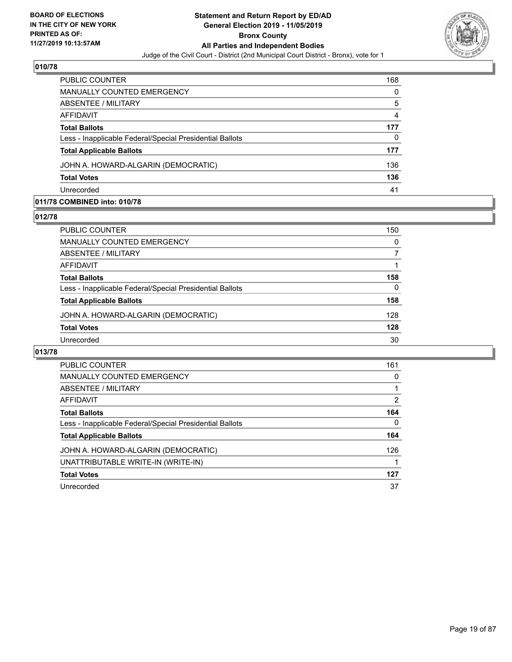

| PUBLIC COUNTER                                           | 168 |
|----------------------------------------------------------|-----|
| MANUALLY COUNTED EMERGENCY                               | 0   |
| <b>ABSENTEE / MILITARY</b>                               | 5   |
| AFFIDAVIT                                                | 4   |
| <b>Total Ballots</b>                                     | 177 |
| Less - Inapplicable Federal/Special Presidential Ballots | 0   |
| <b>Total Applicable Ballots</b>                          | 177 |
| JOHN A. HOWARD-ALGARIN (DEMOCRATIC)                      | 136 |
| <b>Total Votes</b>                                       | 136 |
| Unrecorded                                               | 41  |

#### **011/78 COMBINED into: 010/78**

#### **012/78**

| PUBLIC COUNTER                                           | 150 |
|----------------------------------------------------------|-----|
| MANUALLY COUNTED EMERGENCY                               | 0   |
| ABSENTEE / MILITARY                                      |     |
| AFFIDAVIT                                                |     |
| <b>Total Ballots</b>                                     | 158 |
| Less - Inapplicable Federal/Special Presidential Ballots | 0   |
| <b>Total Applicable Ballots</b>                          | 158 |
| JOHN A. HOWARD-ALGARIN (DEMOCRATIC)                      | 128 |
| <b>Total Votes</b>                                       | 128 |
| Unrecorded                                               | 30  |
|                                                          |     |

| <b>PUBLIC COUNTER</b>                                    | 161      |
|----------------------------------------------------------|----------|
| MANUALLY COUNTED EMERGENCY                               | 0        |
| ABSENTEE / MILITARY                                      |          |
| <b>AFFIDAVIT</b>                                         | 2        |
| <b>Total Ballots</b>                                     | 164      |
| Less - Inapplicable Federal/Special Presidential Ballots | $\Omega$ |
| <b>Total Applicable Ballots</b>                          | 164      |
| JOHN A. HOWARD-ALGARIN (DEMOCRATIC)                      | 126      |
| UNATTRIBUTABLE WRITE-IN (WRITE-IN)                       |          |
| <b>Total Votes</b>                                       | 127      |
| Unrecorded                                               | 37       |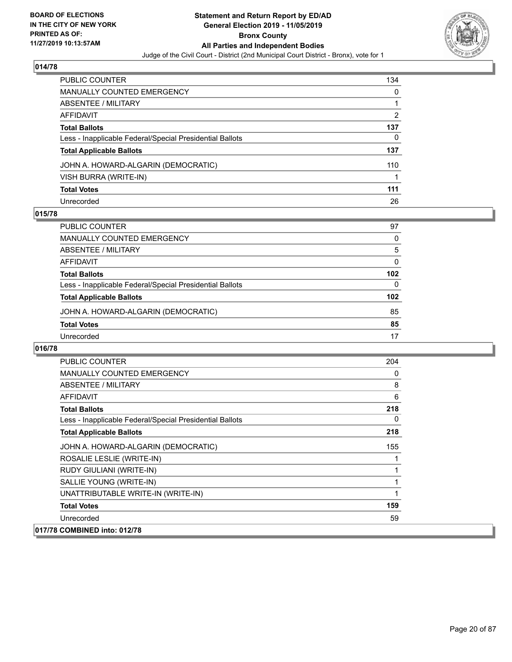

| PUBLIC COUNTER                                           | 134 |
|----------------------------------------------------------|-----|
| MANUALLY COUNTED EMERGENCY                               | 0   |
| ABSENTEE / MILITARY                                      |     |
| AFFIDAVIT                                                | 2   |
| Total Ballots                                            | 137 |
| Less - Inapplicable Federal/Special Presidential Ballots | 0   |
| <b>Total Applicable Ballots</b>                          | 137 |
| JOHN A. HOWARD-ALGARIN (DEMOCRATIC)                      | 110 |
| VISH BURRA (WRITE-IN)                                    |     |
| <b>Total Votes</b>                                       | 111 |
| Unrecorded                                               | 26  |

#### **015/78**

| <b>PUBLIC COUNTER</b>                                    | 97  |
|----------------------------------------------------------|-----|
| MANUALLY COUNTED EMERGENCY                               | 0   |
| ABSENTEE / MILITARY                                      | 5   |
| AFFIDAVIT                                                | 0   |
| <b>Total Ballots</b>                                     | 102 |
| Less - Inapplicable Federal/Special Presidential Ballots | 0   |
| <b>Total Applicable Ballots</b>                          | 102 |
| JOHN A. HOWARD-ALGARIN (DEMOCRATIC)                      | 85  |
| <b>Total Votes</b>                                       | 85  |
| Unrecorded                                               | 17  |

| <b>PUBLIC COUNTER</b>                                    | 204 |
|----------------------------------------------------------|-----|
| <b>MANUALLY COUNTED EMERGENCY</b>                        | 0   |
| <b>ABSENTEE / MILITARY</b>                               | 8   |
| <b>AFFIDAVIT</b>                                         | 6   |
| <b>Total Ballots</b>                                     | 218 |
| Less - Inapplicable Federal/Special Presidential Ballots | 0   |
| <b>Total Applicable Ballots</b>                          | 218 |
| JOHN A. HOWARD-ALGARIN (DEMOCRATIC)                      | 155 |
| ROSALIE LESLIE (WRITE-IN)                                |     |
| RUDY GIULIANI (WRITE-IN)                                 |     |
| SALLIE YOUNG (WRITE-IN)                                  |     |
| UNATTRIBUTABLE WRITE-IN (WRITE-IN)                       |     |
| <b>Total Votes</b>                                       | 159 |
| Unrecorded                                               | 59  |
| 017/78 COMBINED into: 012/78                             |     |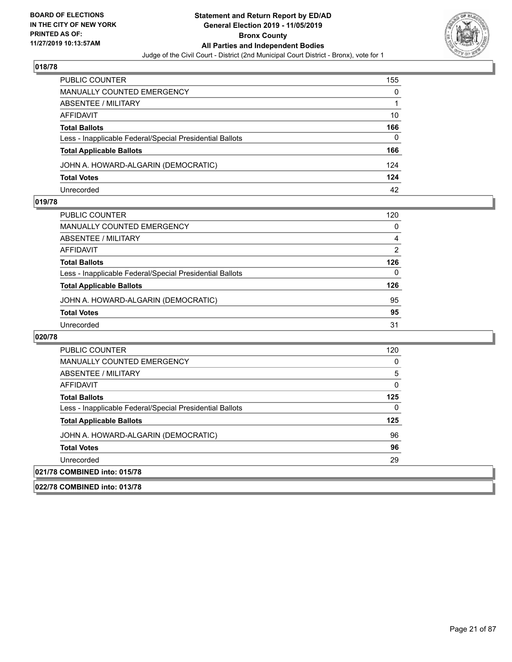

| PUBLIC COUNTER                                           | 155 |
|----------------------------------------------------------|-----|
| <b>MANUALLY COUNTED EMERGENCY</b>                        | 0   |
| <b>ABSENTEE / MILITARY</b>                               |     |
| AFFIDAVIT                                                | 10  |
| <b>Total Ballots</b>                                     | 166 |
| Less - Inapplicable Federal/Special Presidential Ballots | 0   |
| <b>Total Applicable Ballots</b>                          | 166 |
| JOHN A. HOWARD-ALGARIN (DEMOCRATIC)                      | 124 |
| <b>Total Votes</b>                                       | 124 |
| Unrecorded                                               | 42  |

#### **019/78**

| PUBLIC COUNTER                                           | 120 |
|----------------------------------------------------------|-----|
| MANUALLY COUNTED EMERGENCY                               | 0   |
| ABSENTEE / MILITARY                                      | 4   |
| AFFIDAVIT                                                | 2   |
| <b>Total Ballots</b>                                     | 126 |
| Less - Inapplicable Federal/Special Presidential Ballots | 0   |
| <b>Total Applicable Ballots</b>                          | 126 |
| JOHN A. HOWARD-ALGARIN (DEMOCRATIC)                      | 95  |
| <b>Total Votes</b>                                       | 95  |
| Unrecorded                                               | 31  |
|                                                          |     |

| <b>PUBLIC COUNTER</b>                                    | 120 |
|----------------------------------------------------------|-----|
| MANUALLY COUNTED EMERGENCY                               | 0   |
| ABSENTEE / MILITARY                                      | 5   |
| AFFIDAVIT                                                | 0   |
| <b>Total Ballots</b>                                     | 125 |
| Less - Inapplicable Federal/Special Presidential Ballots | 0   |
| <b>Total Applicable Ballots</b>                          | 125 |
| JOHN A. HOWARD-ALGARIN (DEMOCRATIC)                      | 96  |
| <b>Total Votes</b>                                       | 96  |
| Unrecorded                                               | 29  |
| 021/78 COMBINED into: 015/78                             |     |
| 022/78 COMBINED into: 013/78                             |     |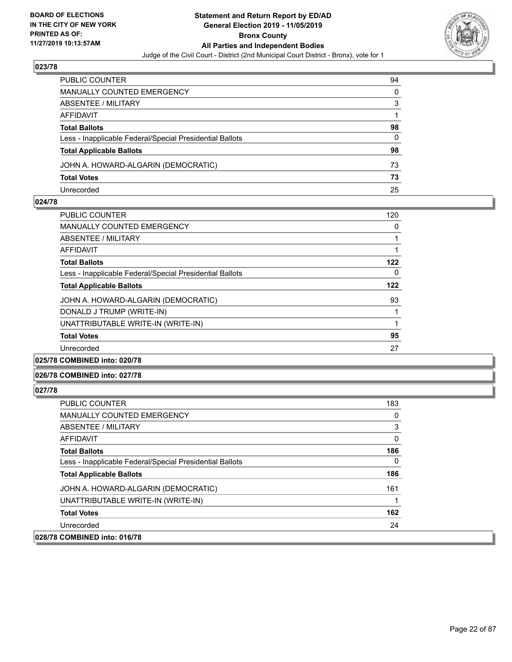

| PUBLIC COUNTER                                           | 94       |
|----------------------------------------------------------|----------|
| <b>MANUALLY COUNTED EMERGENCY</b>                        | $\Omega$ |
| ABSENTEE / MILITARY                                      | 3        |
| AFFIDAVIT                                                |          |
| <b>Total Ballots</b>                                     | 98       |
| Less - Inapplicable Federal/Special Presidential Ballots | 0        |
| <b>Total Applicable Ballots</b>                          | 98       |
| JOHN A. HOWARD-ALGARIN (DEMOCRATIC)                      | 73       |
| <b>Total Votes</b>                                       | 73       |
| Unrecorded                                               | 25       |

#### **024/78**

| <b>PUBLIC COUNTER</b>                                    | 120 |
|----------------------------------------------------------|-----|
| <b>MANUALLY COUNTED EMERGENCY</b>                        | 0   |
| ABSENTEE / MILITARY                                      |     |
| AFFIDAVIT                                                |     |
| <b>Total Ballots</b>                                     | 122 |
| Less - Inapplicable Federal/Special Presidential Ballots | 0   |
| <b>Total Applicable Ballots</b>                          | 122 |
| JOHN A. HOWARD-ALGARIN (DEMOCRATIC)                      | 93  |
| DONALD J TRUMP (WRITE-IN)                                |     |
| UNATTRIBUTABLE WRITE-IN (WRITE-IN)                       |     |
| <b>Total Votes</b>                                       | 95  |
| Unrecorded                                               | 27  |
| 025/78 COMBINED into: 020/78                             |     |

## **026/78 COMBINED into: 027/78**

| PUBLIC COUNTER                                           | 183 |
|----------------------------------------------------------|-----|
| MANUALLY COUNTED EMERGENCY                               | 0   |
| ABSENTEE / MILITARY                                      | 3   |
| AFFIDAVIT                                                | 0   |
| <b>Total Ballots</b>                                     | 186 |
| Less - Inapplicable Federal/Special Presidential Ballots | 0   |
| <b>Total Applicable Ballots</b>                          | 186 |
| JOHN A. HOWARD-ALGARIN (DEMOCRATIC)                      | 161 |
| UNATTRIBUTABLE WRITE-IN (WRITE-IN)                       |     |
| <b>Total Votes</b>                                       | 162 |
| Unrecorded                                               | 24  |
| 028/78 COMBINED into: 016/78                             |     |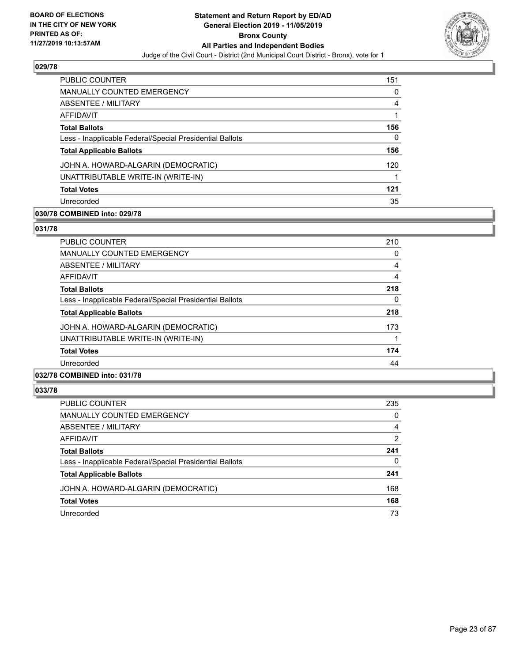

| PUBLIC COUNTER                                           | 151 |
|----------------------------------------------------------|-----|
| <b>MANUALLY COUNTED EMERGENCY</b>                        | 0   |
| ABSENTEE / MILITARY                                      | 4   |
| AFFIDAVIT                                                |     |
| <b>Total Ballots</b>                                     | 156 |
| Less - Inapplicable Federal/Special Presidential Ballots | 0   |
| <b>Total Applicable Ballots</b>                          | 156 |
| JOHN A. HOWARD-ALGARIN (DEMOCRATIC)                      | 120 |
| UNATTRIBUTABLE WRITE-IN (WRITE-IN)                       |     |
| <b>Total Votes</b>                                       | 121 |
| Unrecorded                                               | 35  |

## **030/78 COMBINED into: 029/78**

#### **031/78**

| PUBLIC COUNTER                                           | 210      |
|----------------------------------------------------------|----------|
| MANUALLY COUNTED EMERGENCY                               | $\Omega$ |
| ABSENTEE / MILITARY                                      | 4        |
| AFFIDAVIT                                                | 4        |
| <b>Total Ballots</b>                                     | 218      |
| Less - Inapplicable Federal/Special Presidential Ballots | $\Omega$ |
| <b>Total Applicable Ballots</b>                          | 218      |
| JOHN A. HOWARD-ALGARIN (DEMOCRATIC)                      | 173      |
| UNATTRIBUTABLE WRITE-IN (WRITE-IN)                       |          |
| <b>Total Votes</b>                                       | 174      |
| Unrecorded                                               | 44       |
|                                                          |          |

## **032/78 COMBINED into: 031/78**

| PUBLIC COUNTER                                           | 235 |
|----------------------------------------------------------|-----|
| <b>MANUALLY COUNTED EMERGENCY</b>                        | 0   |
| ABSENTEE / MILITARY                                      | 4   |
| AFFIDAVIT                                                | 2   |
| <b>Total Ballots</b>                                     | 241 |
| Less - Inapplicable Federal/Special Presidential Ballots | 0   |
| <b>Total Applicable Ballots</b>                          | 241 |
| JOHN A. HOWARD-ALGARIN (DEMOCRATIC)                      | 168 |
| <b>Total Votes</b>                                       | 168 |
| Unrecorded                                               | 73  |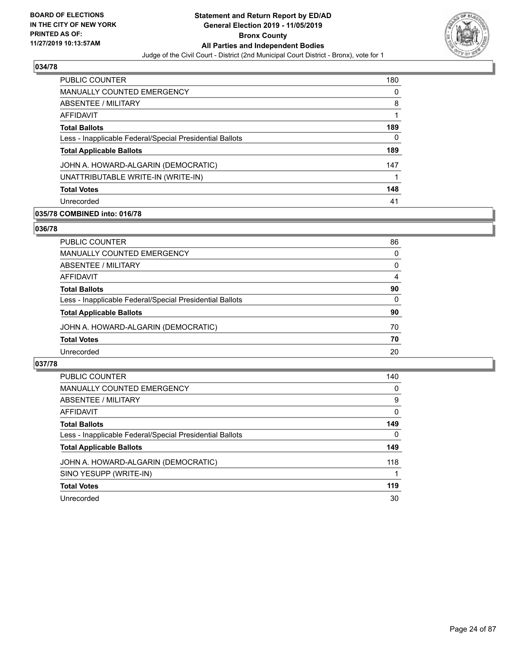

| PUBLIC COUNTER                                           | 180 |
|----------------------------------------------------------|-----|
| <b>MANUALLY COUNTED EMERGENCY</b>                        | 0   |
| ABSENTEE / MILITARY                                      | 8   |
| AFFIDAVIT                                                |     |
| <b>Total Ballots</b>                                     | 189 |
| Less - Inapplicable Federal/Special Presidential Ballots | 0   |
| <b>Total Applicable Ballots</b>                          | 189 |
| JOHN A. HOWARD-ALGARIN (DEMOCRATIC)                      | 147 |
| UNATTRIBUTABLE WRITE-IN (WRITE-IN)                       |     |
| <b>Total Votes</b>                                       | 148 |
| Unrecorded                                               | 41  |

## **035/78 COMBINED into: 016/78**

#### **036/78**

| PUBLIC COUNTER                                           | 86           |
|----------------------------------------------------------|--------------|
| <b>MANUALLY COUNTED EMERGENCY</b>                        | $\Omega$     |
| ABSENTEE / MILITARY                                      | $\mathbf{0}$ |
| AFFIDAVIT                                                | 4            |
| <b>Total Ballots</b>                                     | 90           |
| Less - Inapplicable Federal/Special Presidential Ballots | $\Omega$     |
| <b>Total Applicable Ballots</b>                          | 90           |
| JOHN A. HOWARD-ALGARIN (DEMOCRATIC)                      | 70           |
| <b>Total Votes</b>                                       | 70           |
| Unrecorded                                               | 20           |

| <b>PUBLIC COUNTER</b>                                    | 140      |
|----------------------------------------------------------|----------|
| <b>MANUALLY COUNTED EMERGENCY</b>                        | $\Omega$ |
| ABSENTEE / MILITARY                                      | 9        |
| AFFIDAVIT                                                | $\Omega$ |
| <b>Total Ballots</b>                                     | 149      |
| Less - Inapplicable Federal/Special Presidential Ballots | 0        |
| <b>Total Applicable Ballots</b>                          | 149      |
| JOHN A. HOWARD-ALGARIN (DEMOCRATIC)                      | 118      |
| SINO YESUPP (WRITE-IN)                                   |          |
| <b>Total Votes</b>                                       | 119      |
| Unrecorded                                               | 30       |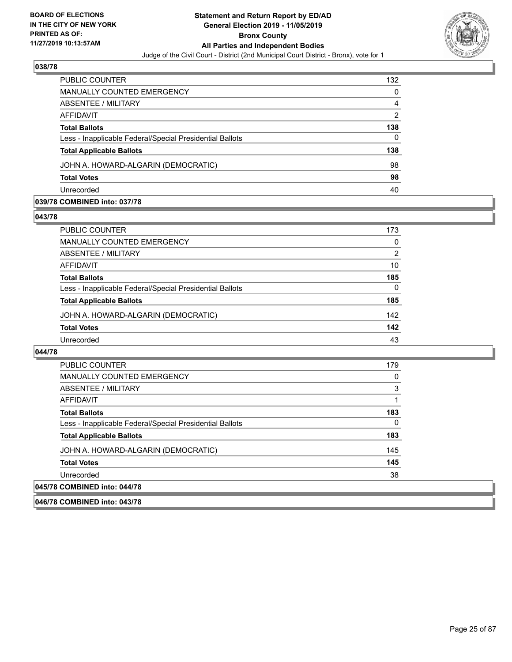

| PUBLIC COUNTER                                           | 132 |
|----------------------------------------------------------|-----|
| MANUALLY COUNTED EMERGENCY                               | 0   |
| ABSENTEE / MILITARY                                      | 4   |
| AFFIDAVIT                                                | 2   |
| <b>Total Ballots</b>                                     | 138 |
| Less - Inapplicable Federal/Special Presidential Ballots | 0   |
| <b>Total Applicable Ballots</b>                          | 138 |
| JOHN A. HOWARD-ALGARIN (DEMOCRATIC)                      | 98  |
| <b>Total Votes</b>                                       | 98  |
| Unrecorded                                               | 40  |

#### **039/78 COMBINED into: 037/78**

#### **043/78**

| <b>PUBLIC COUNTER</b>                                    | 173            |
|----------------------------------------------------------|----------------|
| MANUALLY COUNTED EMERGENCY                               | 0              |
| ABSENTEE / MILITARY                                      | $\overline{2}$ |
| AFFIDAVIT                                                | 10             |
| <b>Total Ballots</b>                                     | 185            |
| Less - Inapplicable Federal/Special Presidential Ballots | $\Omega$       |
| <b>Total Applicable Ballots</b>                          | 185            |
| JOHN A. HOWARD-ALGARIN (DEMOCRATIC)                      | 142            |
| <b>Total Votes</b>                                       | 142            |
| Unrecorded                                               | 43             |
|                                                          |                |

### **044/78**

| PUBLIC COUNTER                                           | 179 |
|----------------------------------------------------------|-----|
| <b>MANUALLY COUNTED EMERGENCY</b>                        | 0   |
| ABSENTEE / MILITARY                                      | 3   |
| AFFIDAVIT                                                |     |
| <b>Total Ballots</b>                                     | 183 |
| Less - Inapplicable Federal/Special Presidential Ballots | 0   |
| <b>Total Applicable Ballots</b>                          | 183 |
| JOHN A. HOWARD-ALGARIN (DEMOCRATIC)                      | 145 |
| <b>Total Votes</b>                                       | 145 |
| Unrecorded                                               | 38  |
| 045/78 COMBINED into: 044/78                             |     |
|                                                          |     |

## **046/78 COMBINED into: 043/78**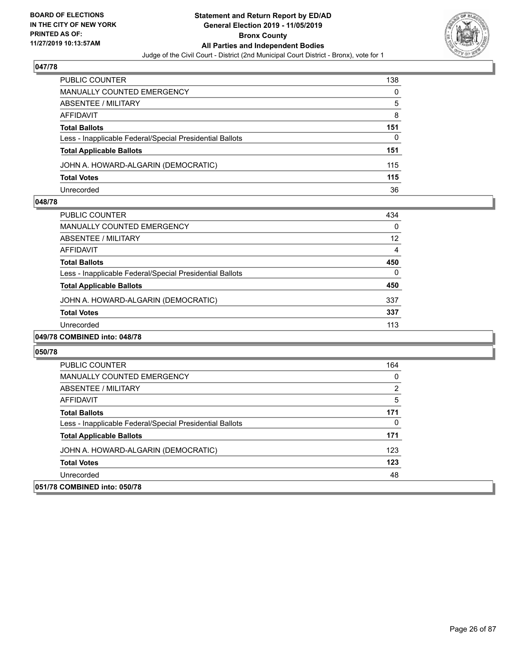

| PUBLIC COUNTER                                           | 138 |
|----------------------------------------------------------|-----|
| <b>MANUALLY COUNTED EMERGENCY</b>                        | 0   |
| <b>ABSENTEE / MILITARY</b>                               | 5   |
| AFFIDAVIT                                                | 8   |
| <b>Total Ballots</b>                                     | 151 |
| Less - Inapplicable Federal/Special Presidential Ballots | 0   |
| <b>Total Applicable Ballots</b>                          | 151 |
| JOHN A. HOWARD-ALGARIN (DEMOCRATIC)                      | 115 |
| <b>Total Votes</b>                                       | 115 |
| Unrecorded                                               | 36  |

#### **048/78**

| PUBLIC COUNTER                                           | 434            |
|----------------------------------------------------------|----------------|
| MANUALLY COUNTED EMERGENCY                               | 0              |
| ABSENTEE / MILITARY                                      | 12             |
| AFFIDAVIT                                                | $\overline{4}$ |
| <b>Total Ballots</b>                                     | 450            |
| Less - Inapplicable Federal/Special Presidential Ballots | $\Omega$       |
| <b>Total Applicable Ballots</b>                          | 450            |
| JOHN A. HOWARD-ALGARIN (DEMOCRATIC)                      | 337            |
| <b>Total Votes</b>                                       | 337            |
| Unrecorded                                               | 113            |
|                                                          |                |

#### **049/78 COMBINED into: 048/78**

| PUBLIC COUNTER                                           | 164 |
|----------------------------------------------------------|-----|
| MANUALLY COUNTED EMERGENCY                               | 0   |
| ABSENTEE / MILITARY                                      | 2   |
| AFFIDAVIT                                                | 5   |
| <b>Total Ballots</b>                                     | 171 |
| Less - Inapplicable Federal/Special Presidential Ballots | 0   |
| <b>Total Applicable Ballots</b>                          | 171 |
| JOHN A. HOWARD-ALGARIN (DEMOCRATIC)                      | 123 |
| <b>Total Votes</b>                                       | 123 |
| Unrecorded                                               | 48  |
| 051/78 COMBINED into: 050/78                             |     |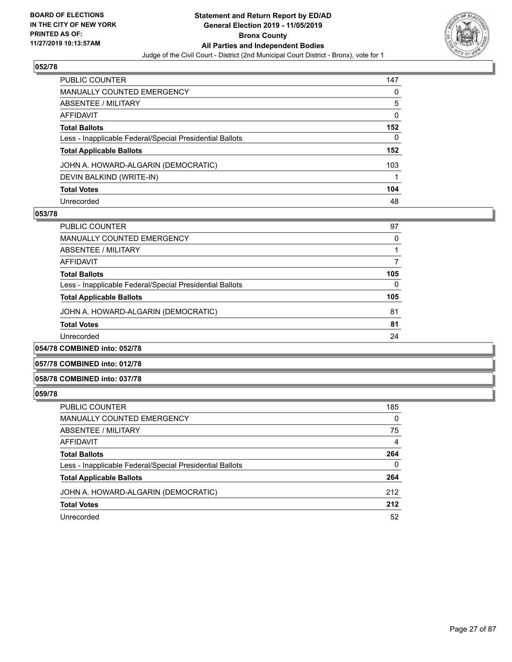

| PUBLIC COUNTER                                           | 147 |
|----------------------------------------------------------|-----|
| <b>MANUALLY COUNTED EMERGENCY</b>                        | 0   |
| ABSENTEE / MILITARY                                      | 5   |
| AFFIDAVIT                                                | 0   |
| <b>Total Ballots</b>                                     | 152 |
| Less - Inapplicable Federal/Special Presidential Ballots | 0   |
| <b>Total Applicable Ballots</b>                          | 152 |
| JOHN A. HOWARD-ALGARIN (DEMOCRATIC)                      | 103 |
| DEVIN BALKIND (WRITE-IN)                                 |     |
| <b>Total Votes</b>                                       | 104 |
| Unrecorded                                               | 48  |

#### **053/78**

| <b>PUBLIC COUNTER</b>                                    | 97       |
|----------------------------------------------------------|----------|
| <b>MANUALLY COUNTED EMERGENCY</b>                        | 0        |
| ABSENTEE / MILITARY                                      |          |
| AFFIDAVIT                                                |          |
| <b>Total Ballots</b>                                     | 105      |
| Less - Inapplicable Federal/Special Presidential Ballots | $\Omega$ |
| <b>Total Applicable Ballots</b>                          | 105      |
| JOHN A. HOWARD-ALGARIN (DEMOCRATIC)                      | 81       |
| <b>Total Votes</b>                                       | 81       |
| Unrecorded                                               | 24       |
|                                                          |          |

## **054/78 COMBINED into: 052/78**

#### **057/78 COMBINED into: 012/78**

## **058/78 COMBINED into: 037/78**

| PUBLIC COUNTER                                           | 185      |
|----------------------------------------------------------|----------|
| MANUALLY COUNTED EMERGENCY                               | 0        |
| ABSENTEE / MILITARY                                      | 75       |
| AFFIDAVIT                                                | 4        |
| <b>Total Ballots</b>                                     | 264      |
| Less - Inapplicable Federal/Special Presidential Ballots | $\Omega$ |
| <b>Total Applicable Ballots</b>                          | 264      |
| JOHN A. HOWARD-ALGARIN (DEMOCRATIC)                      | 212      |
| <b>Total Votes</b>                                       | 212      |
| Unrecorded                                               | 52       |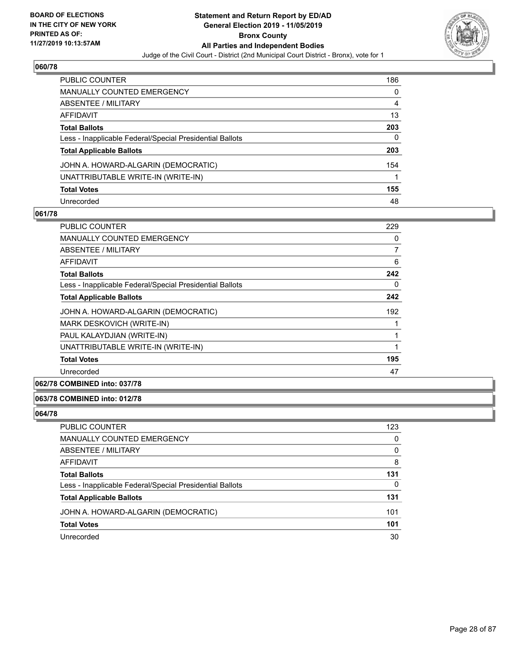

| PUBLIC COUNTER                                           | 186 |
|----------------------------------------------------------|-----|
| <b>MANUALLY COUNTED EMERGENCY</b>                        | 0   |
| <b>ABSENTEE / MILITARY</b>                               | 4   |
| AFFIDAVIT                                                | 13  |
| <b>Total Ballots</b>                                     | 203 |
| Less - Inapplicable Federal/Special Presidential Ballots | 0   |
| <b>Total Applicable Ballots</b>                          | 203 |
| JOHN A. HOWARD-ALGARIN (DEMOCRATIC)                      | 154 |
| UNATTRIBUTABLE WRITE-IN (WRITE-IN)                       |     |
| <b>Total Votes</b>                                       | 155 |
| Unrecorded                                               | 48  |

#### **061/78**

| <b>PUBLIC COUNTER</b>                                    | 229 |
|----------------------------------------------------------|-----|
| <b>MANUALLY COUNTED EMERGENCY</b>                        | 0   |
| ABSENTEE / MILITARY                                      | 7   |
| AFFIDAVIT                                                | 6   |
| <b>Total Ballots</b>                                     | 242 |
| Less - Inapplicable Federal/Special Presidential Ballots | 0   |
| <b>Total Applicable Ballots</b>                          | 242 |
| JOHN A. HOWARD-ALGARIN (DEMOCRATIC)                      | 192 |
| MARK DESKOVICH (WRITE-IN)                                |     |
| PAUL KALAYDJIAN (WRITE-IN)                               |     |
| UNATTRIBUTABLE WRITE-IN (WRITE-IN)                       |     |
| <b>Total Votes</b>                                       | 195 |
| Unrecorded                                               | 47  |
|                                                          |     |

## **062/78 COMBINED into: 037/78**

## **063/78 COMBINED into: 012/78**

| PUBLIC COUNTER                                           | 123 |
|----------------------------------------------------------|-----|
| MANUALLY COUNTED EMERGENCY                               | 0   |
| ABSENTEE / MILITARY                                      | 0   |
| AFFIDAVIT                                                | 8   |
| <b>Total Ballots</b>                                     | 131 |
| Less - Inapplicable Federal/Special Presidential Ballots | 0   |
| <b>Total Applicable Ballots</b>                          | 131 |
| JOHN A. HOWARD-ALGARIN (DEMOCRATIC)                      | 101 |
| <b>Total Votes</b>                                       | 101 |
| Unrecorded                                               | 30  |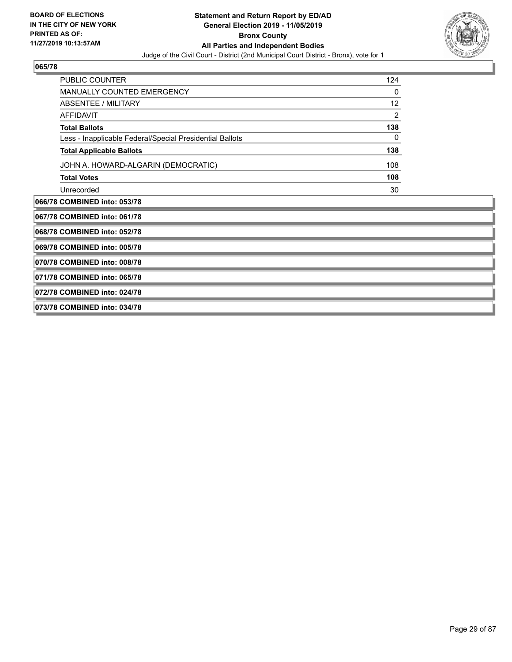

| <b>PUBLIC COUNTER</b>                                    | 124 |
|----------------------------------------------------------|-----|
| <b>MANUALLY COUNTED EMERGENCY</b>                        | 0   |
| ABSENTEE / MILITARY                                      | 12  |
| AFFIDAVIT                                                | 2   |
| <b>Total Ballots</b>                                     | 138 |
| Less - Inapplicable Federal/Special Presidential Ballots | 0   |
| <b>Total Applicable Ballots</b>                          | 138 |
| JOHN A. HOWARD-ALGARIN (DEMOCRATIC)                      | 108 |
| <b>Total Votes</b>                                       | 108 |
| Unrecorded                                               | 30  |
| 066/78 COMBINED into: 053/78                             |     |
| 067/78 COMBINED into: 061/78                             |     |

**068/78 COMBINED into: 052/78**

**069/78 COMBINED into: 005/78**

**070/78 COMBINED into: 008/78**

**071/78 COMBINED into: 065/78**

**072/78 COMBINED into: 024/78**

**073/78 COMBINED into: 034/78**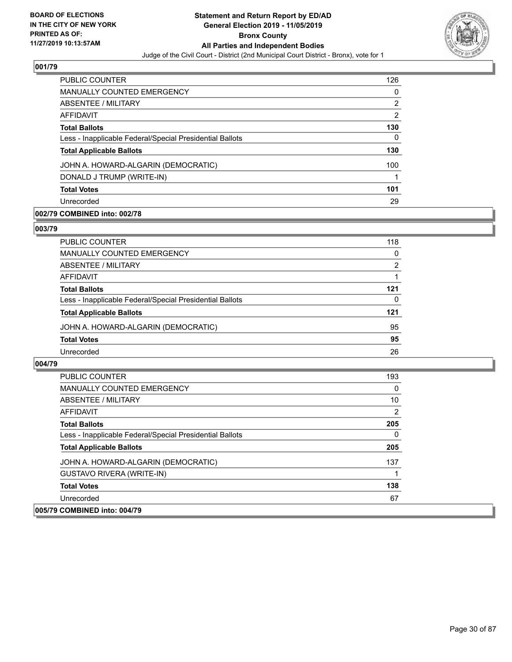

| <b>PUBLIC COUNTER</b>                                    | 126            |
|----------------------------------------------------------|----------------|
| <b>MANUALLY COUNTED EMERGENCY</b>                        | 0              |
| ABSENTEE / MILITARY                                      | $\overline{2}$ |
| AFFIDAVIT                                                | 2              |
| <b>Total Ballots</b>                                     | 130            |
| Less - Inapplicable Federal/Special Presidential Ballots | 0              |
| <b>Total Applicable Ballots</b>                          | 130            |
| JOHN A. HOWARD-ALGARIN (DEMOCRATIC)                      | 100            |
| DONALD J TRUMP (WRITE-IN)                                |                |
| <b>Total Votes</b>                                       | 101            |
| Unrecorded                                               | 29             |

### **002/79 COMBINED into: 002/78**

#### **003/79**

| PUBLIC COUNTER                                           | 118           |
|----------------------------------------------------------|---------------|
| <b>MANUALLY COUNTED EMERGENCY</b>                        | 0             |
| <b>ABSENTEE / MILITARY</b>                               | $\mathcal{P}$ |
| <b>AFFIDAVIT</b>                                         |               |
| <b>Total Ballots</b>                                     | 121           |
| Less - Inapplicable Federal/Special Presidential Ballots | 0             |
| <b>Total Applicable Ballots</b>                          | 121           |
| JOHN A. HOWARD-ALGARIN (DEMOCRATIC)                      | 95            |
| <b>Total Votes</b>                                       | 95            |
| Unrecorded                                               | 26            |

| <b>PUBLIC COUNTER</b>                                    | 193            |
|----------------------------------------------------------|----------------|
| <b>MANUALLY COUNTED EMERGENCY</b>                        | 0              |
| ABSENTEE / MILITARY                                      | 10             |
| AFFIDAVIT                                                | $\overline{2}$ |
| <b>Total Ballots</b>                                     | 205            |
| Less - Inapplicable Federal/Special Presidential Ballots | $\Omega$       |
| <b>Total Applicable Ballots</b>                          | 205            |
| JOHN A. HOWARD-ALGARIN (DEMOCRATIC)                      | 137            |
| <b>GUSTAVO RIVERA (WRITE-IN)</b>                         |                |
| <b>Total Votes</b>                                       | 138            |
| Unrecorded                                               | 67             |
| 005/79 COMBINED into: 004/79                             |                |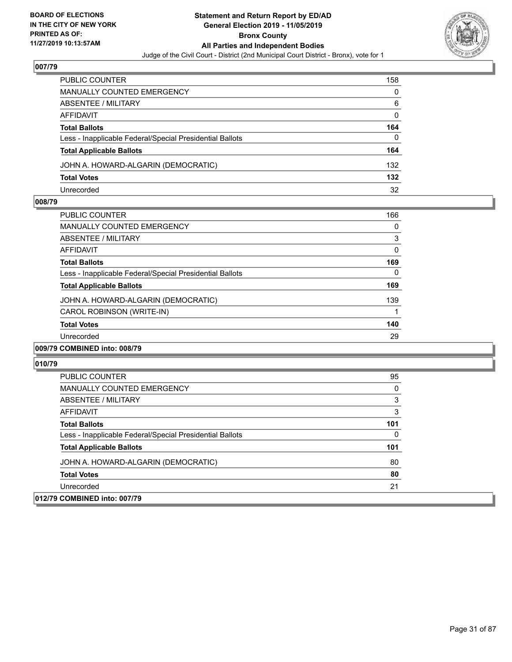

| PUBLIC COUNTER                                           | 158      |
|----------------------------------------------------------|----------|
| <b>MANUALLY COUNTED EMERGENCY</b>                        | 0        |
| <b>ABSENTEE / MILITARY</b>                               | 6        |
| AFFIDAVIT                                                | $\Omega$ |
| <b>Total Ballots</b>                                     | 164      |
| Less - Inapplicable Federal/Special Presidential Ballots | 0        |
| <b>Total Applicable Ballots</b>                          | 164      |
| JOHN A. HOWARD-ALGARIN (DEMOCRATIC)                      | 132      |
| <b>Total Votes</b>                                       | 132      |
| Unrecorded                                               | 32       |

#### **008/79**

| <b>PUBLIC COUNTER</b>                                    | 166 |
|----------------------------------------------------------|-----|
| <b>MANUALLY COUNTED EMERGENCY</b>                        | 0   |
| ABSENTEE / MILITARY                                      | 3   |
| AFFIDAVIT                                                | 0   |
| <b>Total Ballots</b>                                     | 169 |
| Less - Inapplicable Federal/Special Presidential Ballots | 0   |
| <b>Total Applicable Ballots</b>                          | 169 |
| JOHN A. HOWARD-ALGARIN (DEMOCRATIC)                      | 139 |
| CAROL ROBINSON (WRITE-IN)                                |     |
| <b>Total Votes</b>                                       | 140 |
| Unrecorded                                               | 29  |
| 009/79 COMBINED into: 008/79                             |     |

| <b>PUBLIC COUNTER</b>                                    | 95  |
|----------------------------------------------------------|-----|
| <b>MANUALLY COUNTED EMERGENCY</b>                        | 0   |
| ABSENTEE / MILITARY                                      | 3   |
| AFFIDAVIT                                                | 3   |
| <b>Total Ballots</b>                                     | 101 |
| Less - Inapplicable Federal/Special Presidential Ballots | 0   |
| <b>Total Applicable Ballots</b>                          | 101 |
| JOHN A. HOWARD-ALGARIN (DEMOCRATIC)                      | 80  |
| <b>Total Votes</b>                                       | 80  |
| Unrecorded                                               | 21  |
| 012/79 COMBINED into: 007/79                             |     |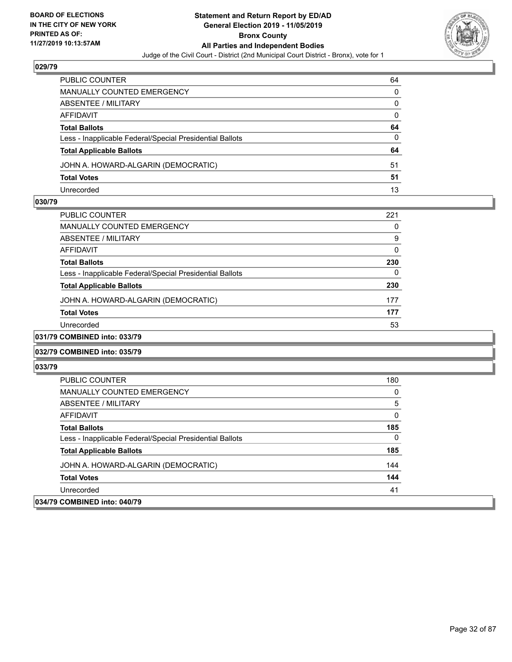

| PUBLIC COUNTER                                           | 64 |
|----------------------------------------------------------|----|
| <b>MANUALLY COUNTED EMERGENCY</b>                        | 0  |
| <b>ABSENTEE / MILITARY</b>                               | 0  |
| AFFIDAVIT                                                | 0  |
| <b>Total Ballots</b>                                     | 64 |
| Less - Inapplicable Federal/Special Presidential Ballots | 0  |
| <b>Total Applicable Ballots</b>                          | 64 |
| JOHN A. HOWARD-ALGARIN (DEMOCRATIC)                      | 51 |
| <b>Total Votes</b>                                       | 51 |
| Unrecorded                                               | 13 |

#### **030/79**

| PUBLIC COUNTER                                           | 221      |
|----------------------------------------------------------|----------|
| <b>MANUALLY COUNTED EMERGENCY</b>                        | O        |
| ABSENTEE / MILITARY                                      | 9        |
| AFFIDAVIT                                                | $\Omega$ |
| <b>Total Ballots</b>                                     | 230      |
| Less - Inapplicable Federal/Special Presidential Ballots | 0        |
| <b>Total Applicable Ballots</b>                          | 230      |
| JOHN A. HOWARD-ALGARIN (DEMOCRATIC)                      | 177      |
| <b>Total Votes</b>                                       | 177      |
| Unrecorded                                               | 53       |
| COMPINIED into 022/70                                    |          |

## **031/79 COMBINED into: 033/79**

### **032/79 COMBINED into: 035/79**

| <b>PUBLIC COUNTER</b>                                    | 180      |
|----------------------------------------------------------|----------|
| <b>MANUALLY COUNTED EMERGENCY</b>                        | 0        |
| ABSENTEE / MILITARY                                      | 5        |
| <b>AFFIDAVIT</b>                                         | $\Omega$ |
| <b>Total Ballots</b>                                     | 185      |
| Less - Inapplicable Federal/Special Presidential Ballots | 0        |
| <b>Total Applicable Ballots</b>                          | 185      |
| JOHN A. HOWARD-ALGARIN (DEMOCRATIC)                      | 144      |
| <b>Total Votes</b>                                       | 144      |
| Unrecorded                                               | 41       |
| 034/79 COMBINED into: 040/79                             |          |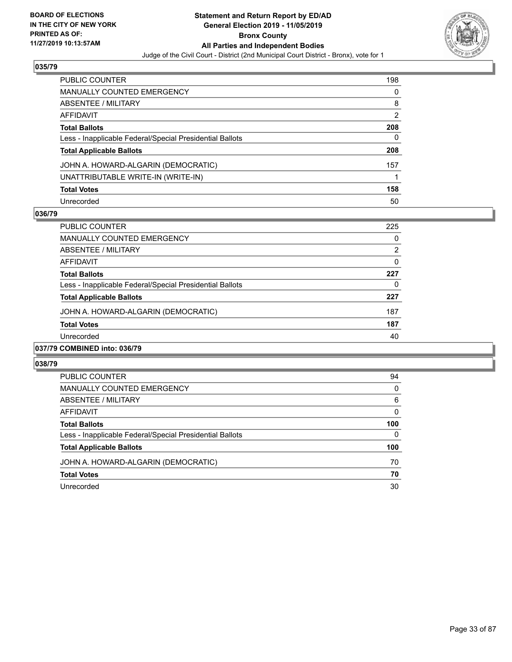

| PUBLIC COUNTER                                           | 198            |
|----------------------------------------------------------|----------------|
| MANUALLY COUNTED EMERGENCY                               | 0              |
| ABSENTEE / MILITARY                                      | 8              |
| AFFIDAVIT                                                | $\overline{2}$ |
| <b>Total Ballots</b>                                     | 208            |
| Less - Inapplicable Federal/Special Presidential Ballots | 0              |
| <b>Total Applicable Ballots</b>                          | 208            |
| JOHN A. HOWARD-ALGARIN (DEMOCRATIC)                      | 157            |
| UNATTRIBUTABLE WRITE-IN (WRITE-IN)                       |                |
| <b>Total Votes</b>                                       | 158            |
| Unrecorded                                               | 50             |

#### **036/79**

| <b>PUBLIC COUNTER</b>                                    | 225 |
|----------------------------------------------------------|-----|
| MANUALLY COUNTED EMERGENCY                               | 0   |
| ABSENTEE / MILITARY                                      | 2   |
| AFFIDAVIT                                                | 0   |
| <b>Total Ballots</b>                                     | 227 |
| Less - Inapplicable Federal/Special Presidential Ballots | 0   |
| <b>Total Applicable Ballots</b>                          | 227 |
| JOHN A. HOWARD-ALGARIN (DEMOCRATIC)                      | 187 |
| <b>Total Votes</b>                                       | 187 |
| Unrecorded                                               | 40  |
|                                                          |     |

#### **037/79 COMBINED into: 036/79**

| <b>PUBLIC COUNTER</b>                                    | 94       |
|----------------------------------------------------------|----------|
| MANUALLY COUNTED EMERGENCY                               | $\Omega$ |
| ABSENTEE / MILITARY                                      | 6        |
| AFFIDAVIT                                                | 0        |
| <b>Total Ballots</b>                                     | 100      |
| Less - Inapplicable Federal/Special Presidential Ballots | $\Omega$ |
| <b>Total Applicable Ballots</b>                          | 100      |
| JOHN A. HOWARD-ALGARIN (DEMOCRATIC)                      | 70       |
| <b>Total Votes</b>                                       | 70       |
| Unrecorded                                               | 30       |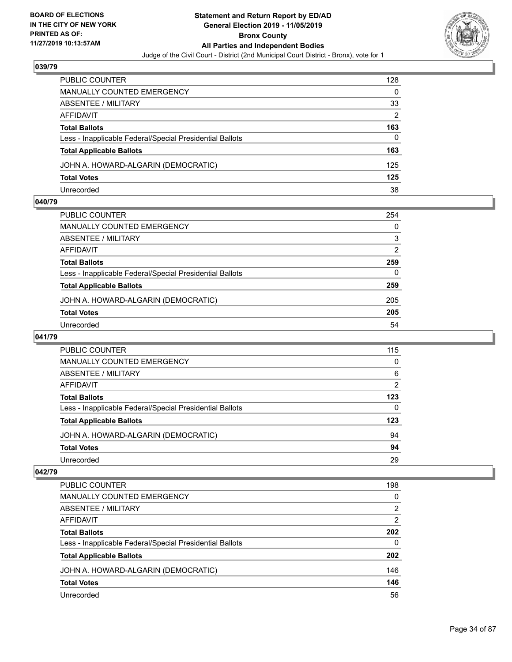

| PUBLIC COUNTER                                           | 128 |
|----------------------------------------------------------|-----|
| <b>MANUALLY COUNTED EMERGENCY</b>                        | 0   |
| <b>ABSENTEE / MILITARY</b>                               | 33  |
| AFFIDAVIT                                                | 2   |
| <b>Total Ballots</b>                                     | 163 |
| Less - Inapplicable Federal/Special Presidential Ballots | 0   |
| <b>Total Applicable Ballots</b>                          | 163 |
| JOHN A. HOWARD-ALGARIN (DEMOCRATIC)                      | 125 |
| <b>Total Votes</b>                                       | 125 |
| Unrecorded                                               | 38  |

#### **040/79**

| PUBLIC COUNTER                                           | 254            |
|----------------------------------------------------------|----------------|
| MANUALLY COUNTED EMERGENCY                               | $\Omega$       |
| ABSENTEE / MILITARY                                      | 3              |
| AFFIDAVIT                                                | $\overline{2}$ |
| Total Ballots                                            | 259            |
| Less - Inapplicable Federal/Special Presidential Ballots | 0              |
| <b>Total Applicable Ballots</b>                          | 259            |
| JOHN A. HOWARD-ALGARIN (DEMOCRATIC)                      | 205            |
| <b>Total Votes</b>                                       | 205            |
| Unrecorded                                               | 54             |
|                                                          |                |

## **041/79**

| PUBLIC COUNTER                                           | 115            |
|----------------------------------------------------------|----------------|
| MANUALLY COUNTED EMERGENCY                               | 0              |
| ABSENTEE / MILITARY                                      | 6              |
| AFFIDAVIT                                                | $\overline{2}$ |
| <b>Total Ballots</b>                                     | 123            |
| Less - Inapplicable Federal/Special Presidential Ballots | 0              |
| <b>Total Applicable Ballots</b>                          | 123            |
| JOHN A. HOWARD-ALGARIN (DEMOCRATIC)                      | 94             |
| <b>Total Votes</b>                                       | 94             |
| Unrecorded                                               | 29             |

| PUBLIC COUNTER                                           | 198 |
|----------------------------------------------------------|-----|
| <b>MANUALLY COUNTED EMERGENCY</b>                        | 0   |
| ABSENTEE / MILITARY                                      | 2   |
| AFFIDAVIT                                                | 2   |
| <b>Total Ballots</b>                                     | 202 |
| Less - Inapplicable Federal/Special Presidential Ballots | 0   |
| <b>Total Applicable Ballots</b>                          | 202 |
| JOHN A. HOWARD-ALGARIN (DEMOCRATIC)                      | 146 |
| <b>Total Votes</b>                                       | 146 |
| Unrecorded                                               | 56  |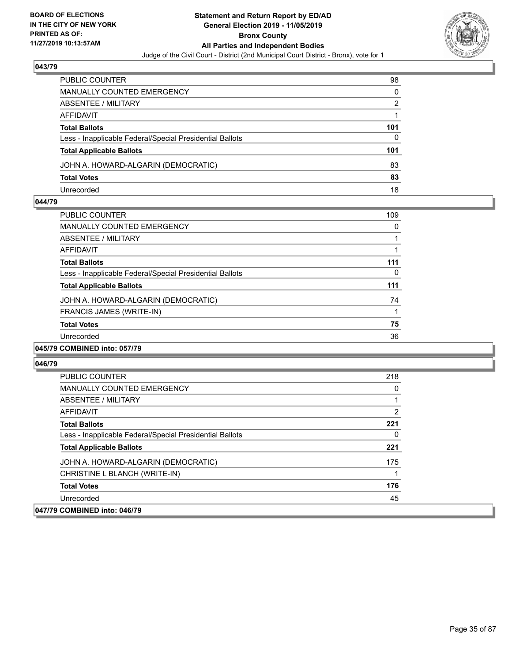

| PUBLIC COUNTER                                           | 98  |
|----------------------------------------------------------|-----|
| <b>MANUALLY COUNTED EMERGENCY</b>                        | 0   |
| <b>ABSENTEE / MILITARY</b>                               | 2   |
| AFFIDAVIT                                                |     |
| <b>Total Ballots</b>                                     | 101 |
| Less - Inapplicable Federal/Special Presidential Ballots | 0   |
| <b>Total Applicable Ballots</b>                          | 101 |
| JOHN A. HOWARD-ALGARIN (DEMOCRATIC)                      | 83  |
| <b>Total Votes</b>                                       | 83  |
| Unrecorded                                               | 18  |

#### **044/79**

| <b>PUBLIC COUNTER</b>                                    | 109 |
|----------------------------------------------------------|-----|
| <b>MANUALLY COUNTED EMERGENCY</b>                        | 0   |
| ABSENTEE / MILITARY                                      |     |
| AFFIDAVIT                                                |     |
| <b>Total Ballots</b>                                     | 111 |
| Less - Inapplicable Federal/Special Presidential Ballots | 0   |
| <b>Total Applicable Ballots</b>                          | 111 |
| JOHN A. HOWARD-ALGARIN (DEMOCRATIC)                      | 74  |
| FRANCIS JAMES (WRITE-IN)                                 | 1   |
| <b>Total Votes</b>                                       | 75  |
| Unrecorded                                               | 36  |
| 045/79 COMBINED into: 057/79                             |     |

| <b>PUBLIC COUNTER</b>                                    | 218 |
|----------------------------------------------------------|-----|
| <b>MANUALLY COUNTED EMERGENCY</b>                        | 0   |
| ABSENTEE / MILITARY                                      |     |
| AFFIDAVIT                                                | 2   |
| <b>Total Ballots</b>                                     | 221 |
| Less - Inapplicable Federal/Special Presidential Ballots | 0   |
| <b>Total Applicable Ballots</b>                          | 221 |
| JOHN A. HOWARD-ALGARIN (DEMOCRATIC)                      | 175 |
| CHRISTINE L BLANCH (WRITE-IN)                            |     |
| <b>Total Votes</b>                                       | 176 |
| Unrecorded                                               | 45  |
| 047/79 COMBINED into: 046/79                             |     |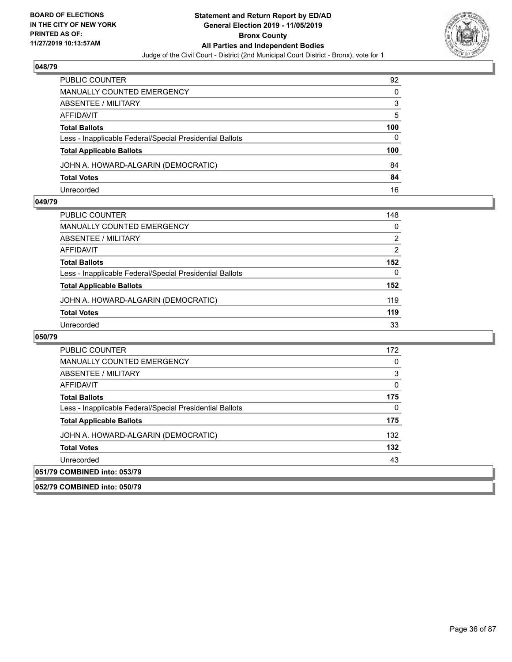

| PUBLIC COUNTER                                           | 92  |
|----------------------------------------------------------|-----|
| <b>MANUALLY COUNTED EMERGENCY</b>                        | 0   |
| <b>ABSENTEE / MILITARY</b>                               | 3   |
| AFFIDAVIT                                                | 5   |
| <b>Total Ballots</b>                                     | 100 |
| Less - Inapplicable Federal/Special Presidential Ballots | 0   |
| <b>Total Applicable Ballots</b>                          | 100 |
| JOHN A. HOWARD-ALGARIN (DEMOCRATIC)                      | 84  |
| <b>Total Votes</b>                                       | 84  |
| Unrecorded                                               | 16  |

#### **049/79**

| PUBLIC COUNTER                                           | 148 |
|----------------------------------------------------------|-----|
| <b>MANUALLY COUNTED EMERGENCY</b>                        | 0   |
| <b>ABSENTEE / MILITARY</b>                               | 2   |
| <b>AFFIDAVIT</b>                                         | 2   |
| <b>Total Ballots</b>                                     | 152 |
| Less - Inapplicable Federal/Special Presidential Ballots | 0   |
| <b>Total Applicable Ballots</b>                          | 152 |
| JOHN A. HOWARD-ALGARIN (DEMOCRATIC)                      | 119 |
| <b>Total Votes</b>                                       | 119 |
| Unrecorded                                               | 33  |
|                                                          |     |

| <b>PUBLIC COUNTER</b>                                    | 172 |
|----------------------------------------------------------|-----|
| MANUALLY COUNTED EMERGENCY                               | 0   |
| ABSENTEE / MILITARY                                      | 3   |
| AFFIDAVIT                                                | 0   |
| <b>Total Ballots</b>                                     | 175 |
| Less - Inapplicable Federal/Special Presidential Ballots | 0   |
| <b>Total Applicable Ballots</b>                          | 175 |
| JOHN A. HOWARD-ALGARIN (DEMOCRATIC)                      | 132 |
| <b>Total Votes</b>                                       | 132 |
| Unrecorded                                               | 43  |
| 051/79 COMBINED into: 053/79                             |     |
| 052/79 COMBINED into: 050/79                             |     |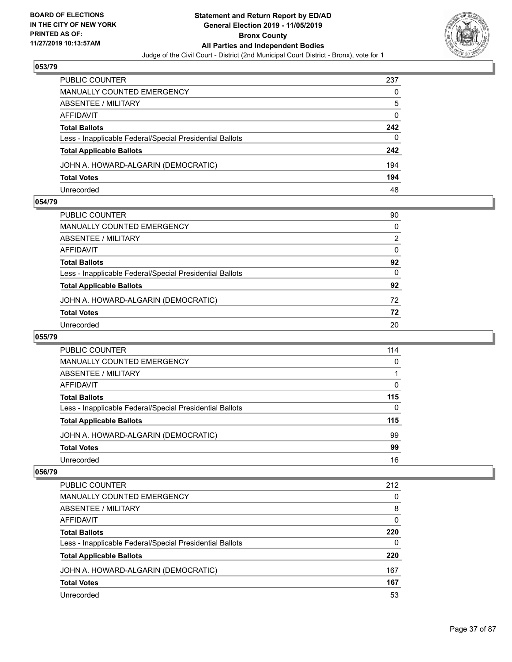

| PUBLIC COUNTER                                           | 237      |
|----------------------------------------------------------|----------|
| <b>MANUALLY COUNTED EMERGENCY</b>                        | 0        |
| <b>ABSENTEE / MILITARY</b>                               | 5        |
| <b>AFFIDAVIT</b>                                         | $\Omega$ |
| <b>Total Ballots</b>                                     | 242      |
| Less - Inapplicable Federal/Special Presidential Ballots | 0        |
| <b>Total Applicable Ballots</b>                          | 242      |
| JOHN A. HOWARD-ALGARIN (DEMOCRATIC)                      | 194      |
| <b>Total Votes</b>                                       | 194      |
| Unrecorded                                               | 48       |

#### **054/79**

| PUBLIC COUNTER                                           | 90       |
|----------------------------------------------------------|----------|
| MANUALLY COUNTED EMERGENCY                               | $\Omega$ |
| ABSENTEE / MILITARY                                      | 2        |
| AFFIDAVIT                                                | 0        |
| <b>Total Ballots</b>                                     | 92       |
| Less - Inapplicable Federal/Special Presidential Ballots | $\Omega$ |
| <b>Total Applicable Ballots</b>                          | 92       |
| JOHN A. HOWARD-ALGARIN (DEMOCRATIC)                      | 72       |
| <b>Total Votes</b>                                       | 72       |
| Unrecorded                                               | 20       |
|                                                          |          |

#### **055/79**

| <b>PUBLIC COUNTER</b>                                    | 114 |
|----------------------------------------------------------|-----|
| MANUALLY COUNTED EMERGENCY                               | 0   |
| ABSENTEE / MILITARY                                      |     |
| AFFIDAVIT                                                | 0   |
| <b>Total Ballots</b>                                     | 115 |
| Less - Inapplicable Federal/Special Presidential Ballots | 0   |
| <b>Total Applicable Ballots</b>                          | 115 |
| JOHN A. HOWARD-ALGARIN (DEMOCRATIC)                      | 99  |
| <b>Total Votes</b>                                       | 99  |
| Unrecorded                                               | 16  |

| <b>PUBLIC COUNTER</b>                                    | 212 |
|----------------------------------------------------------|-----|
| <b>MANUALLY COUNTED EMERGENCY</b>                        | 0   |
| ABSENTEE / MILITARY                                      | 8   |
| AFFIDAVIT                                                | 0   |
| <b>Total Ballots</b>                                     | 220 |
| Less - Inapplicable Federal/Special Presidential Ballots | 0   |
| <b>Total Applicable Ballots</b>                          | 220 |
| JOHN A. HOWARD-ALGARIN (DEMOCRATIC)                      | 167 |
| <b>Total Votes</b>                                       | 167 |
| Unrecorded                                               | 53  |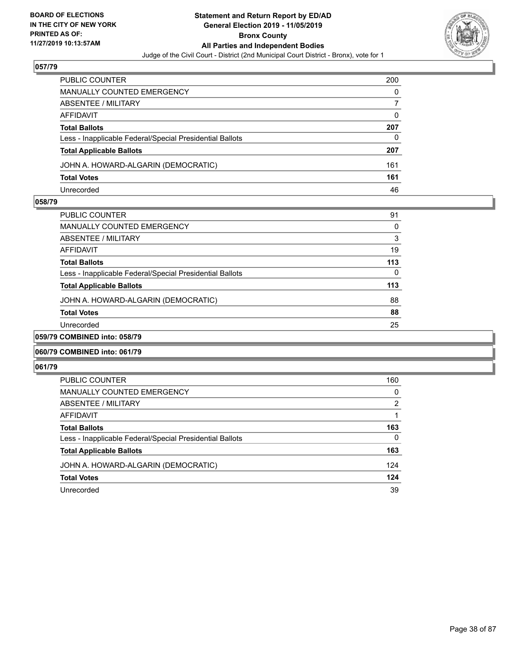

| PUBLIC COUNTER                                           | 200 |
|----------------------------------------------------------|-----|
| <b>MANUALLY COUNTED EMERGENCY</b>                        | 0   |
| ABSENTEE / MILITARY                                      |     |
| AFFIDAVIT                                                | 0   |
| <b>Total Ballots</b>                                     | 207 |
| Less - Inapplicable Federal/Special Presidential Ballots | 0   |
| <b>Total Applicable Ballots</b>                          | 207 |
| JOHN A. HOWARD-ALGARIN (DEMOCRATIC)                      | 161 |
| <b>Total Votes</b>                                       | 161 |
| Unrecorded                                               | 46  |

#### **058/79**

| <b>PUBLIC COUNTER</b>                                    | 91  |
|----------------------------------------------------------|-----|
|                                                          |     |
| <b>MANUALLY COUNTED EMERGENCY</b>                        | 0   |
| ABSENTEE / MILITARY                                      | 3   |
| AFFIDAVIT                                                | 19  |
| <b>Total Ballots</b>                                     | 113 |
| Less - Inapplicable Federal/Special Presidential Ballots | 0   |
| <b>Total Applicable Ballots</b>                          | 113 |
| JOHN A. HOWARD-ALGARIN (DEMOCRATIC)                      | 88  |
| <b>Total Votes</b>                                       | 88  |
| Unrecorded                                               | 25  |
| 059/79 COMBINED into: 058/79                             |     |

# **060/79 COMBINED into: 061/79**

| <b>PUBLIC COUNTER</b>                                    | 160 |
|----------------------------------------------------------|-----|
| MANUALLY COUNTED EMERGENCY                               | 0   |
| ABSENTEE / MILITARY                                      | 2   |
| AFFIDAVIT                                                |     |
| <b>Total Ballots</b>                                     | 163 |
| Less - Inapplicable Federal/Special Presidential Ballots | 0   |
| <b>Total Applicable Ballots</b>                          | 163 |
| JOHN A. HOWARD-ALGARIN (DEMOCRATIC)                      | 124 |
| <b>Total Votes</b>                                       | 124 |
| Unrecorded                                               | 39  |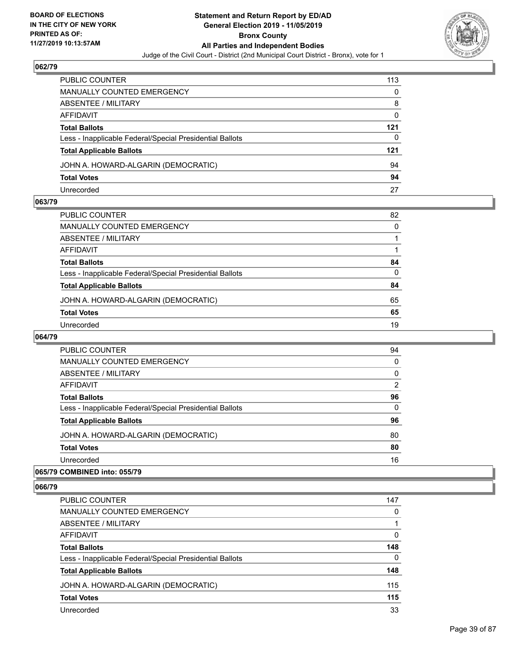

| PUBLIC COUNTER                                           | 113      |
|----------------------------------------------------------|----------|
| <b>MANUALLY COUNTED EMERGENCY</b>                        | 0        |
| <b>ABSENTEE / MILITARY</b>                               | 8        |
| AFFIDAVIT                                                | $\Omega$ |
| <b>Total Ballots</b>                                     | 121      |
| Less - Inapplicable Federal/Special Presidential Ballots | 0        |
| <b>Total Applicable Ballots</b>                          | 121      |
| JOHN A. HOWARD-ALGARIN (DEMOCRATIC)                      | 94       |
| <b>Total Votes</b>                                       | 94       |
| Unrecorded                                               | 27       |

#### **063/79**

| PUBLIC COUNTER                                           | 82       |
|----------------------------------------------------------|----------|
| MANUALLY COUNTED EMERGENCY                               | 0        |
| ABSENTEE / MILITARY                                      |          |
| AFFIDAVIT                                                |          |
| <b>Total Ballots</b>                                     | 84       |
| Less - Inapplicable Federal/Special Presidential Ballots | $\Omega$ |
| <b>Total Applicable Ballots</b>                          | 84       |
| JOHN A. HOWARD-ALGARIN (DEMOCRATIC)                      | 65       |
| <b>Total Votes</b>                                       | 65       |
| Unrecorded                                               | 19       |
|                                                          |          |

#### **064/79**

| <b>PUBLIC COUNTER</b>                                    | 94       |
|----------------------------------------------------------|----------|
| MANUALLY COUNTED EMERGENCY                               | $\Omega$ |
| ABSENTEE / MILITARY                                      | $\Omega$ |
| AFFIDAVIT                                                | 2        |
| <b>Total Ballots</b>                                     | 96       |
| Less - Inapplicable Federal/Special Presidential Ballots | $\Omega$ |
| <b>Total Applicable Ballots</b>                          | 96       |
| JOHN A. HOWARD-ALGARIN (DEMOCRATIC)                      | 80       |
| <b>Total Votes</b>                                       | 80       |
| Unrecorded                                               | 16       |
|                                                          |          |

#### **065/79 COMBINED into: 055/79**

| PUBLIC COUNTER                                           | 147      |
|----------------------------------------------------------|----------|
| <b>MANUALLY COUNTED EMERGENCY</b>                        | 0        |
| ABSENTEE / MILITARY                                      |          |
| AFFIDAVIT                                                | $\Omega$ |
| <b>Total Ballots</b>                                     | 148      |
| Less - Inapplicable Federal/Special Presidential Ballots | $\Omega$ |
| <b>Total Applicable Ballots</b>                          | 148      |
| JOHN A. HOWARD-ALGARIN (DEMOCRATIC)                      | 115      |
| <b>Total Votes</b>                                       | 115      |
| Unrecorded                                               | 33       |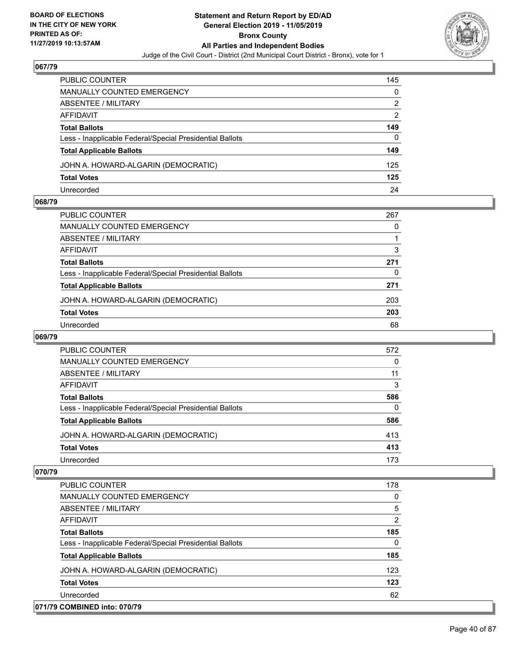

| PUBLIC COUNTER                                           | 145 |
|----------------------------------------------------------|-----|
| <b>MANUALLY COUNTED EMERGENCY</b>                        | 0   |
| ABSENTEE / MILITARY                                      | 2   |
| AFFIDAVIT                                                | 2   |
| <b>Total Ballots</b>                                     | 149 |
| Less - Inapplicable Federal/Special Presidential Ballots | 0   |
| <b>Total Applicable Ballots</b>                          | 149 |
| JOHN A. HOWARD-ALGARIN (DEMOCRATIC)                      | 125 |
| <b>Total Votes</b>                                       | 125 |
| Unrecorded                                               | 24  |

#### **068/79**

| PUBLIC COUNTER                                           | 267 |
|----------------------------------------------------------|-----|
| MANUALLY COUNTED EMERGENCY                               | 0   |
| ABSENTEE / MILITARY                                      |     |
| <b>AFFIDAVIT</b>                                         | 3   |
| <b>Total Ballots</b>                                     | 271 |
| Less - Inapplicable Federal/Special Presidential Ballots | 0   |
| <b>Total Applicable Ballots</b>                          | 271 |
| JOHN A. HOWARD-ALGARIN (DEMOCRATIC)                      | 203 |
| <b>Total Votes</b>                                       | 203 |
| Unrecorded                                               | 68  |
|                                                          |     |

### **069/79**

| PUBLIC COUNTER                                           | 572 |
|----------------------------------------------------------|-----|
| <b>MANUALLY COUNTED EMERGENCY</b>                        | 0   |
| ABSENTEE / MILITARY                                      | 11  |
| AFFIDAVIT                                                | 3   |
| <b>Total Ballots</b>                                     | 586 |
| Less - Inapplicable Federal/Special Presidential Ballots | 0   |
| <b>Total Applicable Ballots</b>                          | 586 |
| JOHN A. HOWARD-ALGARIN (DEMOCRATIC)                      | 413 |
| <b>Total Votes</b>                                       | 413 |
| Unrecorded                                               | 173 |

| Unrecorded<br>071/79 COMBINED into: 070/79               | 62       |
|----------------------------------------------------------|----------|
|                                                          |          |
| <b>Total Votes</b>                                       | 123      |
| JOHN A. HOWARD-ALGARIN (DEMOCRATIC)                      | 123      |
| <b>Total Applicable Ballots</b>                          | 185      |
| Less - Inapplicable Federal/Special Presidential Ballots | 0        |
| <b>Total Ballots</b>                                     | 185      |
| <b>AFFIDAVIT</b>                                         | 2        |
| ABSENTEE / MILITARY                                      | 5        |
| <b>MANUALLY COUNTED EMERGENCY</b>                        | $\Omega$ |
| PUBLIC COUNTER                                           | 178      |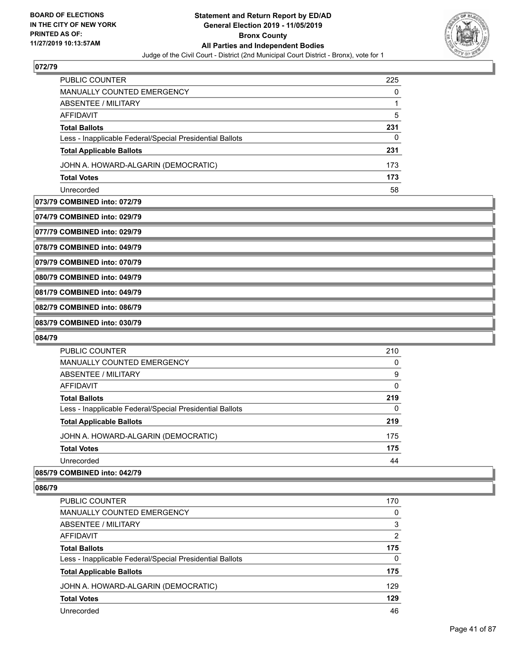

| <b>PUBLIC COUNTER</b>                                    | 225 |
|----------------------------------------------------------|-----|
| <b>MANUALLY COUNTED EMERGENCY</b>                        | 0   |
| ABSENTEE / MILITARY                                      |     |
| AFFIDAVIT                                                | 5   |
| <b>Total Ballots</b>                                     | 231 |
| Less - Inapplicable Federal/Special Presidential Ballots | 0   |
| <b>Total Applicable Ballots</b>                          | 231 |
| JOHN A. HOWARD-ALGARIN (DEMOCRATIC)                      | 173 |
| <b>Total Votes</b>                                       | 173 |
| Unrecorded                                               | 58  |

#### **073/79 COMBINED into: 072/79**

**074/79 COMBINED into: 029/79**

**077/79 COMBINED into: 029/79**

**078/79 COMBINED into: 049/79**

**079/79 COMBINED into: 070/79**

**080/79 COMBINED into: 049/79**

**081/79 COMBINED into: 049/79**

# **082/79 COMBINED into: 086/79**

**083/79 COMBINED into: 030/79**

#### **084/79**

| <b>PUBLIC COUNTER</b>                                    | 210 |
|----------------------------------------------------------|-----|
| <b>MANUALLY COUNTED EMERGENCY</b>                        | 0   |
| ABSENTEE / MILITARY                                      | 9   |
| AFFIDAVIT                                                | 0   |
| <b>Total Ballots</b>                                     | 219 |
| Less - Inapplicable Federal/Special Presidential Ballots | 0   |
| <b>Total Applicable Ballots</b>                          | 219 |
| JOHN A. HOWARD-ALGARIN (DEMOCRATIC)                      | 175 |
| <b>Total Votes</b>                                       | 175 |
| Unrecorded                                               | 44  |

#### **085/79 COMBINED into: 042/79**

| PUBLIC COUNTER                                           | 170 |
|----------------------------------------------------------|-----|
| <b>MANUALLY COUNTED EMERGENCY</b>                        | 0   |
| ABSENTEE / MILITARY                                      | 3   |
| AFFIDAVIT                                                | 2   |
| <b>Total Ballots</b>                                     | 175 |
| Less - Inapplicable Federal/Special Presidential Ballots | 0   |
| <b>Total Applicable Ballots</b>                          | 175 |
| JOHN A. HOWARD-ALGARIN (DEMOCRATIC)                      | 129 |
| <b>Total Votes</b>                                       | 129 |
| Unrecorded                                               | 46  |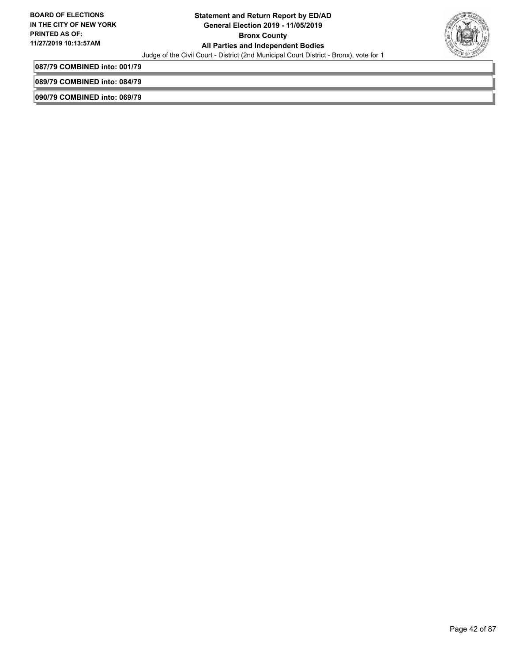

**087/79 COMBINED into: 001/79**

**089/79 COMBINED into: 084/79**

**090/79 COMBINED into: 069/79**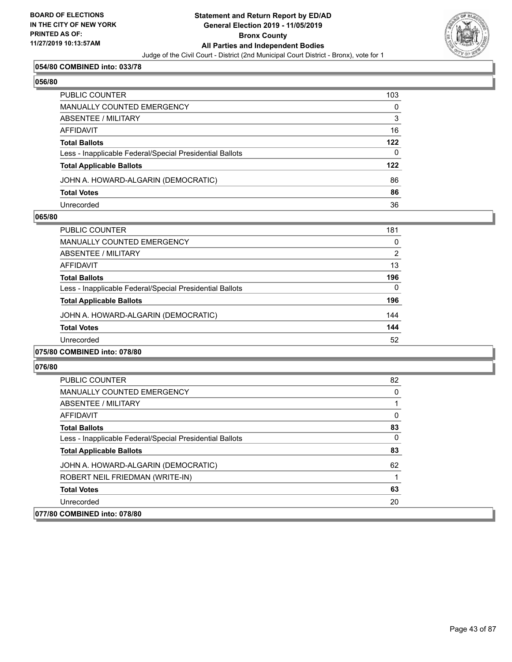

### **054/80 COMBINED into: 033/78**

#### **056/80**

| PUBLIC COUNTER                                           | 103      |
|----------------------------------------------------------|----------|
| MANUALLY COUNTED EMERGENCY                               | $\Omega$ |
| ABSENTEE / MILITARY                                      | 3        |
| AFFIDAVIT                                                | 16       |
| Total Ballots                                            | 122      |
| Less - Inapplicable Federal/Special Presidential Ballots | $\Omega$ |
| <b>Total Applicable Ballots</b>                          | 122      |
| JOHN A. HOWARD-ALGARIN (DEMOCRATIC)                      | 86       |
| <b>Total Votes</b>                                       | 86       |
| Unrecorded                                               | 36       |

#### **065/80**

| <b>PUBLIC COUNTER</b>                                    | 181            |
|----------------------------------------------------------|----------------|
| <b>MANUALLY COUNTED EMERGENCY</b>                        | 0              |
| ABSENTEE / MILITARY                                      | $\overline{2}$ |
| AFFIDAVIT                                                | 13             |
| <b>Total Ballots</b>                                     | 196            |
| Less - Inapplicable Federal/Special Presidential Ballots | $\Omega$       |
| <b>Total Applicable Ballots</b>                          | 196            |
| JOHN A. HOWARD-ALGARIN (DEMOCRATIC)                      | 144            |
| <b>Total Votes</b>                                       | 144            |
| Unrecorded                                               | 52             |
| 075/80 COMBINED into: 078/80                             |                |

| <b>PUBLIC COUNTER</b>                                    | 82 |
|----------------------------------------------------------|----|
| MANUALLY COUNTED EMERGENCY                               | 0  |
| ABSENTEE / MILITARY                                      |    |
| AFFIDAVIT                                                | 0  |
| <b>Total Ballots</b>                                     | 83 |
| Less - Inapplicable Federal/Special Presidential Ballots | 0  |
| <b>Total Applicable Ballots</b>                          | 83 |
| JOHN A. HOWARD-ALGARIN (DEMOCRATIC)                      | 62 |
| ROBERT NEIL FRIEDMAN (WRITE-IN)                          |    |
| <b>Total Votes</b>                                       | 63 |
| Unrecorded                                               | 20 |
| 077/80 COMBINED into: 078/80                             |    |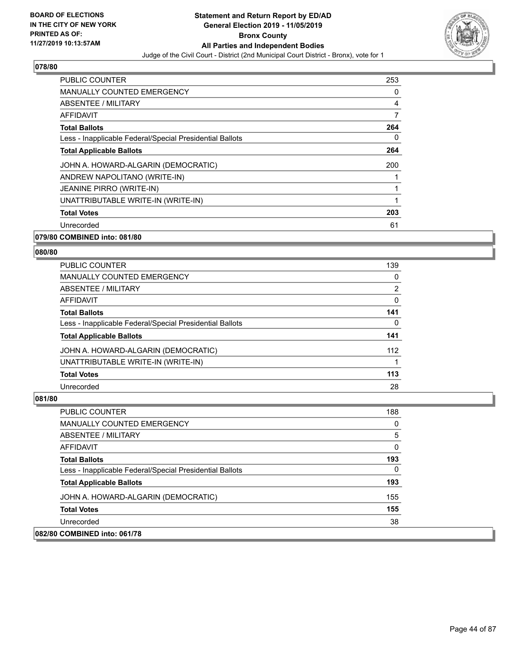

| <b>PUBLIC COUNTER</b>                                    | 253          |
|----------------------------------------------------------|--------------|
| <b>MANUALLY COUNTED EMERGENCY</b>                        | 0            |
| ABSENTEE / MILITARY                                      | 4            |
| AFFIDAVIT                                                | 7            |
| <b>Total Ballots</b>                                     | 264          |
| Less - Inapplicable Federal/Special Presidential Ballots | $\mathbf{0}$ |
| <b>Total Applicable Ballots</b>                          | 264          |
| JOHN A. HOWARD-ALGARIN (DEMOCRATIC)                      | 200          |
| ANDREW NAPOLITANO (WRITE-IN)                             |              |
| JEANINE PIRRO (WRITE-IN)                                 | 1            |
| UNATTRIBUTABLE WRITE-IN (WRITE-IN)                       | 1            |
| <b>Total Votes</b>                                       | 203          |
| Unrecorded                                               | 61           |
| 079/80 COMBINED into: 081/80                             |              |

# **080/80**

| <b>PUBLIC COUNTER</b>                                    | 139      |
|----------------------------------------------------------|----------|
| <b>MANUALLY COUNTED EMERGENCY</b>                        | 0        |
| ABSENTEE / MILITARY                                      | 2        |
| AFFIDAVIT                                                | $\Omega$ |
| <b>Total Ballots</b>                                     | 141      |
| Less - Inapplicable Federal/Special Presidential Ballots | 0        |
| <b>Total Applicable Ballots</b>                          | 141      |
| JOHN A. HOWARD-ALGARIN (DEMOCRATIC)                      | 112      |
| UNATTRIBUTABLE WRITE-IN (WRITE-IN)                       |          |
| <b>Total Votes</b>                                       | 113      |
| Unrecorded                                               | 28       |

| <b>PUBLIC COUNTER</b>                                    | 188          |
|----------------------------------------------------------|--------------|
| <b>MANUALLY COUNTED EMERGENCY</b>                        | 0            |
| ABSENTEE / MILITARY                                      | 5            |
| AFFIDAVIT                                                | $\Omega$     |
| <b>Total Ballots</b>                                     | 193          |
| Less - Inapplicable Federal/Special Presidential Ballots | $\mathbf{0}$ |
| <b>Total Applicable Ballots</b>                          | 193          |
| JOHN A. HOWARD-ALGARIN (DEMOCRATIC)                      | 155          |
| <b>Total Votes</b>                                       | 155          |
| Unrecorded                                               | 38           |
| 082/80 COMBINED into: 061/78                             |              |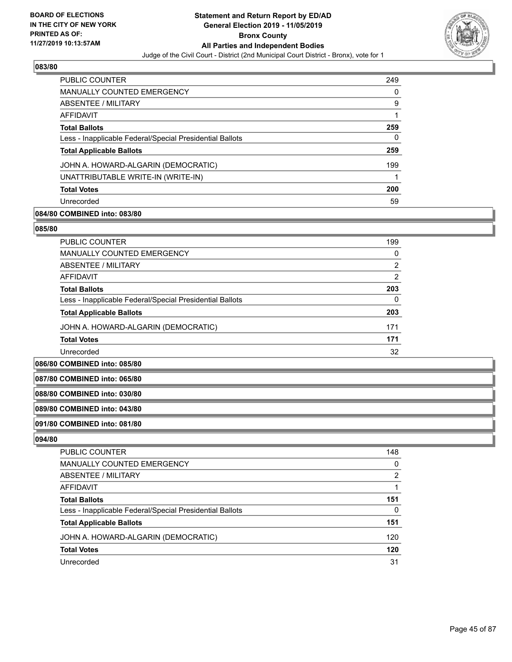

| <b>PUBLIC COUNTER</b>                                    | 249 |
|----------------------------------------------------------|-----|
| <b>MANUALLY COUNTED EMERGENCY</b>                        | 0   |
| ABSENTEE / MILITARY                                      | 9   |
| AFFIDAVIT                                                |     |
| <b>Total Ballots</b>                                     | 259 |
| Less - Inapplicable Federal/Special Presidential Ballots | 0   |
| <b>Total Applicable Ballots</b>                          | 259 |
| JOHN A. HOWARD-ALGARIN (DEMOCRATIC)                      | 199 |
| UNATTRIBUTABLE WRITE-IN (WRITE-IN)                       |     |
| <b>Total Votes</b>                                       | 200 |
| Unrecorded                                               | 59  |

### **084/80 COMBINED into: 083/80**

#### **085/80**

| PUBLIC COUNTER                                           | 199 |
|----------------------------------------------------------|-----|
| <b>MANUALLY COUNTED EMERGENCY</b>                        | 0   |
| ABSENTEE / MILITARY                                      | 2   |
| AFFIDAVIT                                                | 2   |
| <b>Total Ballots</b>                                     | 203 |
| Less - Inapplicable Federal/Special Presidential Ballots | 0   |
| <b>Total Applicable Ballots</b>                          | 203 |
| JOHN A. HOWARD-ALGARIN (DEMOCRATIC)                      | 171 |
| <b>Total Votes</b>                                       | 171 |
| Unrecorded                                               | 32  |

**086/80 COMBINED into: 085/80**

# **087/80 COMBINED into: 065/80**

# **088/80 COMBINED into: 030/80**

# **089/80 COMBINED into: 043/80**

#### **091/80 COMBINED into: 081/80**

| <b>PUBLIC COUNTER</b>                                    | 148      |
|----------------------------------------------------------|----------|
| <b>MANUALLY COUNTED EMERGENCY</b>                        | $\Omega$ |
| ABSENTEE / MILITARY                                      | 2        |
| AFFIDAVIT                                                |          |
| <b>Total Ballots</b>                                     | 151      |
| Less - Inapplicable Federal/Special Presidential Ballots | 0        |
| <b>Total Applicable Ballots</b>                          | 151      |
| JOHN A. HOWARD-ALGARIN (DEMOCRATIC)                      | 120      |
| <b>Total Votes</b>                                       | 120      |
| Unrecorded                                               | 31       |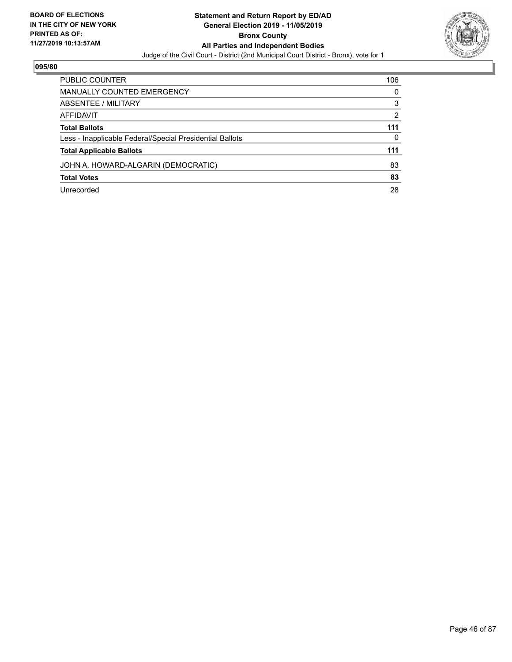

| <b>PUBLIC COUNTER</b>                                    | 106 |
|----------------------------------------------------------|-----|
| MANUALLY COUNTED EMERGENCY                               | 0   |
| ABSENTEE / MILITARY                                      | 3   |
| AFFIDAVIT                                                | 2   |
| <b>Total Ballots</b>                                     | 111 |
| Less - Inapplicable Federal/Special Presidential Ballots | 0   |
| <b>Total Applicable Ballots</b>                          | 111 |
| JOHN A. HOWARD-ALGARIN (DEMOCRATIC)                      | 83  |
| <b>Total Votes</b>                                       | 83  |
| Unrecorded                                               | 28  |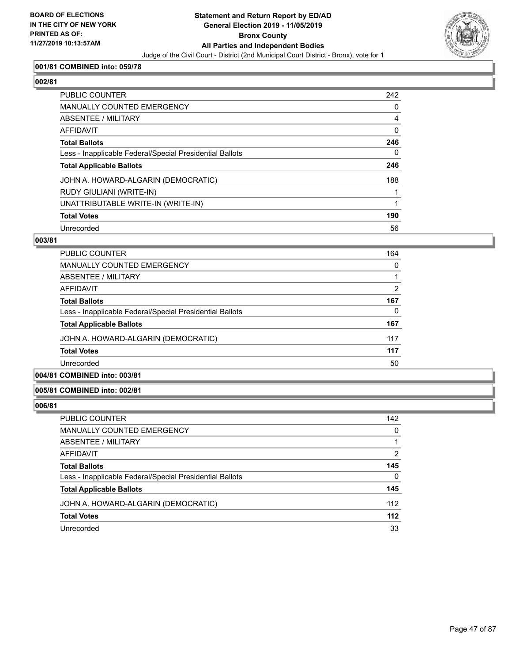

#### **001/81 COMBINED into: 059/78**

# **002/81**

| <b>PUBLIC COUNTER</b>                                    | 242 |
|----------------------------------------------------------|-----|
| <b>MANUALLY COUNTED EMERGENCY</b>                        | 0   |
| ABSENTEE / MILITARY                                      | 4   |
| AFFIDAVIT                                                | 0   |
| <b>Total Ballots</b>                                     | 246 |
| Less - Inapplicable Federal/Special Presidential Ballots | 0   |
| <b>Total Applicable Ballots</b>                          | 246 |
| JOHN A. HOWARD-ALGARIN (DEMOCRATIC)                      | 188 |
| RUDY GIULIANI (WRITE-IN)                                 |     |
| UNATTRIBUTABLE WRITE-IN (WRITE-IN)                       |     |
| <b>Total Votes</b>                                       | 190 |
| Unrecorded                                               | 56  |

#### **003/81**

| PUBLIC COUNTER                                           | 164      |
|----------------------------------------------------------|----------|
| <b>MANUALLY COUNTED EMERGENCY</b>                        | $\Omega$ |
| ABSENTEE / MILITARY                                      |          |
| <b>AFFIDAVIT</b>                                         | 2        |
| <b>Total Ballots</b>                                     | 167      |
| Less - Inapplicable Federal/Special Presidential Ballots | 0        |
| <b>Total Applicable Ballots</b>                          | 167      |
| JOHN A. HOWARD-ALGARIN (DEMOCRATIC)                      | 117      |
| <b>Total Votes</b>                                       | 117      |
| Unrecorded                                               | 50       |
|                                                          |          |

# **004/81 COMBINED into: 003/81**

#### **005/81 COMBINED into: 002/81**

| <b>PUBLIC COUNTER</b>                                    | 142 |
|----------------------------------------------------------|-----|
| <b>MANUALLY COUNTED EMERGENCY</b>                        | 0   |
| ABSENTEE / MILITARY                                      |     |
| AFFIDAVIT                                                | 2   |
| <b>Total Ballots</b>                                     | 145 |
| Less - Inapplicable Federal/Special Presidential Ballots | 0   |
| <b>Total Applicable Ballots</b>                          | 145 |
| JOHN A. HOWARD-ALGARIN (DEMOCRATIC)                      | 112 |
| <b>Total Votes</b>                                       | 112 |
| Unrecorded                                               | 33  |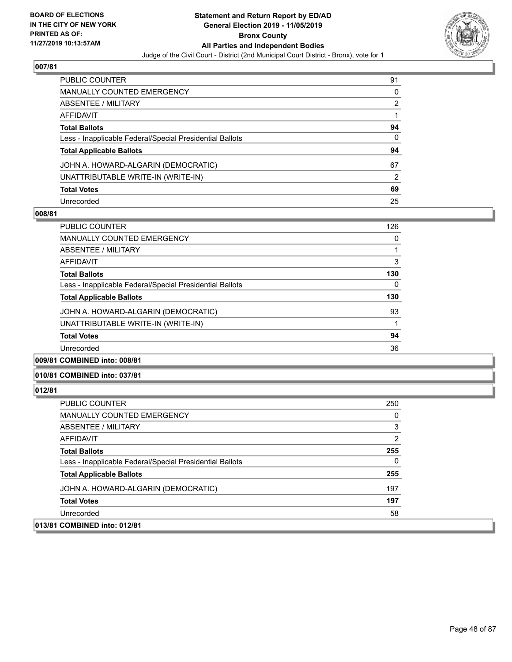

| PUBLIC COUNTER                                           | 91       |
|----------------------------------------------------------|----------|
| <b>MANUALLY COUNTED EMERGENCY</b>                        | 0        |
| ABSENTEE / MILITARY                                      | 2        |
| <b>AFFIDAVIT</b>                                         |          |
| <b>Total Ballots</b>                                     | 94       |
| Less - Inapplicable Federal/Special Presidential Ballots | $\Omega$ |
| <b>Total Applicable Ballots</b>                          | 94       |
| JOHN A. HOWARD-ALGARIN (DEMOCRATIC)                      | 67       |
| UNATTRIBUTABLE WRITE-IN (WRITE-IN)                       | 2        |
| <b>Total Votes</b>                                       | 69       |
| Unrecorded                                               | 25       |

#### **008/81**

| <b>PUBLIC COUNTER</b>                                    | 126 |
|----------------------------------------------------------|-----|
| <b>MANUALLY COUNTED EMERGENCY</b>                        | 0   |
| ABSENTEE / MILITARY                                      |     |
| <b>AFFIDAVIT</b>                                         | 3   |
| <b>Total Ballots</b>                                     | 130 |
| Less - Inapplicable Federal/Special Presidential Ballots | 0   |
| <b>Total Applicable Ballots</b>                          | 130 |
| JOHN A. HOWARD-ALGARIN (DEMOCRATIC)                      | 93  |
| UNATTRIBUTABLE WRITE-IN (WRITE-IN)                       |     |
| <b>Total Votes</b>                                       | 94  |
| Unrecorded                                               | 36  |
|                                                          |     |

#### **009/81 COMBINED into: 008/81**

#### **010/81 COMBINED into: 037/81**

| <b>PUBLIC COUNTER</b>                                    | 250 |
|----------------------------------------------------------|-----|
| MANUALLY COUNTED EMERGENCY                               | 0   |
| ABSENTEE / MILITARY                                      | 3   |
| AFFIDAVIT                                                | 2   |
| <b>Total Ballots</b>                                     | 255 |
| Less - Inapplicable Federal/Special Presidential Ballots | 0   |
| <b>Total Applicable Ballots</b>                          | 255 |
| JOHN A. HOWARD-ALGARIN (DEMOCRATIC)                      | 197 |
| <b>Total Votes</b>                                       | 197 |
| Unrecorded                                               | 58  |
| 013/81 COMBINED into: 012/81                             |     |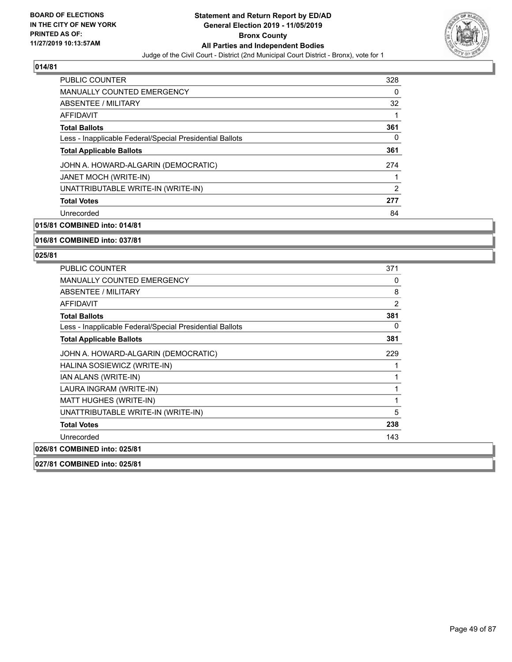

| <b>PUBLIC COUNTER</b>                                    | 328           |
|----------------------------------------------------------|---------------|
| <b>MANUALLY COUNTED EMERGENCY</b>                        | 0             |
| ABSENTEE / MILITARY                                      | 32            |
| <b>AFFIDAVIT</b>                                         |               |
| <b>Total Ballots</b>                                     | 361           |
| Less - Inapplicable Federal/Special Presidential Ballots | 0             |
| <b>Total Applicable Ballots</b>                          | 361           |
| JOHN A. HOWARD-ALGARIN (DEMOCRATIC)                      | 274           |
| JANET MOCH (WRITE-IN)                                    |               |
| UNATTRIBUTABLE WRITE-IN (WRITE-IN)                       | $\mathcal{P}$ |
| <b>Total Votes</b>                                       | 277           |
| Unrecorded                                               | 84            |

**015/81 COMBINED into: 014/81**

**016/81 COMBINED into: 037/81**

#### **025/81**

| <b>PUBLIC COUNTER</b>                                    | 371            |
|----------------------------------------------------------|----------------|
| MANUALLY COUNTED EMERGENCY                               | 0              |
| ABSENTEE / MILITARY                                      | 8              |
| <b>AFFIDAVIT</b>                                         | $\overline{2}$ |
| <b>Total Ballots</b>                                     | 381            |
| Less - Inapplicable Federal/Special Presidential Ballots | 0              |
| <b>Total Applicable Ballots</b>                          | 381            |
| JOHN A. HOWARD-ALGARIN (DEMOCRATIC)                      | 229            |
| HALINA SOSIEWICZ (WRITE-IN)                              |                |
| IAN ALANS (WRITE-IN)                                     | 1              |
| LAURA INGRAM (WRITE-IN)                                  | 1              |
| MATT HUGHES (WRITE-IN)                                   | 1              |
| UNATTRIBUTABLE WRITE-IN (WRITE-IN)                       | 5              |
| <b>Total Votes</b>                                       | 238            |
| Unrecorded                                               | 143            |
| 026/81 COMBINED into: 025/81                             |                |
|                                                          |                |

**027/81 COMBINED into: 025/81**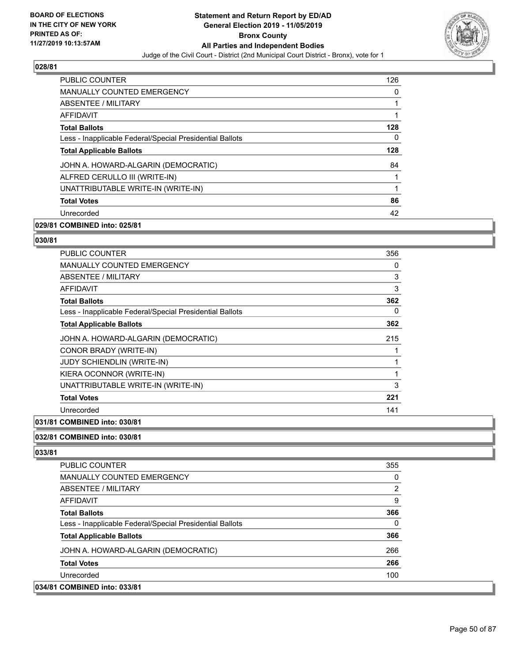

| PUBLIC COUNTER                                           | 126 |
|----------------------------------------------------------|-----|
| <b>MANUALLY COUNTED EMERGENCY</b>                        | 0   |
| ABSENTEE / MILITARY                                      |     |
| <b>AFFIDAVIT</b>                                         |     |
| <b>Total Ballots</b>                                     | 128 |
| Less - Inapplicable Federal/Special Presidential Ballots | 0   |
| <b>Total Applicable Ballots</b>                          | 128 |
| JOHN A. HOWARD-ALGARIN (DEMOCRATIC)                      | 84  |
| ALFRED CERULLO III (WRITE-IN)                            | 1   |
| UNATTRIBUTABLE WRITE-IN (WRITE-IN)                       | 1   |
| <b>Total Votes</b>                                       | 86  |
| Unrecorded                                               | 42  |

# **029/81 COMBINED into: 025/81**

#### **030/81**

| <b>PUBLIC COUNTER</b>                                    | 356 |
|----------------------------------------------------------|-----|
| <b>MANUALLY COUNTED EMERGENCY</b>                        | 0   |
| ABSENTEE / MILITARY                                      | 3   |
| AFFIDAVIT                                                | 3   |
| <b>Total Ballots</b>                                     | 362 |
| Less - Inapplicable Federal/Special Presidential Ballots | 0   |
| <b>Total Applicable Ballots</b>                          | 362 |
| JOHN A. HOWARD-ALGARIN (DEMOCRATIC)                      | 215 |
| CONOR BRADY (WRITE-IN)                                   |     |
| JUDY SCHIENDLIN (WRITE-IN)                               |     |
| KIERA OCONNOR (WRITE-IN)                                 | 1   |
| UNATTRIBUTABLE WRITE-IN (WRITE-IN)                       | 3   |
| <b>Total Votes</b>                                       | 221 |
| Unrecorded                                               | 141 |
|                                                          |     |

# **031/81 COMBINED into: 030/81**

# **032/81 COMBINED into: 030/81**

| <b>PUBLIC COUNTER</b>                                    | 355           |
|----------------------------------------------------------|---------------|
| <b>MANUALLY COUNTED EMERGENCY</b>                        | 0             |
| ABSENTEE / MILITARY                                      | $\mathcal{P}$ |
| AFFIDAVIT                                                | 9             |
| <b>Total Ballots</b>                                     | 366           |
| Less - Inapplicable Federal/Special Presidential Ballots | 0             |
| <b>Total Applicable Ballots</b>                          | 366           |
| JOHN A. HOWARD-ALGARIN (DEMOCRATIC)                      | 266           |
| <b>Total Votes</b>                                       | 266           |
| Unrecorded                                               | 100           |
| 034/81 COMBINED into: 033/81                             |               |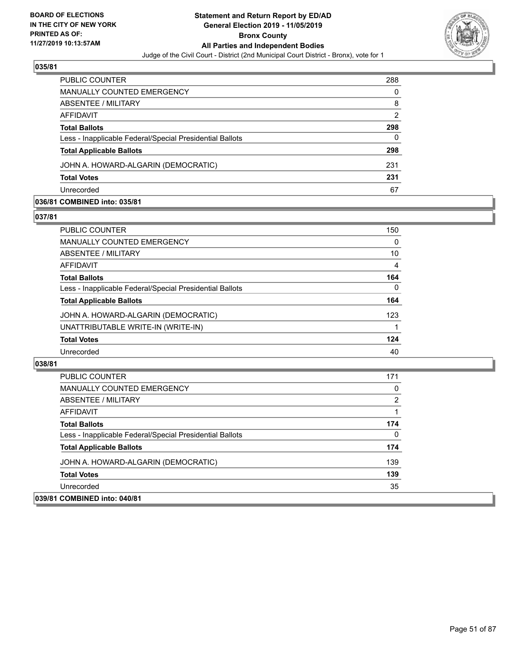

| <b>PUBLIC COUNTER</b>                                    | 288 |
|----------------------------------------------------------|-----|
| <b>MANUALLY COUNTED EMERGENCY</b>                        | 0   |
| ABSENTEE / MILITARY                                      | 8   |
| AFFIDAVIT                                                | 2   |
| <b>Total Ballots</b>                                     | 298 |
| Less - Inapplicable Federal/Special Presidential Ballots | 0   |
| <b>Total Applicable Ballots</b>                          | 298 |
| JOHN A. HOWARD-ALGARIN (DEMOCRATIC)                      | 231 |
| <b>Total Votes</b>                                       | 231 |
| Unrecorded                                               | 67  |

#### **036/81 COMBINED into: 035/81**

#### **037/81**

| PUBLIC COUNTER                                           | 150            |
|----------------------------------------------------------|----------------|
| <b>MANUALLY COUNTED EMERGENCY</b>                        | 0              |
| <b>ABSENTEE / MILITARY</b>                               | 10             |
| <b>AFFIDAVIT</b>                                         | $\overline{4}$ |
| <b>Total Ballots</b>                                     | 164            |
| Less - Inapplicable Federal/Special Presidential Ballots | $\Omega$       |
| <b>Total Applicable Ballots</b>                          | 164            |
| JOHN A. HOWARD-ALGARIN (DEMOCRATIC)                      | 123            |
| UNATTRIBUTABLE WRITE-IN (WRITE-IN)                       | 1              |
| <b>Total Votes</b>                                       | 124            |
| Unrecorded                                               | 40             |

| PUBLIC COUNTER                                           | 171            |
|----------------------------------------------------------|----------------|
| <b>MANUALLY COUNTED EMERGENCY</b>                        | 0              |
| ABSENTEE / MILITARY                                      | $\overline{2}$ |
| AFFIDAVIT                                                |                |
| <b>Total Ballots</b>                                     | 174            |
| Less - Inapplicable Federal/Special Presidential Ballots | $\mathbf{0}$   |
| <b>Total Applicable Ballots</b>                          | 174            |
| JOHN A. HOWARD-ALGARIN (DEMOCRATIC)                      | 139            |
| <b>Total Votes</b>                                       | 139            |
| Unrecorded                                               | 35             |
| 039/81 COMBINED into: 040/81                             |                |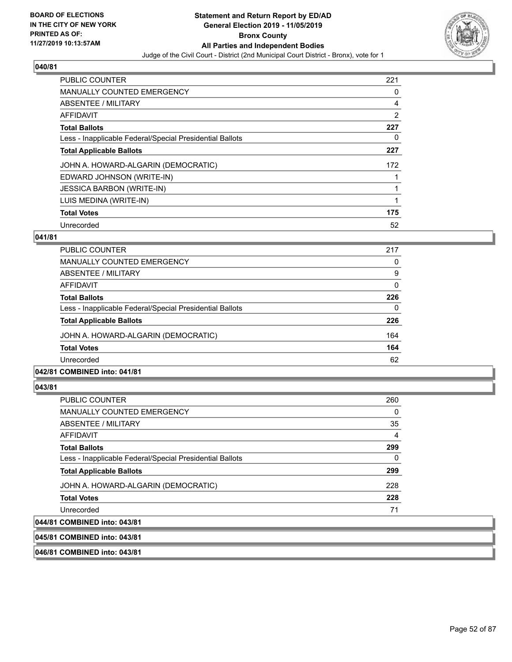

| <b>PUBLIC COUNTER</b>                                    | 221 |
|----------------------------------------------------------|-----|
| <b>MANUALLY COUNTED EMERGENCY</b>                        | 0   |
| ABSENTEE / MILITARY                                      | 4   |
| <b>AFFIDAVIT</b>                                         | 2   |
| <b>Total Ballots</b>                                     | 227 |
| Less - Inapplicable Federal/Special Presidential Ballots | 0   |
| <b>Total Applicable Ballots</b>                          | 227 |
| JOHN A. HOWARD-ALGARIN (DEMOCRATIC)                      | 172 |
| EDWARD JOHNSON (WRITE-IN)                                |     |
| <b>JESSICA BARBON (WRITE-IN)</b>                         |     |
| LUIS MEDINA (WRITE-IN)                                   |     |
| <b>Total Votes</b>                                       | 175 |
| Unrecorded                                               | 52  |

#### **041/81**

| <b>PUBLIC COUNTER</b>                                    | 217      |
|----------------------------------------------------------|----------|
| <b>MANUALLY COUNTED EMERGENCY</b>                        | 0        |
| ABSENTEE / MILITARY                                      | 9        |
| <b>AFFIDAVIT</b>                                         | 0        |
| <b>Total Ballots</b>                                     | 226      |
| Less - Inapplicable Federal/Special Presidential Ballots | $\Omega$ |
| <b>Total Applicable Ballots</b>                          | 226      |
| JOHN A. HOWARD-ALGARIN (DEMOCRATIC)                      | 164      |
| <b>Total Votes</b>                                       | 164      |
| Unrecorded                                               | 62       |
|                                                          |          |

# **042/81 COMBINED into: 041/81**

**043/81** 

| PUBLIC COUNTER                                           | 260 |
|----------------------------------------------------------|-----|
| MANUALLY COUNTED EMERGENCY                               | 0   |
| ABSENTEE / MILITARY                                      | 35  |
| AFFIDAVIT                                                | 4   |
| <b>Total Ballots</b>                                     | 299 |
| Less - Inapplicable Federal/Special Presidential Ballots | 0   |
| <b>Total Applicable Ballots</b>                          | 299 |
| JOHN A. HOWARD-ALGARIN (DEMOCRATIC)                      | 228 |
| <b>Total Votes</b>                                       | 228 |
| Unrecorded                                               | 71  |
| 044/81 COMBINED into: 043/81                             |     |

# **045/81 COMBINED into: 043/81**

**046/81 COMBINED into: 043/81**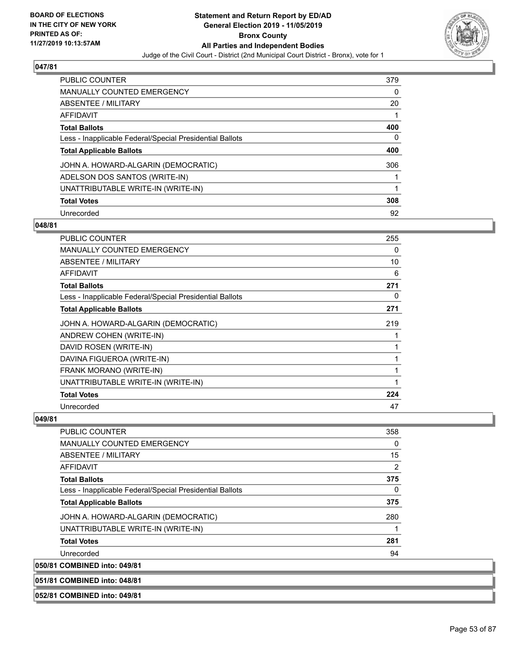

| <b>PUBLIC COUNTER</b>                                    | 379 |
|----------------------------------------------------------|-----|
| <b>MANUALLY COUNTED EMERGENCY</b>                        | 0   |
| ABSENTEE / MILITARY                                      | 20  |
| AFFIDAVIT                                                |     |
| <b>Total Ballots</b>                                     | 400 |
| Less - Inapplicable Federal/Special Presidential Ballots | 0   |
| <b>Total Applicable Ballots</b>                          | 400 |
| JOHN A. HOWARD-ALGARIN (DEMOCRATIC)                      | 306 |
| ADELSON DOS SANTOS (WRITE-IN)                            |     |
| UNATTRIBUTABLE WRITE-IN (WRITE-IN)                       |     |
|                                                          |     |
| <b>Total Votes</b>                                       | 308 |

#### **048/81**

| PUBLIC COUNTER                                           | 255 |
|----------------------------------------------------------|-----|
| <b>MANUALLY COUNTED EMERGENCY</b>                        | 0   |
| ABSENTEE / MILITARY                                      | 10  |
| AFFIDAVIT                                                | 6   |
| <b>Total Ballots</b>                                     | 271 |
| Less - Inapplicable Federal/Special Presidential Ballots | 0   |
| <b>Total Applicable Ballots</b>                          | 271 |
| JOHN A. HOWARD-ALGARIN (DEMOCRATIC)                      | 219 |
| ANDREW COHEN (WRITE-IN)                                  |     |
| DAVID ROSEN (WRITE-IN)                                   |     |
| DAVINA FIGUEROA (WRITE-IN)                               |     |
| FRANK MORANO (WRITE-IN)                                  | 1   |
| UNATTRIBUTABLE WRITE-IN (WRITE-IN)                       | 1   |
| <b>Total Votes</b>                                       | 224 |
| Unrecorded                                               | 47  |

# **049/81**

| <b>PUBLIC COUNTER</b>                                    | 358      |
|----------------------------------------------------------|----------|
| <b>MANUALLY COUNTED EMERGENCY</b>                        | $\Omega$ |
| ABSENTEE / MILITARY                                      | 15       |
| AFFIDAVIT                                                | 2        |
| <b>Total Ballots</b>                                     | 375      |
| Less - Inapplicable Federal/Special Presidential Ballots | $\Omega$ |
| <b>Total Applicable Ballots</b>                          | 375      |
| JOHN A. HOWARD-ALGARIN (DEMOCRATIC)                      | 280      |
| UNATTRIBUTABLE WRITE-IN (WRITE-IN)                       |          |
| <b>Total Votes</b>                                       | 281      |
| Unrecorded                                               | 94       |
| 050/81 COMBINED into: 049/81                             |          |

**051/81 COMBINED into: 048/81**

**052/81 COMBINED into: 049/81**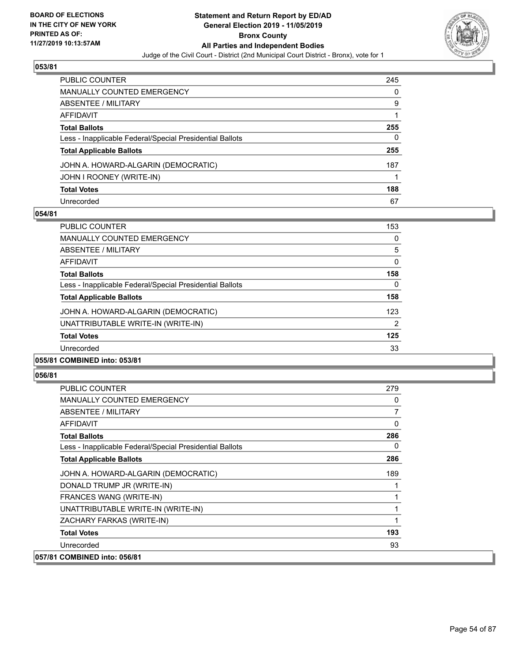

| PUBLIC COUNTER                                           | 245 |
|----------------------------------------------------------|-----|
| <b>MANUALLY COUNTED EMERGENCY</b>                        | 0   |
| ABSENTEE / MILITARY                                      | 9   |
| AFFIDAVIT                                                |     |
| <b>Total Ballots</b>                                     | 255 |
| Less - Inapplicable Federal/Special Presidential Ballots | 0   |
| <b>Total Applicable Ballots</b>                          | 255 |
| JOHN A. HOWARD-ALGARIN (DEMOCRATIC)                      | 187 |
| JOHN I ROONEY (WRITE-IN)                                 |     |
| <b>Total Votes</b>                                       | 188 |
| Unrecorded                                               | 67  |

#### **054/81**

| PUBLIC COUNTER                                           | 153            |
|----------------------------------------------------------|----------------|
| MANUALLY COUNTED EMERGENCY                               | 0              |
| ABSENTEE / MILITARY                                      | 5              |
| AFFIDAVIT                                                | $\Omega$       |
| <b>Total Ballots</b>                                     | 158            |
| Less - Inapplicable Federal/Special Presidential Ballots | 0              |
| <b>Total Applicable Ballots</b>                          | 158            |
| JOHN A. HOWARD-ALGARIN (DEMOCRATIC)                      | 123            |
| UNATTRIBUTABLE WRITE-IN (WRITE-IN)                       | $\overline{2}$ |
| <b>Total Votes</b>                                       | 125            |
| Unrecorded                                               | 33             |
| AAHBINER'' AFAIAI                                        |                |

#### **055/81 COMBINED into: 053/81**

| <b>PUBLIC COUNTER</b>                                    | 279      |
|----------------------------------------------------------|----------|
| <b>MANUALLY COUNTED EMERGENCY</b>                        | 0        |
| <b>ABSENTEE / MILITARY</b>                               | 7        |
| AFFIDAVIT                                                | 0        |
| <b>Total Ballots</b>                                     | 286      |
| Less - Inapplicable Federal/Special Presidential Ballots | $\Omega$ |
| <b>Total Applicable Ballots</b>                          | 286      |
| JOHN A. HOWARD-ALGARIN (DEMOCRATIC)                      | 189      |
| DONALD TRUMP JR (WRITE-IN)                               |          |
| FRANCES WANG (WRITE-IN)                                  | 1        |
| UNATTRIBUTABLE WRITE-IN (WRITE-IN)                       |          |
| ZACHARY FARKAS (WRITE-IN)                                | 1        |
| <b>Total Votes</b>                                       | 193      |
| Unrecorded                                               | 93       |
| 057/81 COMBINED into: 056/81                             |          |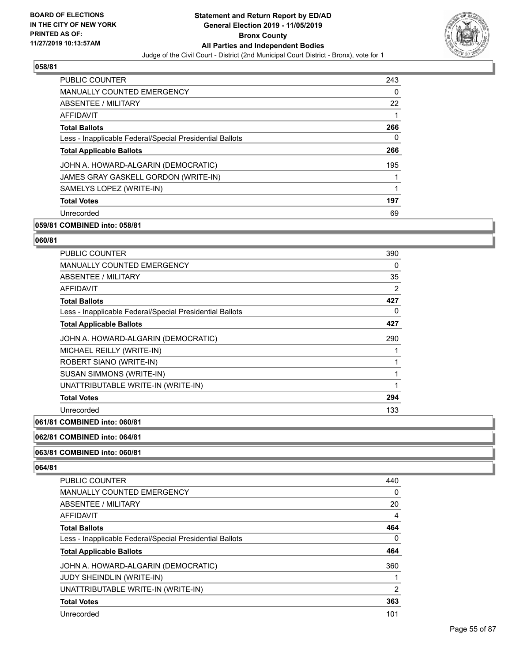

| PUBLIC COUNTER                                           | 243 |
|----------------------------------------------------------|-----|
| <b>MANUALLY COUNTED EMERGENCY</b>                        | 0   |
| <b>ABSENTEE / MILITARY</b>                               | 22  |
| <b>AFFIDAVIT</b>                                         | 1   |
| <b>Total Ballots</b>                                     | 266 |
| Less - Inapplicable Federal/Special Presidential Ballots | 0   |
| <b>Total Applicable Ballots</b>                          | 266 |
| JOHN A. HOWARD-ALGARIN (DEMOCRATIC)                      | 195 |
| JAMES GRAY GASKELL GORDON (WRITE-IN)                     |     |
| SAMELYS LOPEZ (WRITE-IN)                                 | 1   |
| <b>Total Votes</b>                                       | 197 |
| Unrecorded                                               | 69  |

# **059/81 COMBINED into: 058/81**

#### **060/81**

| <b>PUBLIC COUNTER</b>                                    | 390 |
|----------------------------------------------------------|-----|
| <b>MANUALLY COUNTED EMERGENCY</b>                        | 0   |
| ABSENTEE / MILITARY                                      | 35  |
| <b>AFFIDAVIT</b>                                         | 2   |
| <b>Total Ballots</b>                                     | 427 |
| Less - Inapplicable Federal/Special Presidential Ballots | 0   |
| <b>Total Applicable Ballots</b>                          | 427 |
| JOHN A. HOWARD-ALGARIN (DEMOCRATIC)                      | 290 |
| MICHAEL REILLY (WRITE-IN)                                |     |
| ROBERT SIANO (WRITE-IN)                                  |     |
| SUSAN SIMMONS (WRITE-IN)                                 |     |
| UNATTRIBUTABLE WRITE-IN (WRITE-IN)                       | 1   |
| <b>Total Votes</b>                                       | 294 |
| Unrecorded                                               | 133 |

#### **061/81 COMBINED into: 060/81**

#### **062/81 COMBINED into: 064/81**

### **063/81 COMBINED into: 060/81**

| <b>PUBLIC COUNTER</b>                                    | 440 |
|----------------------------------------------------------|-----|
| <b>MANUALLY COUNTED EMERGENCY</b>                        | 0   |
| ABSENTEE / MILITARY                                      | 20  |
| AFFIDAVIT                                                | 4   |
| <b>Total Ballots</b>                                     | 464 |
| Less - Inapplicable Federal/Special Presidential Ballots | 0   |
| <b>Total Applicable Ballots</b>                          | 464 |
| JOHN A. HOWARD-ALGARIN (DEMOCRATIC)                      | 360 |
| <b>JUDY SHEINDLIN (WRITE-IN)</b>                         |     |
| UNATTRIBUTABLE WRITE-IN (WRITE-IN)                       | 2   |
| <b>Total Votes</b>                                       | 363 |
| Unrecorded                                               | 101 |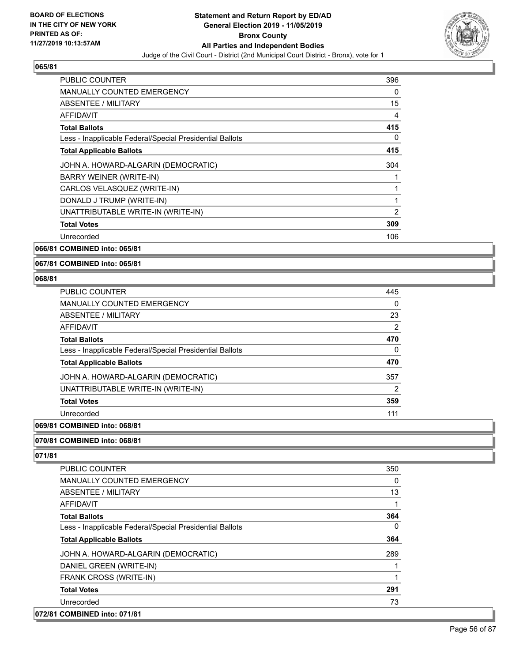

| <b>PUBLIC COUNTER</b>                                    | 396 |
|----------------------------------------------------------|-----|
| <b>MANUALLY COUNTED EMERGENCY</b>                        | 0   |
| ABSENTEE / MILITARY                                      | 15  |
| <b>AFFIDAVIT</b>                                         | 4   |
| <b>Total Ballots</b>                                     | 415 |
| Less - Inapplicable Federal/Special Presidential Ballots | 0   |
| <b>Total Applicable Ballots</b>                          | 415 |
| JOHN A. HOWARD-ALGARIN (DEMOCRATIC)                      | 304 |
| BARRY WEINER (WRITE-IN)                                  | 1   |
| CARLOS VELASQUEZ (WRITE-IN)                              | 1   |
| DONALD J TRUMP (WRITE-IN)                                | 1   |
| UNATTRIBUTABLE WRITE-IN (WRITE-IN)                       | 2   |
| <b>Total Votes</b>                                       | 309 |
| Unrecorded                                               | 106 |
|                                                          |     |

**066/81 COMBINED into: 065/81**

**067/81 COMBINED into: 065/81**

#### **068/81**

| PUBLIC COUNTER                                           | 445 |
|----------------------------------------------------------|-----|
| <b>MANUALLY COUNTED EMERGENCY</b>                        | 0   |
| <b>ABSENTEE / MILITARY</b>                               | 23  |
| <b>AFFIDAVIT</b>                                         | 2   |
| <b>Total Ballots</b>                                     | 470 |
| Less - Inapplicable Federal/Special Presidential Ballots | 0   |
| <b>Total Applicable Ballots</b>                          | 470 |
| JOHN A. HOWARD-ALGARIN (DEMOCRATIC)                      | 357 |
| UNATTRIBUTABLE WRITE-IN (WRITE-IN)                       | 2   |
| <b>Total Votes</b>                                       | 359 |
| Unrecorded                                               | 111 |
| COMPINIED : 000/04                                       |     |

# **069/81 COMBINED into: 068/81**

#### **070/81 COMBINED into: 068/81**

| <b>PUBLIC COUNTER</b>                                    | 350      |
|----------------------------------------------------------|----------|
| <b>MANUALLY COUNTED EMERGENCY</b>                        | $\Omega$ |
| ABSENTEE / MILITARY                                      | 13       |
| AFFIDAVIT                                                |          |
| <b>Total Ballots</b>                                     | 364      |
| Less - Inapplicable Federal/Special Presidential Ballots | 0        |
| <b>Total Applicable Ballots</b>                          | 364      |
| JOHN A. HOWARD-ALGARIN (DEMOCRATIC)                      | 289      |
| DANIEL GREEN (WRITE-IN)                                  |          |
| FRANK CROSS (WRITE-IN)                                   |          |
| <b>Total Votes</b>                                       | 291      |
| Unrecorded                                               | 73       |
| 072/81 COMBINED into: 071/81                             |          |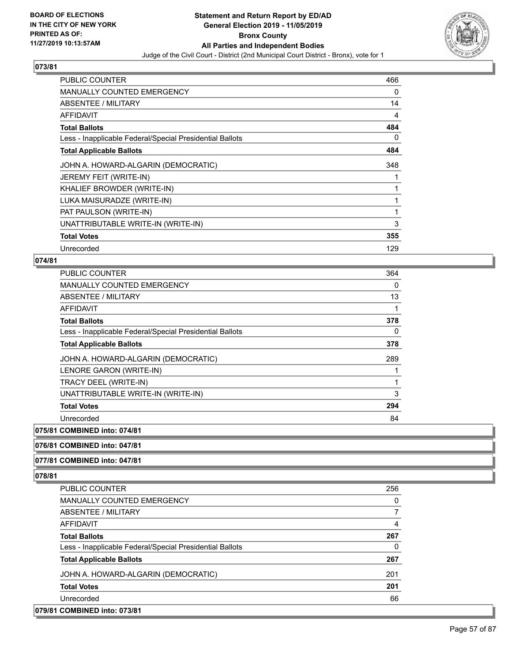

| <b>PUBLIC COUNTER</b>                                    | 466 |
|----------------------------------------------------------|-----|
| <b>MANUALLY COUNTED EMERGENCY</b>                        | 0   |
| ABSENTEE / MILITARY                                      | 14  |
| AFFIDAVIT                                                | 4   |
| <b>Total Ballots</b>                                     | 484 |
| Less - Inapplicable Federal/Special Presidential Ballots | 0   |
| <b>Total Applicable Ballots</b>                          | 484 |
| JOHN A. HOWARD-ALGARIN (DEMOCRATIC)                      | 348 |
| JEREMY FEIT (WRITE-IN)                                   |     |
| KHALIEF BROWDER (WRITE-IN)                               |     |
| LUKA MAISURADZE (WRITE-IN)                               |     |
| PAT PAULSON (WRITE-IN)                                   | 1   |
| UNATTRIBUTABLE WRITE-IN (WRITE-IN)                       | 3   |
| <b>Total Votes</b>                                       | 355 |
| Unrecorded                                               | 129 |

#### **074/81**

| PUBLIC COUNTER                                           | 364 |
|----------------------------------------------------------|-----|
| <b>MANUALLY COUNTED EMERGENCY</b>                        | 0   |
| <b>ABSENTEE / MILITARY</b>                               | 13  |
| <b>AFFIDAVIT</b>                                         | 1   |
| <b>Total Ballots</b>                                     | 378 |
| Less - Inapplicable Federal/Special Presidential Ballots | 0   |
| <b>Total Applicable Ballots</b>                          | 378 |
| JOHN A. HOWARD-ALGARIN (DEMOCRATIC)                      | 289 |
| LENORE GARON (WRITE-IN)                                  |     |
| TRACY DEEL (WRITE-IN)                                    | 1   |
| UNATTRIBUTABLE WRITE-IN (WRITE-IN)                       | 3   |
| <b>Total Votes</b>                                       | 294 |
| Unrecorded                                               | 84  |
|                                                          |     |

#### **075/81 COMBINED into: 074/81**

#### **076/81 COMBINED into: 047/81**

**077/81 COMBINED into: 047/81**

| <b>PUBLIC COUNTER</b>                                    | 256            |
|----------------------------------------------------------|----------------|
| <b>MANUALLY COUNTED EMERGENCY</b>                        | 0              |
| ABSENTEE / MILITARY                                      | 7              |
| AFFIDAVIT                                                | $\overline{4}$ |
| <b>Total Ballots</b>                                     | 267            |
| Less - Inapplicable Federal/Special Presidential Ballots | 0              |
| <b>Total Applicable Ballots</b>                          | 267            |
| JOHN A. HOWARD-ALGARIN (DEMOCRATIC)                      | 201            |
| <b>Total Votes</b>                                       | 201            |
| Unrecorded                                               | 66             |
| 079/81 COMBINED into: 073/81                             |                |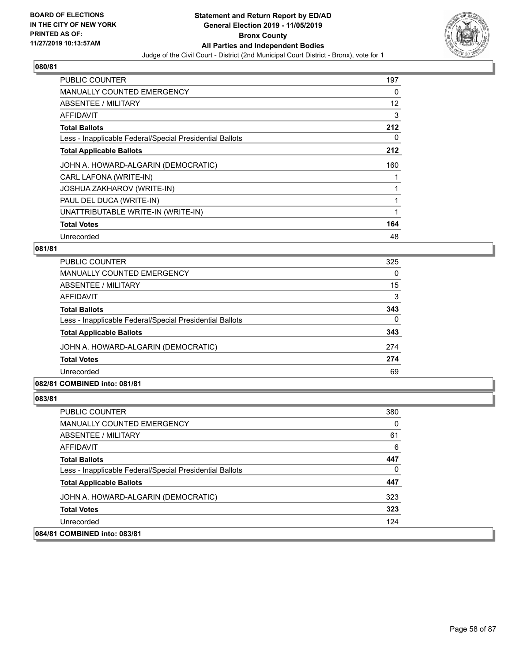

| <b>PUBLIC COUNTER</b>                                    | 197 |
|----------------------------------------------------------|-----|
| <b>MANUALLY COUNTED EMERGENCY</b>                        | 0   |
| ABSENTEE / MILITARY                                      | 12  |
| AFFIDAVIT                                                | 3   |
| <b>Total Ballots</b>                                     | 212 |
| Less - Inapplicable Federal/Special Presidential Ballots | 0   |
| <b>Total Applicable Ballots</b>                          | 212 |
| JOHN A. HOWARD-ALGARIN (DEMOCRATIC)                      | 160 |
| CARL LAFONA (WRITE-IN)                                   |     |
| <b>JOSHUA ZAKHAROV (WRITE-IN)</b>                        | 1   |
| PAUL DEL DUCA (WRITE-IN)                                 | 1   |
| UNATTRIBUTABLE WRITE-IN (WRITE-IN)                       | 1   |
| <b>Total Votes</b>                                       | 164 |
| Unrecorded                                               | 48  |

### **081/81**

| PUBLIC COUNTER                                           | 325      |
|----------------------------------------------------------|----------|
| <b>MANUALLY COUNTED EMERGENCY</b>                        | $\Omega$ |
| ABSENTEE / MILITARY                                      | 15       |
| <b>AFFIDAVIT</b>                                         | 3        |
| <b>Total Ballots</b>                                     | 343      |
| Less - Inapplicable Federal/Special Presidential Ballots | $\Omega$ |
| <b>Total Applicable Ballots</b>                          | 343      |
| JOHN A. HOWARD-ALGARIN (DEMOCRATIC)                      | 274      |
| <b>Total Votes</b>                                       | 274      |
| Unrecorded                                               | 69       |
|                                                          |          |

# **082/81 COMBINED into: 081/81**

#### **083/81**

 $|084/81$ 

| <b>PUBLIC COUNTER</b>                                    | 380 |
|----------------------------------------------------------|-----|
| <b>MANUALLY COUNTED EMERGENCY</b>                        | 0   |
| ABSENTEE / MILITARY                                      | 61  |
| AFFIDAVIT                                                | 6   |
| <b>Total Ballots</b>                                     | 447 |
| Less - Inapplicable Federal/Special Presidential Ballots | 0   |
| <b>Total Applicable Ballots</b>                          | 447 |
| JOHN A. HOWARD-ALGARIN (DEMOCRATIC)                      | 323 |
| <b>Total Votes</b>                                       | 323 |
| Unrecorded                                               | 124 |
| <b>COMBINED into: 083/81</b>                             |     |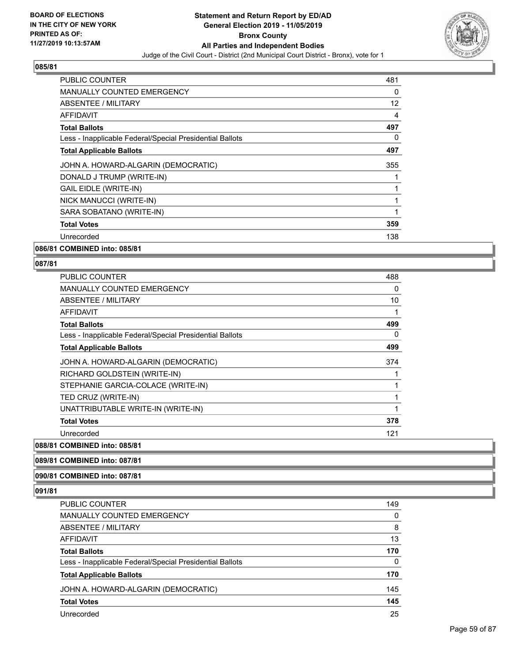

| PUBLIC COUNTER                                           | 481      |
|----------------------------------------------------------|----------|
| <b>MANUALLY COUNTED EMERGENCY</b>                        | 0        |
| ABSENTEE / MILITARY                                      | 12       |
| AFFIDAVIT                                                | 4        |
| <b>Total Ballots</b>                                     | 497      |
| Less - Inapplicable Federal/Special Presidential Ballots | $\Omega$ |
| <b>Total Applicable Ballots</b>                          | 497      |
| JOHN A. HOWARD-ALGARIN (DEMOCRATIC)                      | 355      |
| DONALD J TRUMP (WRITE-IN)                                |          |
| GAIL EIDLE (WRITE-IN)                                    |          |
| NICK MANUCCI (WRITE-IN)                                  |          |
| SARA SOBATANO (WRITE-IN)                                 | 1        |
| <b>Total Votes</b>                                       | 359      |
| Unrecorded                                               | 138      |
| 086/81 COMBINED into: 085/81                             |          |

**087/81** 

| <b>PUBLIC COUNTER</b>                                    | 488 |
|----------------------------------------------------------|-----|
| MANUALLY COUNTED EMERGENCY                               | 0   |
| ABSENTEE / MILITARY                                      | 10  |
| AFFIDAVIT                                                | 1   |
| <b>Total Ballots</b>                                     | 499 |
| Less - Inapplicable Federal/Special Presidential Ballots | 0   |
| <b>Total Applicable Ballots</b>                          | 499 |
| JOHN A. HOWARD-ALGARIN (DEMOCRATIC)                      | 374 |
| RICHARD GOLDSTEIN (WRITE-IN)                             | 1   |
| STEPHANIE GARCIA-COLACE (WRITE-IN)                       | 1   |
| TED CRUZ (WRITE-IN)                                      | 1   |
| UNATTRIBUTABLE WRITE-IN (WRITE-IN)                       | 1   |
| <b>Total Votes</b>                                       | 378 |
| Unrecorded                                               | 121 |
| 0.01101100                                               |     |

**088/81 COMBINED into: 085/81**

**089/81 COMBINED into: 087/81**

**090/81 COMBINED into: 087/81**

| <b>PUBLIC COUNTER</b>                                    | 149      |
|----------------------------------------------------------|----------|
| MANUALLY COUNTED EMERGENCY                               | 0        |
| ABSENTEE / MILITARY                                      | 8        |
| AFFIDAVIT                                                | 13       |
| <b>Total Ballots</b>                                     | 170      |
| Less - Inapplicable Federal/Special Presidential Ballots | $\Omega$ |
| <b>Total Applicable Ballots</b>                          | 170      |
| JOHN A. HOWARD-ALGARIN (DEMOCRATIC)                      | 145      |
| <b>Total Votes</b>                                       | 145      |
| Unrecorded                                               | 25       |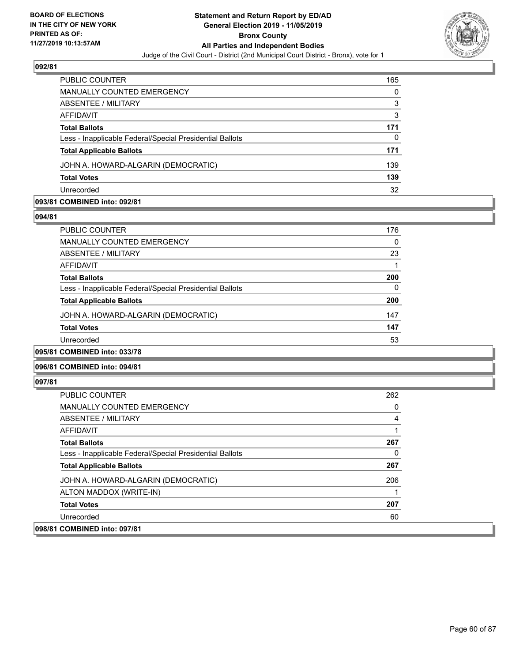

| PUBLIC COUNTER                                           | 165 |
|----------------------------------------------------------|-----|
| <b>MANUALLY COUNTED EMERGENCY</b>                        | 0   |
| ABSENTEE / MILITARY                                      | 3   |
| AFFIDAVIT                                                | 3   |
| <b>Total Ballots</b>                                     | 171 |
| Less - Inapplicable Federal/Special Presidential Ballots | 0   |
| <b>Total Applicable Ballots</b>                          | 171 |
| JOHN A. HOWARD-ALGARIN (DEMOCRATIC)                      | 139 |
| <b>Total Votes</b>                                       | 139 |
| Unrecorded                                               | 32  |

#### **093/81 COMBINED into: 092/81**

#### **094/81**

| 095/81 COMBINED into: 033/78                             |     |
|----------------------------------------------------------|-----|
| Unrecorded                                               | 53  |
| <b>Total Votes</b>                                       | 147 |
| JOHN A. HOWARD-ALGARIN (DEMOCRATIC)                      | 147 |
| <b>Total Applicable Ballots</b>                          | 200 |
| Less - Inapplicable Federal/Special Presidential Ballots | 0   |
| <b>Total Ballots</b>                                     | 200 |
| AFFIDAVIT                                                |     |
| ABSENTEE / MILITARY                                      | 23  |
| <b>MANUALLY COUNTED EMERGENCY</b>                        | 0   |
| <b>PUBLIC COUNTER</b>                                    | 176 |

### **096/81 COMBINED into: 094/81**

| <b>PUBLIC COUNTER</b>                                    | 262 |
|----------------------------------------------------------|-----|
| <b>MANUALLY COUNTED EMERGENCY</b>                        | 0   |
| ABSENTEE / MILITARY                                      | 4   |
| AFFIDAVIT                                                |     |
| <b>Total Ballots</b>                                     | 267 |
| Less - Inapplicable Federal/Special Presidential Ballots | 0   |
| <b>Total Applicable Ballots</b>                          | 267 |
| JOHN A. HOWARD-ALGARIN (DEMOCRATIC)                      | 206 |
| ALTON MADDOX (WRITE-IN)                                  |     |
| <b>Total Votes</b>                                       | 207 |
| Unrecorded                                               | 60  |
| 098/81 COMBINED into: 097/81                             |     |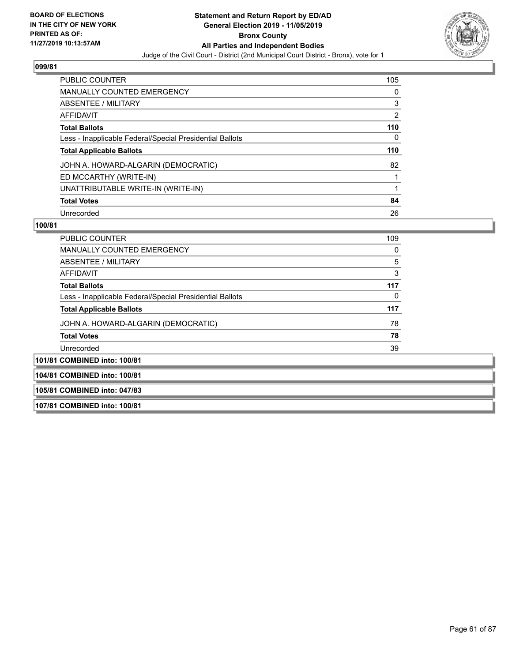

| PUBLIC COUNTER                                           | 105 |
|----------------------------------------------------------|-----|
| <b>MANUALLY COUNTED EMERGENCY</b>                        | 0   |
| ABSENTEE / MILITARY                                      | 3   |
| AFFIDAVIT                                                | 2   |
| <b>Total Ballots</b>                                     | 110 |
| Less - Inapplicable Federal/Special Presidential Ballots | 0   |
| <b>Total Applicable Ballots</b>                          | 110 |
| JOHN A. HOWARD-ALGARIN (DEMOCRATIC)                      | 82  |
| ED MCCARTHY (WRITE-IN)                                   |     |
| UNATTRIBUTABLE WRITE-IN (WRITE-IN)                       |     |
| <b>Total Votes</b>                                       | 84  |
| Unrecorded                                               | 26  |

#### **100/81**

| 101/81 COMBINED into: 100/81                             |     |
|----------------------------------------------------------|-----|
| Unrecorded                                               | 39  |
| <b>Total Votes</b>                                       | 78  |
| JOHN A. HOWARD-ALGARIN (DEMOCRATIC)                      | 78  |
| <b>Total Applicable Ballots</b>                          | 117 |
| Less - Inapplicable Federal/Special Presidential Ballots | 0   |
| <b>Total Ballots</b>                                     | 117 |
| AFFIDAVIT                                                | 3   |
| ABSENTEE / MILITARY                                      | 5   |
| <b>MANUALLY COUNTED EMERGENCY</b>                        | 0   |
| <b>PUBLIC COUNTER</b>                                    | 109 |

**104/81 COMBINED into: 100/81**

**105/81 COMBINED into: 047/83**

**107/81 COMBINED into: 100/81**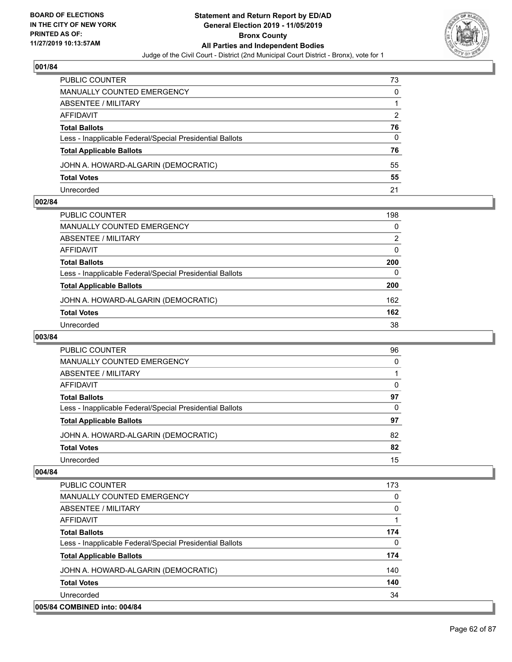

| PUBLIC COUNTER                                           | 73 |
|----------------------------------------------------------|----|
| <b>MANUALLY COUNTED EMERGENCY</b>                        | 0  |
| ABSENTEE / MILITARY                                      |    |
| AFFIDAVIT                                                | 2  |
| <b>Total Ballots</b>                                     | 76 |
| Less - Inapplicable Federal/Special Presidential Ballots | 0  |
| <b>Total Applicable Ballots</b>                          | 76 |
| JOHN A. HOWARD-ALGARIN (DEMOCRATIC)                      | 55 |
| <b>Total Votes</b>                                       | 55 |
| Unrecorded                                               | 21 |

#### **002/84**

| PUBLIC COUNTER                                           | 198 |
|----------------------------------------------------------|-----|
| <b>MANUALLY COUNTED EMERGENCY</b>                        | 0   |
| ABSENTEE / MILITARY                                      | 2   |
| AFFIDAVIT                                                | 0   |
| <b>Total Ballots</b>                                     | 200 |
| Less - Inapplicable Federal/Special Presidential Ballots | 0   |
| <b>Total Applicable Ballots</b>                          | 200 |
| JOHN A. HOWARD-ALGARIN (DEMOCRATIC)                      | 162 |
| <b>Total Votes</b>                                       | 162 |
| Unrecorded                                               | 38  |
|                                                          |     |

# **003/84**

| <b>PUBLIC COUNTER</b>                                    | 96       |
|----------------------------------------------------------|----------|
| MANUALLY COUNTED EMERGENCY                               | 0        |
| ABSENTEE / MILITARY                                      |          |
| AFFIDAVIT                                                | 0        |
| <b>Total Ballots</b>                                     | 97       |
| Less - Inapplicable Federal/Special Presidential Ballots | $\Omega$ |
| <b>Total Applicable Ballots</b>                          | 97       |
| JOHN A. HOWARD-ALGARIN (DEMOCRATIC)                      | 82       |
| <b>Total Votes</b>                                       | 82       |
| Unrecorded                                               | 15       |

| PUBLIC COUNTER                                           | 173      |
|----------------------------------------------------------|----------|
| <b>MANUALLY COUNTED EMERGENCY</b>                        | $\Omega$ |
| ABSENTEE / MILITARY                                      | 0        |
| AFFIDAVIT                                                |          |
| <b>Total Ballots</b>                                     | 174      |
| Less - Inapplicable Federal/Special Presidential Ballots | $\Omega$ |
| <b>Total Applicable Ballots</b>                          | 174      |
| JOHN A. HOWARD-ALGARIN (DEMOCRATIC)                      | 140      |
| <b>Total Votes</b>                                       | 140      |
| Unrecorded                                               | 34       |
| 005/84 COMBINED into: 004/84                             |          |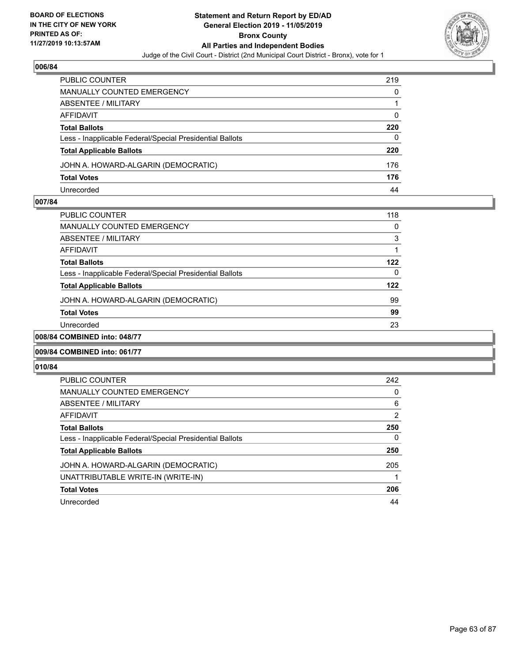

| PUBLIC COUNTER                                           | 219 |
|----------------------------------------------------------|-----|
| MANUALLY COUNTED EMERGENCY                               | 0   |
| ABSENTEE / MILITARY                                      |     |
| AFFIDAVIT                                                | 0   |
| Total Ballots                                            | 220 |
| Less - Inapplicable Federal/Special Presidential Ballots | 0   |
| <b>Total Applicable Ballots</b>                          | 220 |
| JOHN A. HOWARD-ALGARIN (DEMOCRATIC)                      | 176 |
| <b>Total Votes</b>                                       | 176 |
| Unrecorded                                               | 44  |

#### **007/84**

| PUBLIC COUNTER                                           | 118 |
|----------------------------------------------------------|-----|
|                                                          |     |
| <b>MANUALLY COUNTED EMERGENCY</b>                        | 0   |
| ABSENTEE / MILITARY                                      | 3   |
| AFFIDAVIT                                                |     |
| <b>Total Ballots</b>                                     | 122 |
| Less - Inapplicable Federal/Special Presidential Ballots | 0   |
| <b>Total Applicable Ballots</b>                          | 122 |
| JOHN A. HOWARD-ALGARIN (DEMOCRATIC)                      | 99  |
| <b>Total Votes</b>                                       | 99  |
| Unrecorded                                               | 23  |
| 008/84 COMBINED into: 048/77                             |     |

# **009/84 COMBINED into: 061/77**

| <b>PUBLIC COUNTER</b>                                    | 242           |
|----------------------------------------------------------|---------------|
| <b>MANUALLY COUNTED EMERGENCY</b>                        | 0             |
| ABSENTEE / MILITARY                                      | 6             |
| AFFIDAVIT                                                | $\mathcal{P}$ |
| <b>Total Ballots</b>                                     | 250           |
| Less - Inapplicable Federal/Special Presidential Ballots | 0             |
| <b>Total Applicable Ballots</b>                          | 250           |
| JOHN A. HOWARD-ALGARIN (DEMOCRATIC)                      | 205           |
| UNATTRIBUTABLE WRITE-IN (WRITE-IN)                       |               |
| <b>Total Votes</b>                                       | 206           |
| Unrecorded                                               | 44            |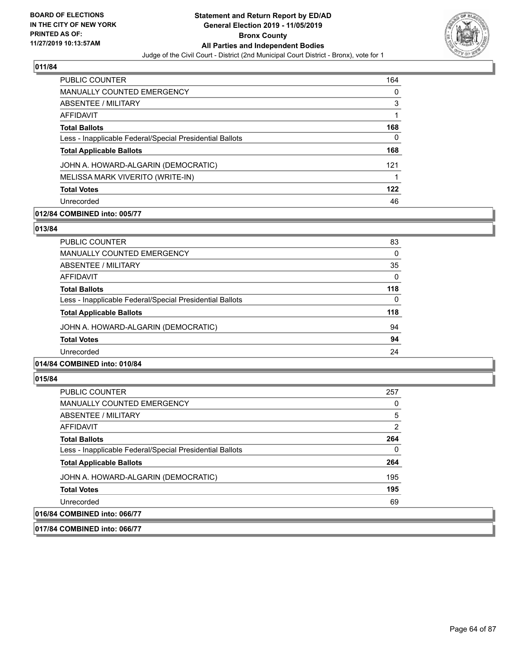

| <b>PUBLIC COUNTER</b>                                    | 164 |
|----------------------------------------------------------|-----|
| MANUALLY COUNTED EMERGENCY                               | 0   |
| ABSENTEE / MILITARY                                      | 3   |
| AFFIDAVIT                                                |     |
| <b>Total Ballots</b>                                     | 168 |
| Less - Inapplicable Federal/Special Presidential Ballots | 0   |
| <b>Total Applicable Ballots</b>                          | 168 |
| JOHN A. HOWARD-ALGARIN (DEMOCRATIC)                      | 121 |
| MELISSA MARK VIVERITO (WRITE-IN)                         |     |
| <b>Total Votes</b>                                       | 122 |
| Unrecorded                                               | 46  |

# **012/84 COMBINED into: 005/77**

#### **013/84**

| PUBLIC COUNTER                                           | 83       |
|----------------------------------------------------------|----------|
| MANUALLY COUNTED EMERGENCY                               | $\Omega$ |
| ABSENTEE / MILITARY                                      | 35       |
| AFFIDAVIT                                                | 0        |
| <b>Total Ballots</b>                                     | 118      |
| Less - Inapplicable Federal/Special Presidential Ballots | $\Omega$ |
| <b>Total Applicable Ballots</b>                          | 118      |
| JOHN A. HOWARD-ALGARIN (DEMOCRATIC)                      | 94       |
| <b>Total Votes</b>                                       | 94       |
| Unrecorded                                               | 24       |
|                                                          |          |

## **014/84 COMBINED into: 010/84**

#### **015/84**

| PUBLIC COUNTER                                           | 257 |
|----------------------------------------------------------|-----|
| MANUALLY COUNTED EMERGENCY                               | 0   |
| ABSENTEE / MILITARY                                      | 5   |
| AFFIDAVIT                                                | 2   |
| <b>Total Ballots</b>                                     | 264 |
| Less - Inapplicable Federal/Special Presidential Ballots | 0   |
| <b>Total Applicable Ballots</b>                          | 264 |
| JOHN A. HOWARD-ALGARIN (DEMOCRATIC)                      | 195 |
| <b>Total Votes</b>                                       | 195 |
| Unrecorded                                               | 69  |
| 016/84 COMBINED into: 066/77                             |     |

**017/84 COMBINED into: 066/77**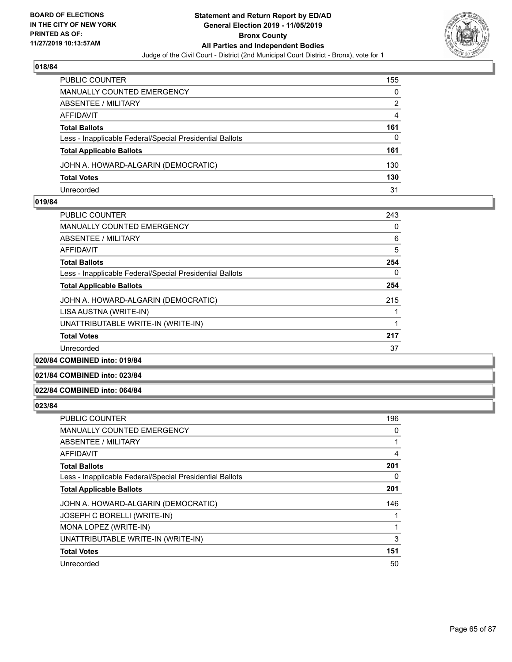

| PUBLIC COUNTER                                           | 155 |
|----------------------------------------------------------|-----|
| <b>MANUALLY COUNTED EMERGENCY</b>                        | 0   |
| <b>ABSENTEE / MILITARY</b>                               | 2   |
| AFFIDAVIT                                                | 4   |
| <b>Total Ballots</b>                                     | 161 |
| Less - Inapplicable Federal/Special Presidential Ballots | 0   |
| <b>Total Applicable Ballots</b>                          | 161 |
| JOHN A. HOWARD-ALGARIN (DEMOCRATIC)                      | 130 |
| <b>Total Votes</b>                                       | 130 |
| Unrecorded                                               | 31  |

#### **019/84**

| <b>PUBLIC COUNTER</b>                                    | 243 |
|----------------------------------------------------------|-----|
| <b>MANUALLY COUNTED EMERGENCY</b>                        | 0   |
| ABSENTEE / MILITARY                                      | 6   |
| <b>AFFIDAVIT</b>                                         | 5   |
| <b>Total Ballots</b>                                     | 254 |
| Less - Inapplicable Federal/Special Presidential Ballots | 0   |
| <b>Total Applicable Ballots</b>                          | 254 |
| JOHN A. HOWARD-ALGARIN (DEMOCRATIC)                      | 215 |
| LISA AUSTNA (WRITE-IN)                                   |     |
| UNATTRIBUTABLE WRITE-IN (WRITE-IN)                       | 1   |
| <b>Total Votes</b>                                       | 217 |
| Unrecorded                                               | 37  |
| 020/84 COMBINED into: 019/84                             |     |

# **021/84 COMBINED into: 023/84**

# **022/84 COMBINED into: 064/84**

| <b>PUBLIC COUNTER</b>                                    | 196 |
|----------------------------------------------------------|-----|
| <b>MANUALLY COUNTED EMERGENCY</b>                        | 0   |
| ABSENTEE / MILITARY                                      | 1   |
| AFFIDAVIT                                                | 4   |
| Total Ballots                                            | 201 |
| Less - Inapplicable Federal/Special Presidential Ballots | 0   |
| <b>Total Applicable Ballots</b>                          | 201 |
| JOHN A. HOWARD-ALGARIN (DEMOCRATIC)                      | 146 |
| JOSEPH C BORELLI (WRITE-IN)                              |     |
| MONA LOPEZ (WRITE-IN)                                    | 1   |
| UNATTRIBUTABLE WRITE-IN (WRITE-IN)                       | 3   |
| <b>Total Votes</b>                                       | 151 |
| Unrecorded                                               | 50  |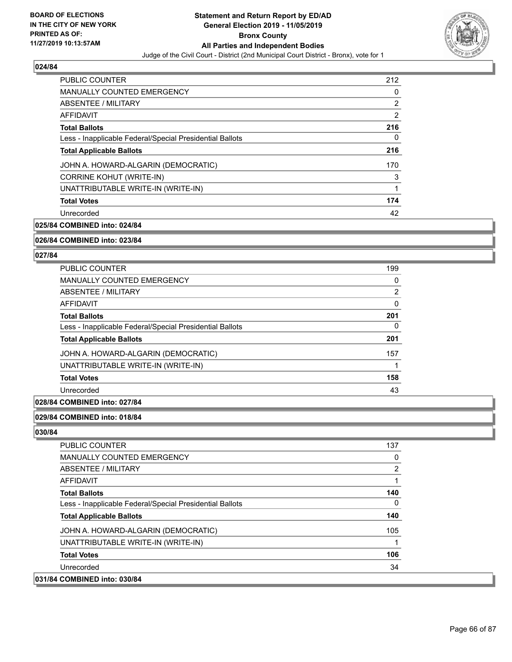

| <b>PUBLIC COUNTER</b>                                    | 212            |
|----------------------------------------------------------|----------------|
| <b>MANUALLY COUNTED EMERGENCY</b>                        | 0              |
| ABSENTEE / MILITARY                                      | $\overline{2}$ |
| <b>AFFIDAVIT</b>                                         | $\overline{2}$ |
| <b>Total Ballots</b>                                     | 216            |
| Less - Inapplicable Federal/Special Presidential Ballots | 0              |
| <b>Total Applicable Ballots</b>                          | 216            |
| JOHN A. HOWARD-ALGARIN (DEMOCRATIC)                      | 170            |
| <b>CORRINE KOHUT (WRITE-IN)</b>                          | 3              |
| UNATTRIBUTABLE WRITE-IN (WRITE-IN)                       | 1              |
| <b>Total Votes</b>                                       | 174            |
| Unrecorded                                               | 42             |

**025/84 COMBINED into: 024/84**

**026/84 COMBINED into: 023/84**

#### **027/84**

| PUBLIC COUNTER                                           | 199      |
|----------------------------------------------------------|----------|
| <b>MANUALLY COUNTED EMERGENCY</b>                        | 0        |
| ABSENTEE / MILITARY                                      | 2        |
| AFFIDAVIT                                                | 0        |
| <b>Total Ballots</b>                                     | 201      |
| Less - Inapplicable Federal/Special Presidential Ballots | $\Omega$ |
| <b>Total Applicable Ballots</b>                          | 201      |
| JOHN A. HOWARD-ALGARIN (DEMOCRATIC)                      | 157      |
| UNATTRIBUTABLE WRITE-IN (WRITE-IN)                       |          |
| <b>Total Votes</b>                                       | 158      |
| Unrecorded                                               | 43       |
|                                                          |          |

#### **028/84 COMBINED into: 027/84**

#### **029/84 COMBINED into: 018/84**

| <b>PUBLIC COUNTER</b>                                    | 137 |
|----------------------------------------------------------|-----|
| <b>MANUALLY COUNTED EMERGENCY</b>                        | 0   |
| ABSENTEE / MILITARY                                      | 2   |
| AFFIDAVIT                                                | 1   |
| <b>Total Ballots</b>                                     | 140 |
| Less - Inapplicable Federal/Special Presidential Ballots | 0   |
| <b>Total Applicable Ballots</b>                          | 140 |
| JOHN A. HOWARD-ALGARIN (DEMOCRATIC)                      | 105 |
| UNATTRIBUTABLE WRITE-IN (WRITE-IN)                       |     |
| <b>Total Votes</b>                                       | 106 |
| Unrecorded                                               | 34  |
| 031/84 COMBINED into: 030/84                             |     |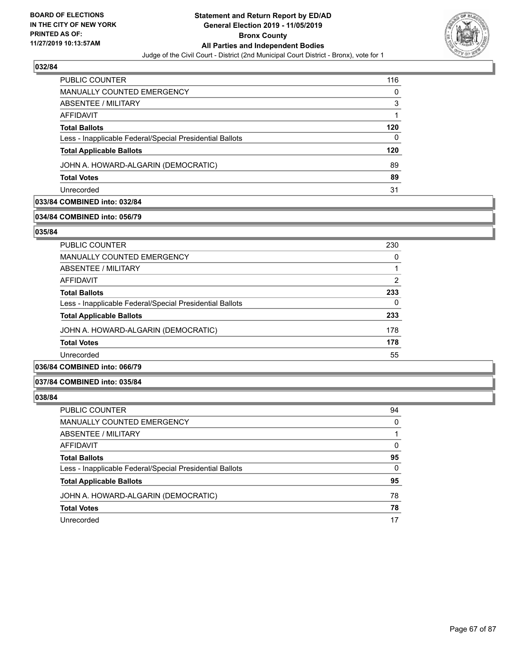

| PUBLIC COUNTER                                           | 116 |
|----------------------------------------------------------|-----|
| <b>MANUALLY COUNTED EMERGENCY</b>                        | 0   |
| ABSENTEE / MILITARY                                      | 3   |
| AFFIDAVIT                                                |     |
| <b>Total Ballots</b>                                     | 120 |
| Less - Inapplicable Federal/Special Presidential Ballots | 0   |
| <b>Total Applicable Ballots</b>                          | 120 |
| JOHN A. HOWARD-ALGARIN (DEMOCRATIC)                      | 89  |
| <b>Total Votes</b>                                       | 89  |
| Unrecorded                                               | 31  |

# **033/84 COMBINED into: 032/84**

#### **034/84 COMBINED into: 056/79**

#### **035/84**

| <b>PUBLIC COUNTER</b>                                    | 230 |
|----------------------------------------------------------|-----|
| <b>MANUALLY COUNTED EMERGENCY</b>                        | 0   |
| ABSENTEE / MILITARY                                      |     |
| AFFIDAVIT                                                | 2   |
| <b>Total Ballots</b>                                     | 233 |
| Less - Inapplicable Federal/Special Presidential Ballots | 0   |
| <b>Total Applicable Ballots</b>                          | 233 |
| JOHN A. HOWARD-ALGARIN (DEMOCRATIC)                      | 178 |
| <b>Total Votes</b>                                       | 178 |
| Unrecorded                                               | 55  |
|                                                          |     |

# **036/84 COMBINED into: 066/79**

#### **037/84 COMBINED into: 035/84**

| <b>PUBLIC COUNTER</b>                                    | 94 |
|----------------------------------------------------------|----|
| MANUALLY COUNTED EMERGENCY                               | 0  |
| ABSENTEE / MILITARY                                      |    |
| AFFIDAVIT                                                | 0  |
| <b>Total Ballots</b>                                     | 95 |
| Less - Inapplicable Federal/Special Presidential Ballots | 0  |
| <b>Total Applicable Ballots</b>                          | 95 |
| JOHN A. HOWARD-ALGARIN (DEMOCRATIC)                      | 78 |
| <b>Total Votes</b>                                       | 78 |
| Unrecorded                                               | 17 |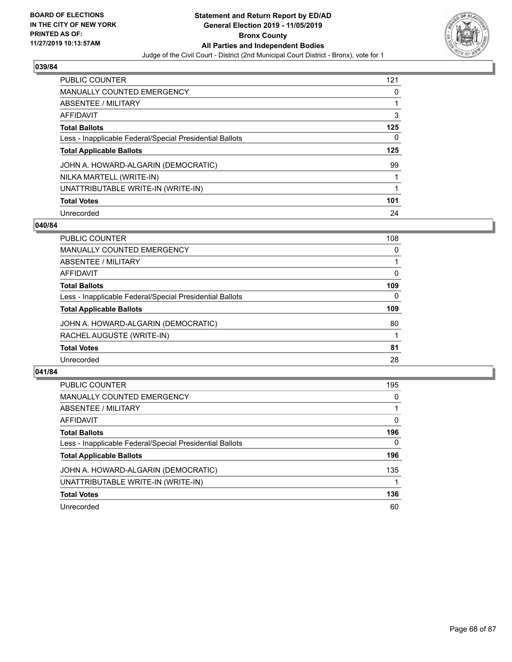

| <b>PUBLIC COUNTER</b>                                    | 121 |
|----------------------------------------------------------|-----|
| <b>MANUALLY COUNTED EMERGENCY</b>                        | 0   |
| ABSENTEE / MILITARY                                      |     |
| AFFIDAVIT                                                | 3   |
| <b>Total Ballots</b>                                     | 125 |
| Less - Inapplicable Federal/Special Presidential Ballots | 0   |
|                                                          |     |
| <b>Total Applicable Ballots</b>                          | 125 |
| JOHN A. HOWARD-ALGARIN (DEMOCRATIC)                      | 99  |
| NILKA MARTELL (WRITE-IN)                                 |     |
| UNATTRIBUTABLE WRITE-IN (WRITE-IN)                       |     |
| <b>Total Votes</b>                                       | 101 |

#### **040/84**

| <b>PUBLIC COUNTER</b>                                    | 108      |
|----------------------------------------------------------|----------|
| MANUALLY COUNTED EMERGENCY                               | 0        |
| ABSENTEE / MILITARY                                      |          |
| AFFIDAVIT                                                | 0        |
| <b>Total Ballots</b>                                     | 109      |
| Less - Inapplicable Federal/Special Presidential Ballots | $\Omega$ |
| <b>Total Applicable Ballots</b>                          | 109      |
| JOHN A. HOWARD-ALGARIN (DEMOCRATIC)                      | 80       |
| RACHEL AUGUSTE (WRITE-IN)                                |          |
| <b>Total Votes</b>                                       | 81       |
| Unrecorded                                               | 28       |

| PUBLIC COUNTER                                           | 195      |
|----------------------------------------------------------|----------|
| <b>MANUALLY COUNTED EMERGENCY</b>                        | $\Omega$ |
| ABSENTEE / MILITARY                                      |          |
| AFFIDAVIT                                                | $\Omega$ |
| <b>Total Ballots</b>                                     | 196      |
| Less - Inapplicable Federal/Special Presidential Ballots | $\Omega$ |
| <b>Total Applicable Ballots</b>                          | 196      |
| JOHN A. HOWARD-ALGARIN (DEMOCRATIC)                      | 135      |
| UNATTRIBUTABLE WRITE-IN (WRITE-IN)                       |          |
| <b>Total Votes</b>                                       | 136      |
| Unrecorded                                               | 60       |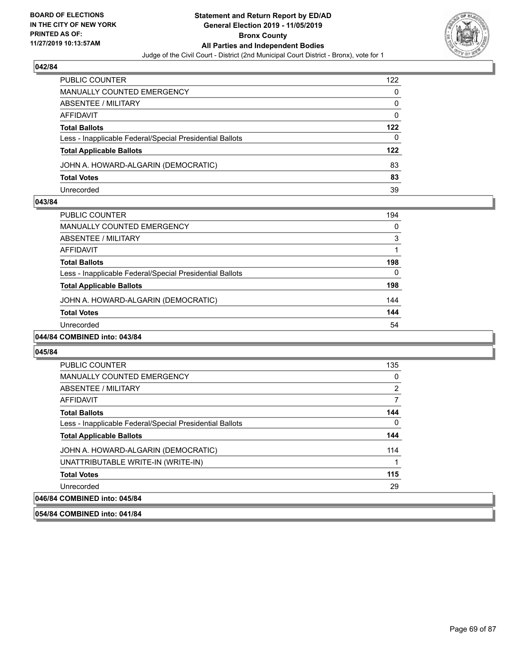

| PUBLIC COUNTER                                           | 122 |
|----------------------------------------------------------|-----|
| <b>MANUALLY COUNTED EMERGENCY</b>                        | 0   |
| <b>ABSENTEE / MILITARY</b>                               | 0   |
| AFFIDAVIT                                                | 0   |
| <b>Total Ballots</b>                                     | 122 |
| Less - Inapplicable Federal/Special Presidential Ballots | 0   |
| <b>Total Applicable Ballots</b>                          | 122 |
| JOHN A. HOWARD-ALGARIN (DEMOCRATIC)                      | 83  |
| <b>Total Votes</b>                                       | 83  |
| Unrecorded                                               | 39  |

#### **043/84**

| PUBLIC COUNTER                                           | 194      |
|----------------------------------------------------------|----------|
| <b>MANUALLY COUNTED EMERGENCY</b>                        | $\Omega$ |
| ABSENTEE / MILITARY                                      | 3        |
| AFFIDAVIT                                                |          |
| <b>Total Ballots</b>                                     | 198      |
| Less - Inapplicable Federal/Special Presidential Ballots | 0        |
| <b>Total Applicable Ballots</b>                          | 198      |
| JOHN A. HOWARD-ALGARIN (DEMOCRATIC)                      | 144      |
| <b>Total Votes</b>                                       | 144      |
| Unrecorded                                               | 54       |
| 0.01101100                                               |          |

### **044/84 COMBINED into: 043/84**

#### **045/84**

| <b>PUBLIC COUNTER</b>                                    | 135 |
|----------------------------------------------------------|-----|
| <b>MANUALLY COUNTED EMERGENCY</b>                        | 0   |
| ABSENTEE / MILITARY                                      | 2   |
| AFFIDAVIT                                                |     |
| <b>Total Ballots</b>                                     | 144 |
| Less - Inapplicable Federal/Special Presidential Ballots | 0   |
| <b>Total Applicable Ballots</b>                          | 144 |
| JOHN A. HOWARD-ALGARIN (DEMOCRATIC)                      | 114 |
| UNATTRIBUTABLE WRITE-IN (WRITE-IN)                       |     |
| <b>Total Votes</b>                                       | 115 |
| Unrecorded                                               | 29  |
| 046/84 COMBINED into: 045/84                             |     |

#### **054/84 COMBINED into: 041/84**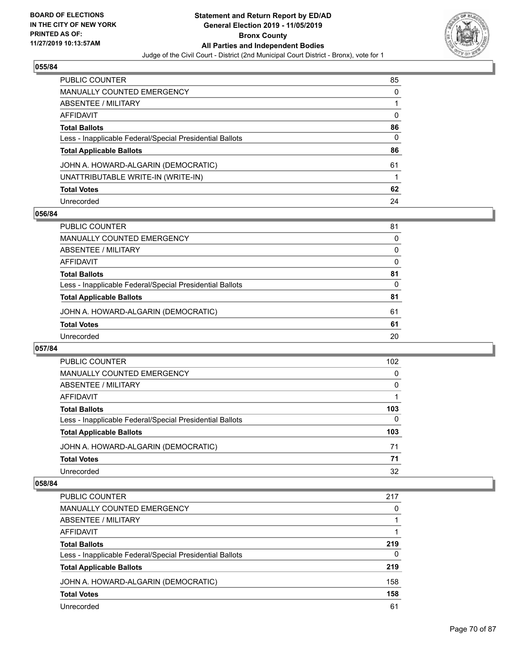

| PUBLIC COUNTER                                           | 85 |
|----------------------------------------------------------|----|
| <b>MANUALLY COUNTED EMERGENCY</b>                        | 0  |
| ABSENTEE / MILITARY                                      |    |
| AFFIDAVIT                                                | 0  |
| <b>Total Ballots</b>                                     | 86 |
| Less - Inapplicable Federal/Special Presidential Ballots | 0  |
| <b>Total Applicable Ballots</b>                          | 86 |
| JOHN A. HOWARD-ALGARIN (DEMOCRATIC)                      | 61 |
| UNATTRIBUTABLE WRITE-IN (WRITE-IN)                       |    |
| <b>Total Votes</b>                                       | 62 |
| Unrecorded                                               | 24 |

#### **056/84**

| <b>PUBLIC COUNTER</b>                                    | 81 |
|----------------------------------------------------------|----|
| MANUALLY COUNTED EMERGENCY                               | 0  |
| ABSENTEE / MILITARY                                      | 0  |
| AFFIDAVIT                                                | 0  |
| <b>Total Ballots</b>                                     | 81 |
| Less - Inapplicable Federal/Special Presidential Ballots | 0  |
| <b>Total Applicable Ballots</b>                          | 81 |
| JOHN A. HOWARD-ALGARIN (DEMOCRATIC)                      | 61 |
| <b>Total Votes</b>                                       | 61 |
| Unrecorded                                               | 20 |

#### **057/84**

| <b>PUBLIC COUNTER</b>                                    | 102      |
|----------------------------------------------------------|----------|
| MANUALLY COUNTED EMERGENCY                               | $\Omega$ |
| ABSENTEE / MILITARY                                      | $\Omega$ |
| AFFIDAVIT                                                |          |
| <b>Total Ballots</b>                                     | 103      |
| Less - Inapplicable Federal/Special Presidential Ballots | $\Omega$ |
| <b>Total Applicable Ballots</b>                          | 103      |
| JOHN A. HOWARD-ALGARIN (DEMOCRATIC)                      | 71       |
| <b>Total Votes</b>                                       | 71       |
| Unrecorded                                               | 32       |

| PUBLIC COUNTER                                           | 217      |
|----------------------------------------------------------|----------|
| MANUALLY COUNTED EMERGENCY                               | 0        |
| ABSENTEE / MILITARY                                      |          |
| AFFIDAVIT                                                |          |
| <b>Total Ballots</b>                                     | 219      |
| Less - Inapplicable Federal/Special Presidential Ballots | $\Omega$ |
| <b>Total Applicable Ballots</b>                          | 219      |
| JOHN A. HOWARD-ALGARIN (DEMOCRATIC)                      | 158      |
| <b>Total Votes</b>                                       | 158      |
| Unrecorded                                               | 61       |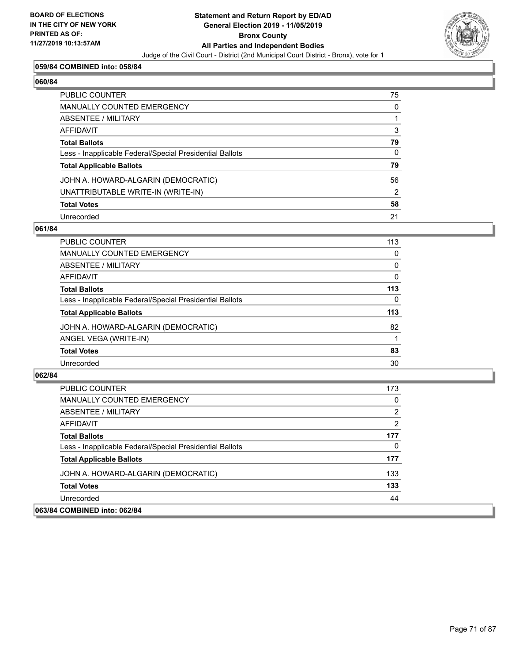

### **059/84 COMBINED into: 058/84**

# **060/84**

| PUBLIC COUNTER                                           | 75           |
|----------------------------------------------------------|--------------|
| <b>MANUALLY COUNTED EMERGENCY</b>                        | 0            |
| <b>ABSENTEE / MILITARY</b>                               |              |
| <b>AFFIDAVIT</b>                                         | 3            |
| <b>Total Ballots</b>                                     | 79           |
| Less - Inapplicable Federal/Special Presidential Ballots | $\mathbf{0}$ |
| <b>Total Applicable Ballots</b>                          | 79           |
| JOHN A. HOWARD-ALGARIN (DEMOCRATIC)                      | 56           |
| UNATTRIBUTABLE WRITE-IN (WRITE-IN)                       | 2            |
| <b>Total Votes</b>                                       | 58           |
| Unrecorded                                               | 21           |

#### **061/84**

| PUBLIC COUNTER                                           | 113 |
|----------------------------------------------------------|-----|
| MANUALLY COUNTED EMERGENCY                               | 0   |
| <b>ABSENTEE / MILITARY</b>                               | 0   |
| AFFIDAVIT                                                | 0   |
| <b>Total Ballots</b>                                     | 113 |
| Less - Inapplicable Federal/Special Presidential Ballots | 0   |
| <b>Total Applicable Ballots</b>                          | 113 |
| JOHN A. HOWARD-ALGARIN (DEMOCRATIC)                      | 82  |
| ANGEL VEGA (WRITE-IN)                                    |     |
| <b>Total Votes</b>                                       | 83  |
| Unrecorded                                               | 30  |

| PUBLIC COUNTER                                           | 173            |
|----------------------------------------------------------|----------------|
| MANUALLY COUNTED EMERGENCY                               | $\Omega$       |
| ABSENTEE / MILITARY                                      | $\overline{2}$ |
| AFFIDAVIT                                                | $\mathcal{P}$  |
| <b>Total Ballots</b>                                     | 177            |
| Less - Inapplicable Federal/Special Presidential Ballots | 0              |
| <b>Total Applicable Ballots</b>                          | 177            |
| JOHN A. HOWARD-ALGARIN (DEMOCRATIC)                      | 133            |
| <b>Total Votes</b>                                       | 133            |
| Unrecorded                                               | 44             |
| 063/84 COMBINED into: 062/84                             |                |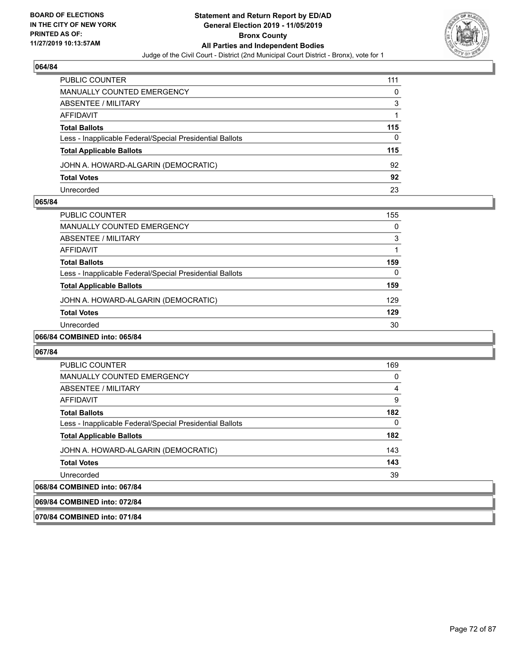

| PUBLIC COUNTER                                           | 111 |
|----------------------------------------------------------|-----|
| <b>MANUALLY COUNTED EMERGENCY</b>                        | 0   |
| <b>ABSENTEE / MILITARY</b>                               | 3   |
| <b>AFFIDAVIT</b>                                         |     |
| <b>Total Ballots</b>                                     | 115 |
| Less - Inapplicable Federal/Special Presidential Ballots | 0   |
| <b>Total Applicable Ballots</b>                          | 115 |
| JOHN A. HOWARD-ALGARIN (DEMOCRATIC)                      | 92  |
| <b>Total Votes</b>                                       | 92  |
| Unrecorded                                               | 23  |

#### **065/84**

| PUBLIC COUNTER                                                                                                  | 155 |
|-----------------------------------------------------------------------------------------------------------------|-----|
| <b>MANUALLY COUNTED EMERGENCY</b>                                                                               | 0   |
| ABSENTEE / MILITARY                                                                                             | 3   |
| AFFIDAVIT                                                                                                       |     |
| <b>Total Ballots</b>                                                                                            | 159 |
| Less - Inapplicable Federal/Special Presidential Ballots                                                        | 0   |
| <b>Total Applicable Ballots</b>                                                                                 | 159 |
| JOHN A. HOWARD-ALGARIN (DEMOCRATIC)                                                                             | 129 |
| <b>Total Votes</b>                                                                                              | 129 |
| Unrecorded                                                                                                      | 30  |
| $A$ $A$ $B$ $B$ $B$ $B$ $B$ $A$ $A$ $A$ $B$ $B$ $A$ $A$ $B$ $A$ $A$ $B$ $A$ $A$ $B$ $A$ $A$ $A$ $B$ $A$ $A$ $A$ |     |

### **066/84 COMBINED into: 065/84**

#### **067/84**

| 069/84 COMBINED into: 072/84                             |     |
|----------------------------------------------------------|-----|
| 068/84 COMBINED into: 067/84                             |     |
| Unrecorded                                               | 39  |
| <b>Total Votes</b>                                       | 143 |
| JOHN A. HOWARD-ALGARIN (DEMOCRATIC)                      | 143 |
| <b>Total Applicable Ballots</b>                          | 182 |
| Less - Inapplicable Federal/Special Presidential Ballots | 0   |
| <b>Total Ballots</b>                                     | 182 |
| AFFIDAVIT                                                | 9   |
| ABSENTEE / MILITARY                                      |     |
| MANUALLY COUNTED EMERGENCY                               |     |
| <b>PUBLIC COUNTER</b>                                    | 169 |

#### **070/84 COMBINED into: 071/84**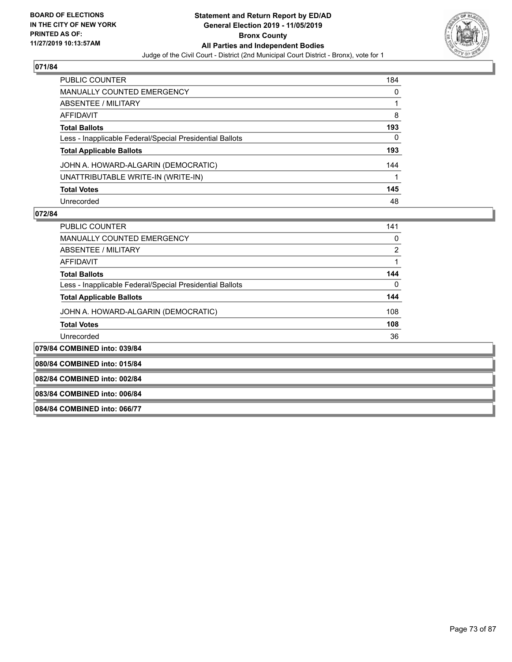

| PUBLIC COUNTER                                           | 184      |
|----------------------------------------------------------|----------|
| <b>MANUALLY COUNTED EMERGENCY</b>                        | $\Omega$ |
| <b>ABSENTEE / MILITARY</b>                               |          |
| <b>AFFIDAVIT</b>                                         | 8        |
| <b>Total Ballots</b>                                     | 193      |
| Less - Inapplicable Federal/Special Presidential Ballots | 0        |
| <b>Total Applicable Ballots</b>                          | 193      |
| JOHN A. HOWARD-ALGARIN (DEMOCRATIC)                      | 144      |
| UNATTRIBUTABLE WRITE-IN (WRITE-IN)                       | 1        |
| <b>Total Votes</b>                                       | 145      |
| Unrecorded                                               | 48       |

| PUBLIC COUNTER                                           | 141 |  |
|----------------------------------------------------------|-----|--|
| <b>MANUALLY COUNTED EMERGENCY</b>                        | 0   |  |
| ABSENTEE / MILITARY                                      | 2   |  |
| AFFIDAVIT                                                |     |  |
| <b>Total Ballots</b>                                     | 144 |  |
| Less - Inapplicable Federal/Special Presidential Ballots | 0   |  |
| <b>Total Applicable Ballots</b>                          | 144 |  |
| JOHN A. HOWARD-ALGARIN (DEMOCRATIC)                      | 108 |  |
| <b>Total Votes</b>                                       | 108 |  |
| Unrecorded                                               | 36  |  |
| 079/84 COMBINED into: 039/84                             |     |  |
| 080/84 COMBINED into: 015/84                             |     |  |
| 082/84 COMBINED into: 002/84                             |     |  |
| 083/84 COMBINED into: 006/84                             |     |  |
| 084/84 COMBINED into: 066/77                             |     |  |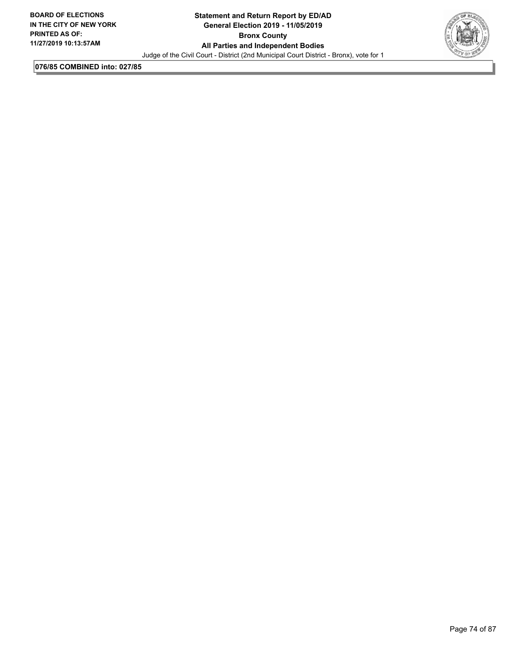

**076/85 COMBINED into: 027/85**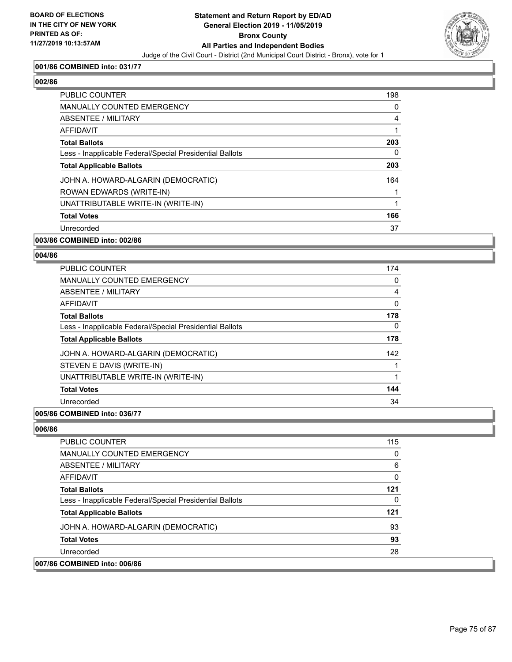

### **001/86 COMBINED into: 031/77**

# **002/86**

| <b>PUBLIC COUNTER</b>                                    | 198 |
|----------------------------------------------------------|-----|
| <b>MANUALLY COUNTED EMERGENCY</b>                        | 0   |
| ABSENTEE / MILITARY                                      | 4   |
| AFFIDAVIT                                                |     |
| <b>Total Ballots</b>                                     | 203 |
| Less - Inapplicable Federal/Special Presidential Ballots | 0   |
| <b>Total Applicable Ballots</b>                          | 203 |
| JOHN A. HOWARD-ALGARIN (DEMOCRATIC)                      | 164 |
| ROWAN EDWARDS (WRITE-IN)                                 |     |
| UNATTRIBUTABLE WRITE-IN (WRITE-IN)                       |     |
| <b>Total Votes</b>                                       | 166 |
| Unrecorded                                               | 37  |
|                                                          |     |

#### **003/86 COMBINED into: 002/86**

#### **004/86**

| PUBLIC COUNTER                                           | 174 |
|----------------------------------------------------------|-----|
| <b>MANUALLY COUNTED EMERGENCY</b>                        | 0   |
| ABSENTEE / MILITARY                                      | 4   |
| <b>AFFIDAVIT</b>                                         | 0   |
| <b>Total Ballots</b>                                     | 178 |
| Less - Inapplicable Federal/Special Presidential Ballots | 0   |
| <b>Total Applicable Ballots</b>                          | 178 |
| JOHN A. HOWARD-ALGARIN (DEMOCRATIC)                      | 142 |
| STEVEN E DAVIS (WRITE-IN)                                |     |
| UNATTRIBUTABLE WRITE-IN (WRITE-IN)                       | 1   |
| <b>Total Votes</b>                                       | 144 |
| Unrecorded                                               | 34  |

# **005/86 COMBINED into: 036/77**

| 007/86 COMBINED into: 006/86                             |          |
|----------------------------------------------------------|----------|
| Unrecorded                                               | 28       |
| <b>Total Votes</b>                                       | 93       |
| JOHN A. HOWARD-ALGARIN (DEMOCRATIC)                      | 93       |
| <b>Total Applicable Ballots</b>                          | 121      |
| Less - Inapplicable Federal/Special Presidential Ballots | $\Omega$ |
| <b>Total Ballots</b>                                     | 121      |
| AFFIDAVIT                                                | $\Omega$ |
| ABSENTEE / MILITARY                                      | 6        |
| <b>MANUALLY COUNTED EMERGENCY</b>                        | $\Omega$ |
| <b>PUBLIC COUNTER</b>                                    | 115      |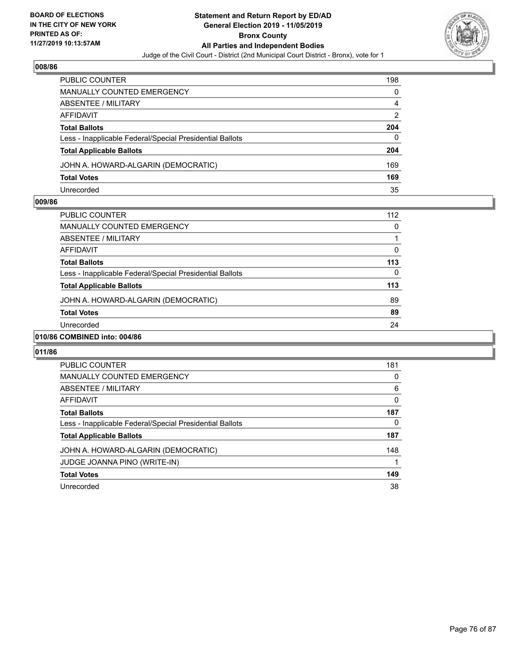

| PUBLIC COUNTER                                           | 198           |
|----------------------------------------------------------|---------------|
| <b>MANUALLY COUNTED EMERGENCY</b>                        | 0             |
| <b>ABSENTEE / MILITARY</b>                               | 4             |
| AFFIDAVIT                                                | $\mathcal{P}$ |
| <b>Total Ballots</b>                                     | 204           |
| Less - Inapplicable Federal/Special Presidential Ballots | 0             |
| <b>Total Applicable Ballots</b>                          | 204           |
| JOHN A. HOWARD-ALGARIN (DEMOCRATIC)                      | 169           |
| <b>Total Votes</b>                                       | 169           |
| Unrecorded                                               | 35            |

#### **009/86**

| <b>PUBLIC COUNTER</b>                                    | 112 |
|----------------------------------------------------------|-----|
| <b>MANUALLY COUNTED EMERGENCY</b>                        | 0   |
| ABSENTEE / MILITARY                                      |     |
| AFFIDAVIT                                                | 0   |
| <b>Total Ballots</b>                                     | 113 |
| Less - Inapplicable Federal/Special Presidential Ballots | 0   |
| <b>Total Applicable Ballots</b>                          | 113 |
| JOHN A. HOWARD-ALGARIN (DEMOCRATIC)                      | 89  |
| <b>Total Votes</b>                                       | 89  |
| Unrecorded                                               | 24  |
| 010/86 COMBINED into: 004/86                             |     |

| <b>PUBLIC COUNTER</b>                                    | 181      |
|----------------------------------------------------------|----------|
| <b>MANUALLY COUNTED EMERGENCY</b>                        | 0        |
| ABSENTEE / MILITARY                                      | 6        |
| AFFIDAVIT                                                | $\Omega$ |
| <b>Total Ballots</b>                                     | 187      |
| Less - Inapplicable Federal/Special Presidential Ballots | 0        |
| <b>Total Applicable Ballots</b>                          | 187      |
| JOHN A. HOWARD-ALGARIN (DEMOCRATIC)                      | 148      |
| JUDGE JOANNA PINO (WRITE-IN)                             |          |
| <b>Total Votes</b>                                       | 149      |
| Unrecorded                                               | 38       |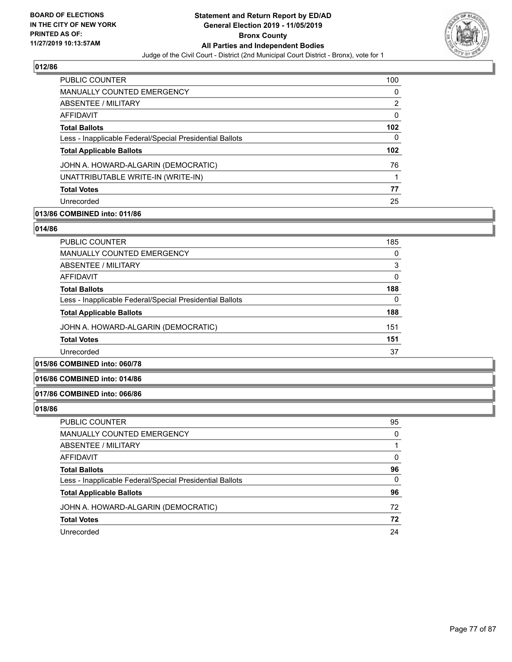

| <b>PUBLIC COUNTER</b>                                    | 100 |
|----------------------------------------------------------|-----|
| <b>MANUALLY COUNTED EMERGENCY</b>                        | 0   |
| ABSENTEE / MILITARY                                      | 2   |
| AFFIDAVIT                                                | 0   |
| <b>Total Ballots</b>                                     | 102 |
| Less - Inapplicable Federal/Special Presidential Ballots | 0   |
| <b>Total Applicable Ballots</b>                          | 102 |
| JOHN A. HOWARD-ALGARIN (DEMOCRATIC)                      | 76  |
| UNATTRIBUTABLE WRITE-IN (WRITE-IN)                       |     |
| <b>Total Votes</b>                                       | 77  |
| Unrecorded                                               | 25  |

# **013/86 COMBINED into: 011/86**

#### **014/86**

| <b>PUBLIC COUNTER</b>                                    | 185 |
|----------------------------------------------------------|-----|
| <b>MANUALLY COUNTED EMERGENCY</b>                        | 0   |
| ABSENTEE / MILITARY                                      | 3   |
| AFFIDAVIT                                                | 0   |
| <b>Total Ballots</b>                                     | 188 |
| Less - Inapplicable Federal/Special Presidential Ballots | 0   |
| <b>Total Applicable Ballots</b>                          | 188 |
| JOHN A. HOWARD-ALGARIN (DEMOCRATIC)                      | 151 |
| <b>Total Votes</b>                                       | 151 |
| Unrecorded                                               | 37  |
|                                                          |     |

# **015/86 COMBINED into: 060/78**

# **016/86 COMBINED into: 014/86**

# **017/86 COMBINED into: 066/86**

| <b>PUBLIC COUNTER</b>                                    | 95 |
|----------------------------------------------------------|----|
| MANUALLY COUNTED EMERGENCY                               | 0  |
| ABSENTEE / MILITARY                                      |    |
| AFFIDAVIT                                                | 0  |
| <b>Total Ballots</b>                                     | 96 |
| Less - Inapplicable Federal/Special Presidential Ballots | 0  |
| <b>Total Applicable Ballots</b>                          | 96 |
| JOHN A. HOWARD-ALGARIN (DEMOCRATIC)                      | 72 |
| <b>Total Votes</b>                                       | 72 |
| Unrecorded                                               | 24 |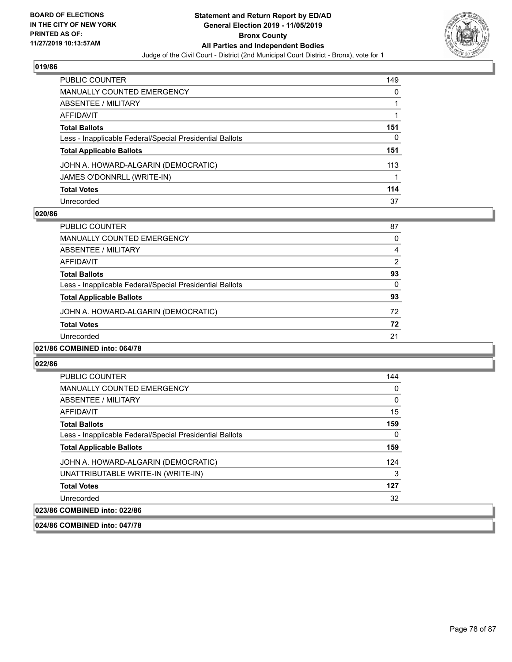

| PUBLIC COUNTER                                           | 149 |
|----------------------------------------------------------|-----|
| <b>MANUALLY COUNTED EMERGENCY</b>                        | 0   |
| ABSENTEE / MILITARY                                      |     |
| AFFIDAVIT                                                |     |
| <b>Total Ballots</b>                                     | 151 |
| Less - Inapplicable Federal/Special Presidential Ballots | 0   |
| <b>Total Applicable Ballots</b>                          | 151 |
| JOHN A. HOWARD-ALGARIN (DEMOCRATIC)                      | 113 |
| JAMES O'DONNRLL (WRITE-IN)                               |     |
| <b>Total Votes</b>                                       | 114 |
| Unrecorded                                               | 37  |

#### **020/86**

| PUBLIC COUNTER                                           | 87       |
|----------------------------------------------------------|----------|
| <b>MANUALLY COUNTED EMERGENCY</b>                        | $\Omega$ |
| ABSENTEE / MILITARY                                      | 4        |
| AFFIDAVIT                                                | 2        |
| <b>Total Ballots</b>                                     | 93       |
| Less - Inapplicable Federal/Special Presidential Ballots | 0        |
| <b>Total Applicable Ballots</b>                          | 93       |
| JOHN A. HOWARD-ALGARIN (DEMOCRATIC)                      | 72       |
| <b>Total Votes</b>                                       | 72       |
| Unrecorded                                               | 21       |
|                                                          |          |

#### **021/86 COMBINED into: 064/78**

**022/86** 

| <b>PUBLIC COUNTER</b>                                    | 144          |
|----------------------------------------------------------|--------------|
| MANUALLY COUNTED EMERGENCY                               | 0            |
| ABSENTEE / MILITARY                                      | 0            |
| <b>AFFIDAVIT</b>                                         | 15           |
| <b>Total Ballots</b>                                     | 159          |
| Less - Inapplicable Federal/Special Presidential Ballots | $\mathbf{0}$ |
| <b>Total Applicable Ballots</b>                          | 159          |
| JOHN A. HOWARD-ALGARIN (DEMOCRATIC)                      | 124          |
| UNATTRIBUTABLE WRITE-IN (WRITE-IN)                       | 3            |
| <b>Total Votes</b>                                       | 127          |
| Unrecorded                                               | 32           |
| 023/86 COMBINED into: 022/86                             |              |

**024/86 COMBINED into: 047/78**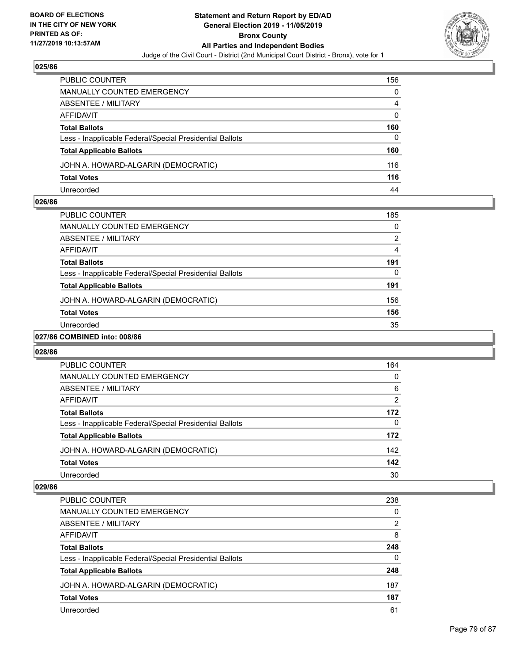

| PUBLIC COUNTER                                           | 156 |
|----------------------------------------------------------|-----|
| <b>MANUALLY COUNTED EMERGENCY</b>                        | 0   |
| ABSENTEE / MILITARY                                      | 4   |
| AFFIDAVIT                                                | 0   |
| <b>Total Ballots</b>                                     | 160 |
| Less - Inapplicable Federal/Special Presidential Ballots | 0   |
| <b>Total Applicable Ballots</b>                          | 160 |
| JOHN A. HOWARD-ALGARIN (DEMOCRATIC)                      | 116 |
| <b>Total Votes</b>                                       | 116 |
| Unrecorded                                               | 44  |

#### **026/86**

| PUBLIC COUNTER                                           | 185            |
|----------------------------------------------------------|----------------|
| <b>MANUALLY COUNTED EMERGENCY</b>                        | 0              |
| ABSENTEE / MILITARY                                      | 2              |
| AFFIDAVIT                                                | $\overline{4}$ |
| <b>Total Ballots</b>                                     | 191            |
| Less - Inapplicable Federal/Special Presidential Ballots | 0              |
| <b>Total Applicable Ballots</b>                          | 191            |
| JOHN A. HOWARD-ALGARIN (DEMOCRATIC)                      | 156            |
| <b>Total Votes</b>                                       | 156            |
| Unrecorded                                               | 35             |
|                                                          |                |

### **027/86 COMBINED into: 008/86**

#### **028/86**

| <b>PUBLIC COUNTER</b>                                    | 164           |
|----------------------------------------------------------|---------------|
| MANUALLY COUNTED EMERGENCY                               | 0             |
| ABSENTEE / MILITARY                                      | 6             |
| AFFIDAVIT                                                | $\mathcal{P}$ |
| <b>Total Ballots</b>                                     | 172           |
| Less - Inapplicable Federal/Special Presidential Ballots | 0             |
| <b>Total Applicable Ballots</b>                          | 172           |
| JOHN A. HOWARD-ALGARIN (DEMOCRATIC)                      | 142           |
| <b>Total Votes</b>                                       | 142           |
| Unrecorded                                               | 30            |

| <b>PUBLIC COUNTER</b>                                    | 238 |
|----------------------------------------------------------|-----|
| <b>MANUALLY COUNTED EMERGENCY</b>                        | 0   |
| ABSENTEE / MILITARY                                      | 2   |
| AFFIDAVIT                                                | 8   |
| <b>Total Ballots</b>                                     | 248 |
| Less - Inapplicable Federal/Special Presidential Ballots | 0   |
| <b>Total Applicable Ballots</b>                          | 248 |
| JOHN A. HOWARD-ALGARIN (DEMOCRATIC)                      | 187 |
| <b>Total Votes</b>                                       | 187 |
| Unrecorded                                               | 61  |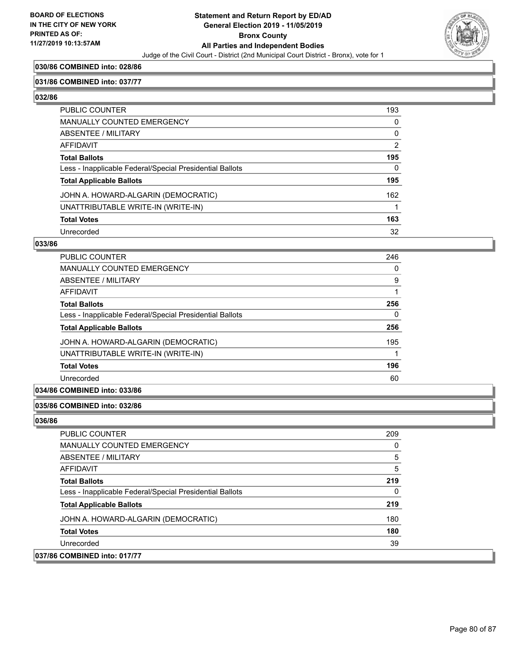

### **030/86 COMBINED into: 028/86**

#### **031/86 COMBINED into: 037/77**

**032/86** 

| PUBLIC COUNTER                                           | 193      |
|----------------------------------------------------------|----------|
| <b>MANUALLY COUNTED EMERGENCY</b>                        | $\Omega$ |
| <b>ABSENTEE / MILITARY</b>                               | 0        |
| <b>AFFIDAVIT</b>                                         | 2        |
| <b>Total Ballots</b>                                     | 195      |
| Less - Inapplicable Federal/Special Presidential Ballots | $\Omega$ |
| <b>Total Applicable Ballots</b>                          | 195      |
| JOHN A. HOWARD-ALGARIN (DEMOCRATIC)                      | 162      |
| UNATTRIBUTABLE WRITE-IN (WRITE-IN)                       |          |
| <b>Total Votes</b>                                       | 163      |
| Unrecorded                                               | 32       |

#### **033/86**

| PUBLIC COUNTER                                           | 246 |
|----------------------------------------------------------|-----|
| <b>MANUALLY COUNTED EMERGENCY</b>                        | 0   |
| ABSENTEE / MILITARY                                      | 9   |
| AFFIDAVIT                                                |     |
| <b>Total Ballots</b>                                     | 256 |
| Less - Inapplicable Federal/Special Presidential Ballots | 0   |
| <b>Total Applicable Ballots</b>                          | 256 |
| JOHN A. HOWARD-ALGARIN (DEMOCRATIC)                      | 195 |
| UNATTRIBUTABLE WRITE-IN (WRITE-IN)                       |     |
| <b>Total Votes</b>                                       | 196 |
| Unrecorded                                               | 60  |

#### **034/86 COMBINED into: 033/86**

#### **035/86 COMBINED into: 032/86**

| <b>PUBLIC COUNTER</b>                                    | 209 |
|----------------------------------------------------------|-----|
| MANUALLY COUNTED EMERGENCY                               |     |
| ABSENTEE / MILITARY                                      | 5   |
| AFFIDAVIT                                                | 5   |
| <b>Total Ballots</b>                                     | 219 |
| Less - Inapplicable Federal/Special Presidential Ballots | 0   |
| <b>Total Applicable Ballots</b>                          | 219 |
| JOHN A. HOWARD-ALGARIN (DEMOCRATIC)                      | 180 |
| <b>Total Votes</b>                                       | 180 |
| Unrecorded                                               | 39  |
| 037/86 COMBINED into: 017/77                             |     |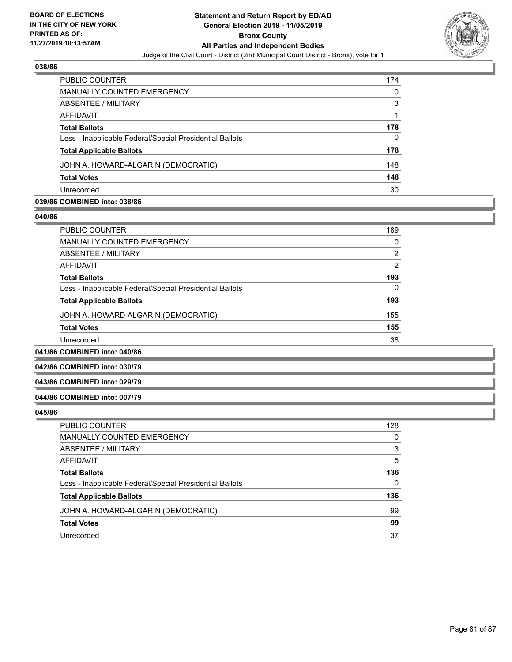

| <b>PUBLIC COUNTER</b>                                    | 174 |
|----------------------------------------------------------|-----|
| <b>MANUALLY COUNTED EMERGENCY</b>                        | 0   |
| ABSENTEE / MILITARY                                      | 3   |
| AFFIDAVIT                                                |     |
| <b>Total Ballots</b>                                     | 178 |
| Less - Inapplicable Federal/Special Presidential Ballots | 0   |
| <b>Total Applicable Ballots</b>                          | 178 |
| JOHN A. HOWARD-ALGARIN (DEMOCRATIC)                      | 148 |
| <b>Total Votes</b>                                       | 148 |
| Unrecorded                                               | 30  |

#### **039/86 COMBINED into: 038/86**

#### **040/86**

| PUBLIC COUNTER                                           | 189 |
|----------------------------------------------------------|-----|
| <b>MANUALLY COUNTED EMERGENCY</b>                        | 0   |
| ABSENTEE / MILITARY                                      | 2   |
| AFFIDAVIT                                                | 2   |
| <b>Total Ballots</b>                                     | 193 |
| Less - Inapplicable Federal/Special Presidential Ballots | 0   |
| <b>Total Applicable Ballots</b>                          | 193 |
| JOHN A. HOWARD-ALGARIN (DEMOCRATIC)                      | 155 |
| <b>Total Votes</b>                                       | 155 |
| Unrecorded                                               | 38  |
|                                                          |     |

# **041/86 COMBINED into: 040/86**

# **042/86 COMBINED into: 030/79**

#### **043/86 COMBINED into: 029/79**

#### **044/86 COMBINED into: 007/79**

| PUBLIC COUNTER                                           | 128 |
|----------------------------------------------------------|-----|
| MANUALLY COUNTED EMERGENCY                               | 0   |
| ABSENTEE / MILITARY                                      | 3   |
| AFFIDAVIT                                                | 5   |
| <b>Total Ballots</b>                                     | 136 |
| Less - Inapplicable Federal/Special Presidential Ballots | 0   |
| <b>Total Applicable Ballots</b>                          | 136 |
| JOHN A. HOWARD-ALGARIN (DEMOCRATIC)                      | 99  |
| <b>Total Votes</b>                                       | 99  |
| Unrecorded                                               | 37  |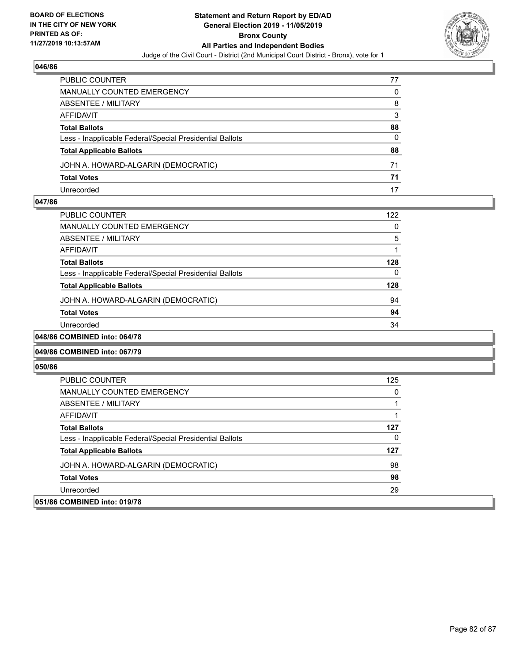

| PUBLIC COUNTER                                           |    |
|----------------------------------------------------------|----|
| <b>MANUALLY COUNTED EMERGENCY</b>                        | 0  |
| ABSENTEE / MILITARY                                      | 8  |
| AFFIDAVIT                                                | 3  |
| <b>Total Ballots</b>                                     | 88 |
| Less - Inapplicable Federal/Special Presidential Ballots | 0  |
| <b>Total Applicable Ballots</b>                          | 88 |
| JOHN A. HOWARD-ALGARIN (DEMOCRATIC)                      | 71 |
| <b>Total Votes</b>                                       | 71 |
| Unrecorded                                               |    |

#### **047/86**

| <b>PUBLIC COUNTER</b>                                    | 122 |
|----------------------------------------------------------|-----|
| <b>MANUALLY COUNTED EMERGENCY</b>                        | O   |
| ABSENTEE / MILITARY                                      | 5   |
| AFFIDAVIT                                                |     |
| <b>Total Ballots</b>                                     | 128 |
| Less - Inapplicable Federal/Special Presidential Ballots | 0   |
| <b>Total Applicable Ballots</b>                          | 128 |
| JOHN A. HOWARD-ALGARIN (DEMOCRATIC)                      | 94  |
| <b>Total Votes</b>                                       | 94  |
| Unrecorded                                               | 34  |
| COMPINIED : 004/70                                       |     |

# **048/86 COMBINED into: 064/78**

### **049/86 COMBINED into: 067/79**

| <b>PUBLIC COUNTER</b>                                    | 125      |
|----------------------------------------------------------|----------|
| <b>MANUALLY COUNTED EMERGENCY</b>                        | $\Omega$ |
| ABSENTEE / MILITARY                                      |          |
| AFFIDAVIT                                                |          |
| <b>Total Ballots</b>                                     | 127      |
| Less - Inapplicable Federal/Special Presidential Ballots | $\Omega$ |
| <b>Total Applicable Ballots</b>                          | 127      |
| JOHN A. HOWARD-ALGARIN (DEMOCRATIC)                      | 98       |
| <b>Total Votes</b>                                       | 98       |
| Unrecorded                                               | 29       |
| 051/86 COMBINED into: 019/78                             |          |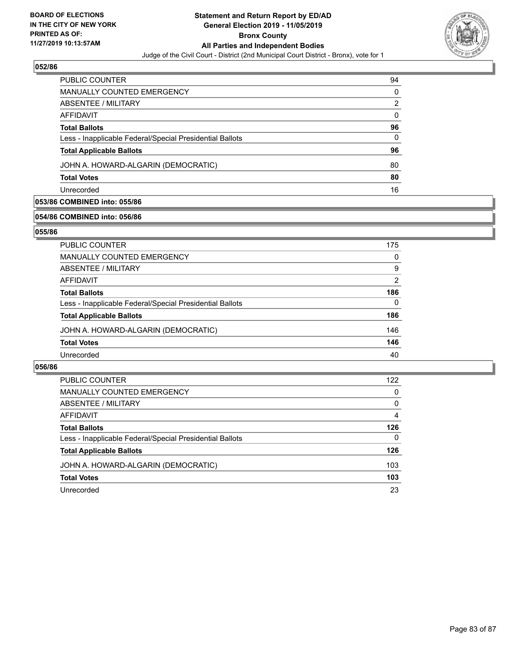

| <b>PUBLIC COUNTER</b>                                    | 94            |
|----------------------------------------------------------|---------------|
| MANUALLY COUNTED EMERGENCY                               | $\Omega$      |
| ABSENTEE / MILITARY                                      | $\mathcal{P}$ |
| AFFIDAVIT                                                | $\Omega$      |
| <b>Total Ballots</b>                                     | 96            |
| Less - Inapplicable Federal/Special Presidential Ballots | $\Omega$      |
| <b>Total Applicable Ballots</b>                          | 96            |
| JOHN A. HOWARD-ALGARIN (DEMOCRATIC)                      | 80            |
| <b>Total Votes</b>                                       | 80            |
| Unrecorded                                               | 16            |

# **053/86 COMBINED into: 055/86**

#### **054/86 COMBINED into: 056/86**

#### **055/86**

| PUBLIC COUNTER                                           | 175          |
|----------------------------------------------------------|--------------|
| <b>MANUALLY COUNTED EMERGENCY</b>                        | 0            |
| ABSENTEE / MILITARY                                      | 9            |
| <b>AFFIDAVIT</b>                                         | 2            |
| <b>Total Ballots</b>                                     | 186          |
| Less - Inapplicable Federal/Special Presidential Ballots | $\mathbf{0}$ |
| <b>Total Applicable Ballots</b>                          | 186          |
| JOHN A. HOWARD-ALGARIN (DEMOCRATIC)                      | 146          |
| <b>Total Votes</b>                                       | 146          |
| Unrecorded                                               | 40           |
|                                                          |              |

| PUBLIC COUNTER                                           | 122      |
|----------------------------------------------------------|----------|
| MANUALLY COUNTED EMERGENCY                               | 0        |
| ABSENTEE / MILITARY                                      | $\Omega$ |
| AFFIDAVIT                                                | 4        |
| <b>Total Ballots</b>                                     | 126      |
| Less - Inapplicable Federal/Special Presidential Ballots | 0        |
| <b>Total Applicable Ballots</b>                          | 126      |
| JOHN A. HOWARD-ALGARIN (DEMOCRATIC)                      | 103      |
| <b>Total Votes</b>                                       | 103      |
| Unrecorded                                               | 23       |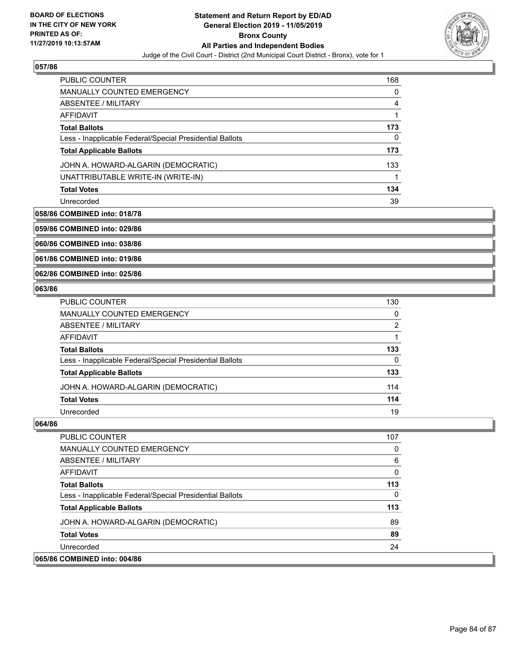

| <b>PUBLIC COUNTER</b>                                    | 168 |
|----------------------------------------------------------|-----|
| <b>MANUALLY COUNTED EMERGENCY</b>                        | 0   |
| ABSENTEE / MILITARY                                      | 4   |
| AFFIDAVIT                                                |     |
| <b>Total Ballots</b>                                     | 173 |
| Less - Inapplicable Federal/Special Presidential Ballots | 0   |
| <b>Total Applicable Ballots</b>                          | 173 |
| JOHN A. HOWARD-ALGARIN (DEMOCRATIC)                      | 133 |
| UNATTRIBUTABLE WRITE-IN (WRITE-IN)                       |     |
| <b>Total Votes</b>                                       | 134 |
| Unrecorded                                               | 39  |

#### **058/86 COMBINED into: 018/78**

**059/86 COMBINED into: 029/86**

**060/86 COMBINED into: 038/86**

**061/86 COMBINED into: 019/86**

#### **062/86 COMBINED into: 025/86**

### **063/86**

| PUBLIC COUNTER                                           | 130      |
|----------------------------------------------------------|----------|
| <b>MANUALLY COUNTED EMERGENCY</b>                        | $\Omega$ |
| <b>ABSENTEE / MILITARY</b>                               | 2        |
| <b>AFFIDAVIT</b>                                         |          |
| <b>Total Ballots</b>                                     | 133      |
| Less - Inapplicable Federal/Special Presidential Ballots | $\Omega$ |
| <b>Total Applicable Ballots</b>                          | 133      |
| JOHN A. HOWARD-ALGARIN (DEMOCRATIC)                      | 114      |
| <b>Total Votes</b>                                       | 114      |
| Unrecorded                                               | 19       |
|                                                          |          |

| <b>PUBLIC COUNTER</b>                                    | 107      |
|----------------------------------------------------------|----------|
| <b>MANUALLY COUNTED EMERGENCY</b>                        | 0        |
| ABSENTEE / MILITARY                                      | 6        |
| AFFIDAVIT                                                | 0        |
| <b>Total Ballots</b>                                     | 113      |
| Less - Inapplicable Federal/Special Presidential Ballots | $\Omega$ |
| <b>Total Applicable Ballots</b>                          | 113      |
| JOHN A. HOWARD-ALGARIN (DEMOCRATIC)                      | 89       |
| <b>Total Votes</b>                                       | 89       |
| Unrecorded                                               | 24       |
| 065/86 COMBINED into: 004/86                             |          |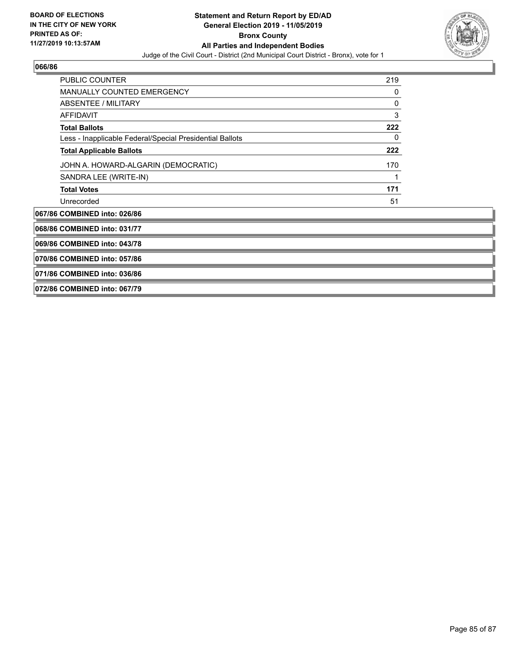

| PUBLIC COUNTER                                           | 219 |  |
|----------------------------------------------------------|-----|--|
| <b>MANUALLY COUNTED EMERGENCY</b>                        | 0   |  |
| ABSENTEE / MILITARY                                      | 0   |  |
| <b>AFFIDAVIT</b>                                         | 3   |  |
| <b>Total Ballots</b>                                     | 222 |  |
| Less - Inapplicable Federal/Special Presidential Ballots | 0   |  |
| <b>Total Applicable Ballots</b>                          | 222 |  |
| JOHN A. HOWARD-ALGARIN (DEMOCRATIC)                      | 170 |  |
| SANDRA LEE (WRITE-IN)                                    |     |  |
| <b>Total Votes</b>                                       | 171 |  |
| Unrecorded                                               | 51  |  |
| 067/86 COMBINED into: 026/86                             |     |  |
| 068/86 COMBINED into: 031/77                             |     |  |
| 069/86 COMBINED into: 043/78                             |     |  |
| 070/86 COMBINED into: 057/86                             |     |  |
| 071/86 COMBINED into: 036/86                             |     |  |

**072/86 COMBINED into: 067/79**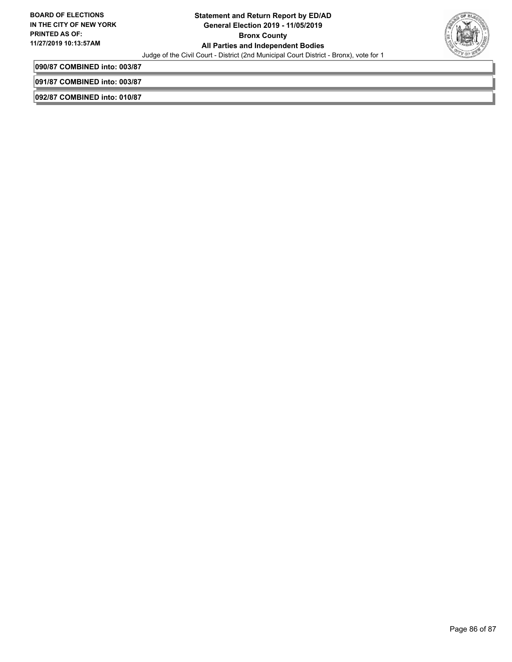

**090/87 COMBINED into: 003/87**

**091/87 COMBINED into: 003/87**

**092/87 COMBINED into: 010/87**